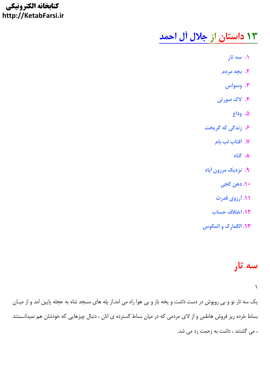#### كتابخانه الكترونيكي http://KetabFarsi.ir

# ۱۳ داستان از جلال آل احمد

- ۰۱ سه تار
- ٢. بچه مردم
- ۰۳ وسواس
- ۴. لاک صورتی
	- ۵. وداع
- ۶. زندگی که گریخت
	- ٧. أفتاب لب بام
		- ۸. گناه
- ۹. نزدیک مرزون آباد
	- ۱۰. دهن کجی
	- <mark>۱۱</mark> آرزوی قدرت
	- 12. اختلاف حساب
- **۱۳. الگمارک و المکوس**

# سه تار

 $\Delta$ 

یک سه تار نو و بی روپوش در دست داشت و یخه باز و بی هوا راه می امد.از پله های مسجد شاه به عجله پایین امد و از میـان بساط خرده ریز فروش هاطس و از لای مردمی که در میان بساط گسترده ی انان ، دنبال چیزهایی که خودشان هم نمیدانـستند ، می گشتند ، داشت به زحمت رد می شد.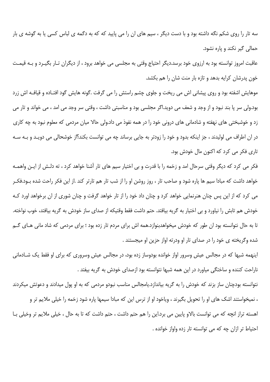سه تار را روی شکم نگه داشته بود و با دست دیگر ، سیم های ان را می پایید که که به دگمه ی لباس کسی یا به گوشه ی بار حمالي گير نکند و ياره نشود.

عاقبت امروز توانسته بود به ارزوی خود برسد.دیگر احتیاج وقتی به مجلسی می خواهد برود ، از دیگران تـار بگیـرد و بـه قیمـت خون پدرشان کرایه بدهد و تازه بار منت شان را هم بکشد.

موهایش اشفته بود و روی پیشانی اش می ریخت و جلوی چشم راستش را می گرفت .گونه هایش گود افتـاده و قیافـه اش زرد بود.ولي سر يا بند نبود و از وجد و شعف مي دويد.اگر مجلسي بود و مناسبتي داشت ، وقتي سر وجد مي امد ، مي خواند و تار مي زد و خوشبختی های نهفته و شادمانی های درونی خود را در همه نفوذ می داد.ولی حالا میان مردمی که معلوم نبود به چه کاری در ان اطراف می لولیدند ، جز اینکه بدود و خود را زودتر به جایی برساند چه می توانست بکند؟از خوشحالی می دویـد و بـه سـه تاری فکر می کرد که اکنون مال خودش بود.

فکر می کرد که دیگر وقتی سرحال امد و زخمه را با قدرت و بی اختیار سیم های تار آشنا خواهد کرد ، ته دلـش از ایـن واهمـه خواهد داشت که مبادا سیم ها پاره شود و صاحب تار ، روز روشن او را از شب تار هم تارتر کند .از این فکر راحت شده بـود.فکـر می کرد که از این پس چنان هنرنمایی خواهد کرد و چنان داد خود را از تار خواهد گرفت و چنان شوری از ان برخواهد اورد ک خودش هم تابش را نیاورد و بی اختیار به گریه بیافتد. حتم داشت فقط وقتیکه از صدای ساز خودش به گریه بیافتد، خوب نواخته. تا به حال نتوانسته بود ان طور که خودش میخواهدبنوازد.همه اش برای مردم تار زده بود ؛ برای مردمی که شاد مانی هـای گـم شده وگريخته ي خود را در صداي تار او ودرته اواز حزين او ميجستند .

اینهمه شبها که در مجالس عیش وسرور اواز خوانده بودوساز زده بود، در مجالس عیش وسروری که برای او فقط یک شـادمانی ناراحت کننده و ساختگی میاورد در این همه شبها نتوانسته بود ازصدای خودش به گریه بیفتد .

نتوانسته بودچنان ساز بزند که خودش را به گریه بیاندازد.یامجالس مناسب نبودو مردمی که به او پول میدادند و دعوتش میکردند ، نمیخواستند اشک های او را تحویل بگیرند ، ویاخود او از ترس این که مبادا سیمها پاره شود زخمه را خیلی ملایم تر و

اهسته تراز انچه که می توانست بالاو پایین می برد.این را هم حتم داشت ، حتم داشت که تا به حال ، خیلی ملایم تر وخیلی بـا احتياط تر ازان چه كه مي توانسته تار زده واواز خوانده .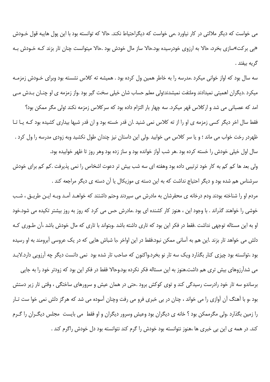می خواست که دیگر ملالتی در کار نیاورد .می خواست که دیگراحتیاط نکند. حالا که توانسته بود با این پول هایبه قول خـودش «بی برکت»سازی بخرد، حالا به ارزوی خودرسیده بود.حالا ساز مال خودش بود .حالا میتوانست چنان تار بزند کـه خـودش بـه گريه بيفتد .

سه سال بود که اواز خوانی میکرد .مدرسه را به خاطر همین ول کرده بود . همیشه ته کلاس نشسته بود وبرای خـودش زمزمـه میکرد .دیگران اهمیتی نمیدادند وملتفت نمیشدند؛ولی معلم حساب شان خیلی سخت گیر بود .واز زمزمه ی او چنـان بـدش مـی

امد که عصبانی می شد و ارکلاس قهر میکرد. سه چهار بار التزام داده بود که سرکلاس زمزمه نکند ؛ولی مگر ممکن بود؟ فقط سال اخر دیگر کسی زمزمه ی او را از ته کلاس نمی شنید .ان قدر خسته بود و ان قدر شبها بیداری کشیده بود کـه یـا تـا ظهردر رخت خواب می ماند ؛ و یا سر کلاس می خوابید .ولی این داستان نیز چندان طول نکشید وبه زودی مدرسه را ول کرد . سال اول خیلی خودش را خسته کرده بود .هر شب آواز خوانده بود و ساز زده بود وهر روز تا ظهر خوابیده بود.

ولی بعد ها کم کم به کار خود ترتیبی داده بود وهفته ای سه شب بیش تر دعوت اشخاص را نمی پذیرفت .کم کم برای خودش سرشناس هم شده بود و دیگر احتیاج نداشت که به این دسته ی موزیکال یا آن دسته ی دیگر مراجعه کند .

مردم او را شناخته بودند ودم درخانه ی محقرشان به مادرش می سپردند وحتم داشتند که خواهـد آمـد وبـه ايـن طريـق ، شـب خوشی را خواهند گذراند . با وجود این ، هنوز کار کشنده ای بود .مادرش حس می کرد که روز به روز بیشتر تکیده می شود.خود او به این مسئاله توجهی نداشت .فقط در فکر این بود که تاری داشته باشد .وبتواند با تاری که مال خودش باشد ،آن طـوری کـه دلش می خواهد تار بزند .این هم به آسانی ممکن نبود.فقط در این اواخر ،با شباش هایی که در یک عروسی آبرومند به او رسیده بود ،توانسته بود چیزی کنار بگذارد ویک سه تار نو بخرد.واکنون که صاحب تار شده بود نمی دانست دیگر چه آرزویی دارد.لابـد

می شدآرزوهای بیش تری هم داشت.هنوز به این مسئاله فکر نکرده بود.وحالا فقط در فکر این بود که زودتر خود را به جایی برساندو سه تار خود رادرست رسیدگی کند و توی کوکش برود .حتی در همان عیش و سرورهای ساختگی ، وقتی تار زیر دستش بود ،و با آهنگ آن آوازی را می خواند ، چنان در بی خبری فرو می رفت وچنان آسوده می شد که هرگز دلش نمی خوا ست تـار را زمین بگذارد .ولی مگرممکن بود ؟ خانه ی دیگران بود وعیش وسرور دیگران و او فقط ً می بایست ً مجلس دیگـران را گـرم کند. در همه ی این بی خبری ها ،هنوز نتوانسته بود خودش را گرم کند نتوانسته بود دل خودش راگرم کند .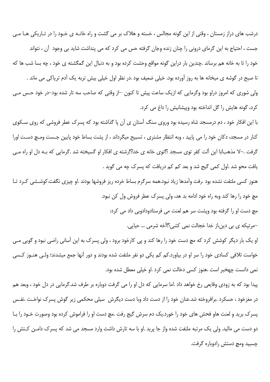درشب های دراز زمستان ، وقتی از این گونه مجالس ، خسته و هلاک بر می گشت و راه خانـه ی خـود را در تـاریکی هـا مـی جست ، احتیاج به این گرمای درونی را چنان زنده وجان گرفته حس می کرد که می پنداشت شاید بی وجود آن ، نتواند خود را تا به خانه هم برساند .چندین بار دراین گونه مواقع وحشت کرده بود و به دنبال این گمگشته ی خود ، چه بسا شب ها که تا صبح در گوشه ی میخانه ها به روز آورده بود. خیلی ضعیف بود .در نظر اول خیلی بیش تربه یک آدم تریاکی می ماند . ولی شوری که امروز دراو بود وگرمایی که ازیک ساعت پیش تا کنون ⊣ز وقتی که صاحب سه تار شده بود–در خود حـس مـی کرد، گونه هایش را گل انداخته بود وییشانیش را داغ می کرد.

با این افکار خود ، دم درمسجد شاه رسیده بود وروی سنگ آستان ی آن یا گذاشته بود که پسرک عطر فروشی که روی سـکوی کنار در مسجد، دکان خود را می پایید ، وبه انتظار مشتری ، تسبیح میگرداند ، از پشت بساط خود پایین جـست ومـچ دسـت اورا گرفت .–لا مذهب!با این آلت کفر توی مسجد ؟!توی خانه ی خدا؟!رشته ی افکار او گسیخته شد .گرمایی که بـه دل او راه مـی یافت محو شد .اول کمی گیج شد و بعد کم کم دریافت که پسرک چه می گوید .

هنوز کسی ملتفت نشده بود .رفت وآمدها زیاد نبود.همه سرگرم بساط خرده ریز فروشها بودند .او چیزی نگفت.کوشـشی کـرد تـا مچ خود را رها کند وبه راه خود ادامه بد هد، ولی پسرک عطر فروش ول کن نبود.

مچ دست او را گرفته بود ویشت سر هم لعنت می فرستادودادوبی داد می کرد:

–مرتيكه ي بي دين،از خدا خجالت نمي كشي؟!آخه شرمي … حيايي.

او یک بار دیگر کوشش کرد که مچ دست خود را رها کند و پی کارخود برود ، ولی پسرک به این آسانی راضی نبود و گویی مـی خواست تلافی کسادی خود را سر او در بیاورد.کم کم یکی دو نفر ملتفت شده بودند و دور آنها جمع میشدند؛ ولـی هنـوز کـسی نمی دانست چهخبر است .هنوز کسی دخالت نمی کرد .او خیلی معطل شده بود.

پیدا بود که به زودی وقایعی رخ خواهد داد .اما سرمایی که دل او را می گرفت دوباره بر طرف شد.گرمایی در دل خود ، وبعد هم در مغزخود ، حسکرد .برافروخته شد.عنان خود را از دست داد وبا دست دیگرش ٍ سیلی محکمی زیر گوش پسرک نواخت .نفـس پسرک برید و لعنت هاو فحش های خود را خورد.یک دم سرش گیج رفت .مچ دست او را فراموش کرده بود وصورت خـود را بـا دو دست می مالید. ولی یک مرتبه ملتفت شده واز جا پرید .او با سه تارش داشث وارد مسجد می شد که پسرک دامـن کـتش را چسبید ومچ دستش رادوباره گرفت.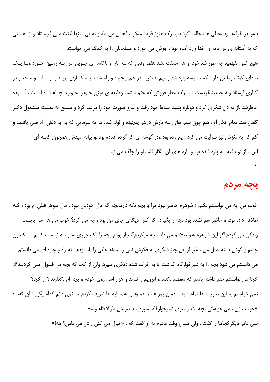دعوا در گرفته بود .خیلی ها دخالت کردند.پسرک هنوز فریاد میکرد، فحش می داد و به بی دینها لعنت مـی فرسـتاد و از اهـانتی که به آستانه ی در خانه ی خدا وارد آمده بود ، جوش می خورد و مسلمانان را به کمک می خواست. هیچ کس نفهمید چه طور شد.خود او هم ملتفت نشد .فقط وقتی که سه تار او باکاسه ی چـوبی اش بـه زمـین خـورد وبـا یـک صدای کوتاه وطنین دار شکست وسه پاره شد وسیم هایش ، در هم پیچیده ولوله شده، بـه کنـاری پریـد و او مـات و متحیـر در كناري ايستاد وبه جمعيتنگريست ؛ پسرك عطر فروش كه حتم داشت وظيفه ي ديني خـودرا خـوب انجـام داده اسـت ، آسـوده خاطرشد .از ته دل شکری کرد و دوباره پشت بساط خود رفت و سرو صورت خود را مرتب کرد و تسبیح به دست مـشغول ذکـر گفتن شد. تمام افکار او ، هم چون سیم های سه تارش درهم پیچیده و لوله شده در ته سرمایی که باز به دلش راه مـی یافـت و کم کم به مغزش نیز سرایت می کرد ، یخ زده بود ودر گوشه ای کر کرده افتاده بود .و پیاله امیدش همچون کاسه ای

این ساز نو یافته سه پاره شده بود و پاره های آن انگار قلب او را چاک می زد

۲

#### بجه مردم

خوب من چه می توانستم بکنم ؟ شوهرم حاضر نبود مرا با بچه نگه دارد.بچه که مال خودش نبود . مال شوهر قبلی ام بود ، کـه طلاقم داده بود، و حاضر هم نشده بود بچه را بگیرد. اگر کس دیگری جای من بود ، چه می کرد؟ خوب من هم می بایست زندگی می کردم.اگر این شوهرم هم طلاقم می داد ، چه میکردم؟ناچار بودم بچه را یک جوری سـر بـه نیـست کـنم . یـک زن چشم و گوش بسته ،مثل من ، غیر از این چیز دیگری به فکرش نمی رسید.نه جایی را بلد بودم ، نه راه و چاره ای می دانستم . می دانستم می شود بچه را به شیرخوارگاه گذاشت یا به خراب شده دیگری سپرد. ولی از کجا که بچه مرا قبـول مـی کردنـد؟از كجا مي توانستم حتم داشته باشم كه معطلم نكنند و آبرويم را نبرند و هزار اسم روى خودم و بچه ام نگذارند ؟ از كجا؟ نمی خواستم به این صورت ها تمام شود . همان روز عصر هم وقتی همسایه ها تعریف کردم ،… نمی دانم کدام یکی شان گفت: «خوب ، زن ، می خواستی بچه ات را ببری شیرخوارگاه بسپری. یا ببریش دارالایتام و…» نمي دانم ديگر كجاها را گفت . ولي همان وقت مادرم به او گفت كه : «خيال مي كني راش مي دادن؟ هه!»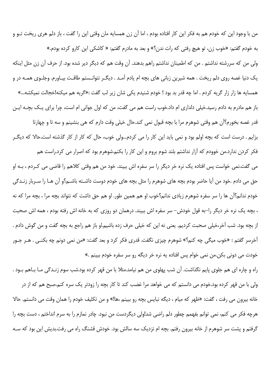من با وجود این که خودم هم به فکر این کار افتاده بودم ، اما آن زن همسایه مان وقتی این را گفت ، باز دلم هری ریخت تــو و به خودم گفتم: «خوب زن، تو هيچ رفتي كه رات ندن؟» و بعد به مادرم گفتم: « كاشكي اين كارو كرده بودم.» ولی من که سررشته نداشتم . من که اطمینان نداشتم راهم بدهند. آن وقت هم که دیگر دیر شده بود. از حرف آن زن مثل اینکه یک دنیا غصه روی دلم ریخت . همه شیرین زبانی های بچه ام یادم آمـد . دیگـر نتوانـستم طاقـت بیـاورم. وجلـوی همـه در و همسایه ها زار زار گریه کردم . اما چه قدر بد بود ! خودم شنیدم یکی شان زیر لب گفت :«گریه هم میکنه!خجالت نمیکشه…» باز هم مادرم به دادم رسید.خیلی دلداری ام داد.خوب راست هم می گفت، من که اول جوانی ام است، چرا برای یـک بچــه ایـن قدر غصه بخورم؟آن هم وقتي شوهرم مرا با بچه قبول نمي كند.حال خيلي وقت دارم كه هي بنشينم و سه تا و چهارتا بزایم . درست است که بچه اولم بود و نمی باید این کار را می کردم…ولی خوب، حال که کار از کار گذشته است.حالا که دیگ فکر کردن ندارد.من خوودم که آزار نداشتم بلند شوم بروم و این کار را بکنم.شوهرم بود که اصرار می کرد.راست هم می گفت.نمی خواست پس افتاده یک نره خر دیگر را سر سفره اش ببیند. خود من هم وقتی کلاهم را قاضی می کـردم ، بـه او حق می دادم .خود من أيا حاضر بودم بچه های شوهرم را مثل بچه های خودم دوست داشـته باشـم؟و أن هـا را سـربار زنـدگی خودم ندانم؟آن ها را سر سفره شوهرم زیادی ندانم؟خوب او هم همین طور. او هم حق داشت که نتواند بچه مرا ، بچه مرا که نه ، بچه یک نره خر دیگر را–به قول خودش– سر سفره اش ببیند. درهمان دو روزی که به خانه اش رفته بودم ، همه اش صحبت از بچه بود. شب آخر،خیلی صحبت کردیم. یعنی نه این که خیلی حرف زده باشیم.او باز هم راجع به بچه گفت و من گوش دادم . اّخرسر گفتم : «خوب ميگي چه كنم؟» شوهرم چيزي نگفت. قدري فكر كرد و بعد گفت: «من نمي دونم چه بكنـي . هـر جـور خودت می دونی بکن.من نمی خوام پس افتاده یه نره خر دیگه رو سر سفره خودم ببینم .»

راه و چاره ای هم جلوی پایم نگذاشت. آن شب پهلوی من هم نیامد.مثلا با من قهر کرده بود.شب سوم زنـدگی مـا بـاهم بـود . ولی با من قهر کرده بود.خودم می دانستم که می خواهد مرا غضب کند تا کار بچه را زودتر یک سره کنم.صبح هم که از در خانه بیرون می رفت ، گفت: «ظهر که میام ، دیگه نبایس بچه رو ببینم ،ها!» و من تکلیف خودم را همان وقت می دانستم. حالا هرچه فکر می کنم، نمی توانم بفهمم چطور دلم راضی شد!ولی دیگردست من نبود. چادر نمازم را به سرم انداختم ، دست بچه را گرفتم و پشت سر شوهرم از خانه بیرون رفتم. بچه ام نزدیک سه سالش بود. خودش قشنگ راه می رفت.بدیش این بود که سـه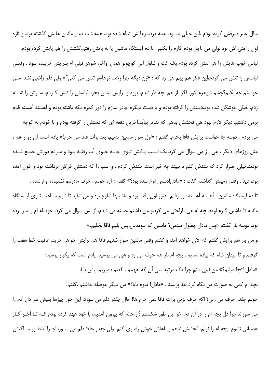سال عمر صرفش کرده بودم .این خیلی بد بود. همه دردسرهایش تمام شده بود. همه شب بیدار ماندن هایش گذشته بود. و تازه اول راحتی اش بود .ولی من ناچار بودم کارم را بکنم . تا دم ایستگاه ماشین یا به پایش رفتم.کفشش را هم پایش کرده بودم. لباس خوب هایش را هم تنش کرده بودم.یک کت و شلوار آبی کوچولو همان اواخر، شوهر قبلی ام بـرایش خریـده بـود . وقتـی لباسش را تنش می کردم،این فکر هم بهم هی زد که : «زن!دیگه چرا رخت نوهاشو تنش می کنی؟» ولی دلم راضی نشد. مـی خواستم چه بکنم؟چشم شوهرم کور، اگر باز هم بچه دار شدم، برود و برایش لباس بخرد.لباسش را تنش کـردم. سـرش را شـانه زدم. خیلی خوشگل شده بود.دستش را گرفته بودم و با دست دیگرم چادر نمازم را دور کمرم نگه داشته بودم و آهسته آهسته قدم برمی داشتم. دیگر لازم نبود هی فحشش بدهم که تندتر بیآید.آخرین دفعه ای که دستش را گرفته بودم و با خودم به کوچه می بردم . دوسه جا خواست برایش قاقا بخرم. گفتم : «اول سوار ماشین بشیم، بعد برات قاقا می خرم!» یادم است آن رو ز هم ، مثل روزهای دیگر ، هی ا ز من سوال می کرد.یک اسـب پـایش تـوی چالـه جـوی آب رفتـه بـود و مـردم دورش جمـع شـده بودند.خیلی اصرار کرد که بلندش کنم تا ببیند چه خبر است. بلندش کردم . و اسب را که دستش خراش برداشته بود و خون آمده بود، ديد . وقتي زمينش گذاشتم گفت : «مادل!دسس اوخ سده بود؟» گفتم : آره جونم ، حرف مادرشو نشنيده، اوخ شده . تا دم ایستگاه ماشین ، آهسته آهسته می رفتم .هنوز اول وقت بود.و ماشینها شلوغ بود.و من شاید تا نـیم سـاعت تـوی ایـستگاه ماندم تا ماشین گیرم اومد.بچه ام هی ناراحتی می کرد.و من داشتم خسته می شدم. از بس سوال می کرد، حوصله ام را سر برده بود. دوسه بار گفت: «پس مادل چطول سدس؟ ماسین که نیومدس.پس بلیم قاقا بخلیم.»

و من باز هم برايش گفتم كه الان خواهد آمد. و گفتم وقتي ماشين سوار شديم قاقا هم برايش خواهم خريد. عاقبت خط هفت را گرفتم و تا میدان شاه که پیاده شدیم ، بچه ام باز هم حرف می زد و هی می پرسید. یادم است که یکبار پرسید:

«مادل !تجا میلیم؟» من نمی دانم چرا یک مرتبه ، بی آن که بفهمم ، گفتم : میریم پیش بابا.

بچه ام کمی به صورت من نگاه کرد بعد پرسید : «مادل! تدوم بابا؟» من دیگر حوصله نداشتم .گفتم:

جونم چقدر حرف می زنی؟ اگه حرف بزنی برات قاقا نمی خرم ها! حال چقدر دلم می سوزد. این جور چیزها بـیش تـر دل آدم را می سوزاند.چرا دل بچه ام را در آن دم آخر این طور شکستم ؟از خانه که بیرون آمدیم، با خود عهد کرده بودم کـه تـا آخـر کـار عصباني نشوم .بچه ام را نزنم. فحشش ندهم.و باهاش خوش رفتاري كنم .ولي چقدر حالا دلم مي سـوزد!چـرا اينطـور سـاكتش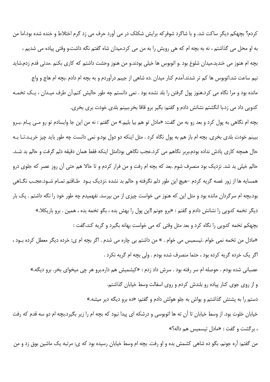کردم؟ بچهکم دیگر ساکت شد. و با شاگرد شوفرکه برایش شکلک در می آورد حرف می زد گرم اختلاط و خنده شده بود.اما من به او محل می گذاشتم ، نه به بچه ام که هی رویش را به من می کرد.میدان شاه گفتم نگه داشت.و وقتی پیاده می شدیم ، بچه ام هنوز می خندید.میدان شلوغ بود .و اتوبوس ها خیلی بودند.و من هنوز وحشت داشتم که کاری بکنم .مدتی قدم زدم.شاید نیم ساعت شد.اتوبوس ها کم تر شدند.آمدم کنار میدان .ده شاهی از جیبم درآوردم و به بچه ام دادم .بچه ام هاج و واج مانده بود و مرا نگاه می کرد.هنوز پول گرفتن را بلد نشده بود . نمی دانستم چه طور حالیش کنم.آن طرف میـدان ، یـک تخمـه كدويي داد مي زد.با انگشتم نشانش دادم و گفتم: بگير برو قاقا بخر.ببينم بلدي خودت بري بخري.

بچه ام نگاهی به پول کرد و بعد رو به من گفت: «مادل تو هم بیا بلیم.» من گفتم : نه من این جا وایسادم تو رو مـی پـام .بـرو ببینم خودت بلدی بخری. بچه ام باز هم به پول نگاه کرد . مثل اینکه دو دول بود.و نمی دانست چه طور باید چیز خریـد.تـا بـه حال همچه کاری یادش نداده بودم.بربر نگاهم می کرد.عجب نگاهی بود!مثل اینکه فقط همان دقیقه دلم گرفت و حالم بد شـد. حالم خیلی بد شد. نزدیک بود منصرف شوم .بعد که بچه ام رفت و من فرار کردم و تا حالا هم حتی آن روز عصر که جلوی درو همسایه ها از زور غصه گریه کردم –هیچ این طور دلم نگرفته و حالم بد نشده .نزدیک بـود طـاقتم تمـام شـود.عجـب نگـاهی بود.بچه ام سرگردان مانده بود و مثل این که هنوز می خواست چیزی از من بپرسد. نفهمیدم چه طور خود را نگه داشتم . یک بار ديگر تخمه كدويي را نشانش دادم و گفتم : «برو جونم !اين پول را بهش بده ، بگو تخمه بده ، همين . برو باريكلا.» بچهکم تخمه کدویی را نگاه کرد و بعد مثل وقتی که می خواست بهانه بگیرد و گریه کند،گفت : «مادل من تخمه نمي خوام .تيسميس مي خوام . » من داشتم بي چاره مي شدم . اگر بچه ام ي: خرده ديگر معطل كرده بـود ،

اگر یک خرده گریه کرده بود ، حتما منصرف شده بودم . ولی بچه ام گریه نکرد .

عصبانی شده بودم . حوصله ام سر رفته بود . سرش داد زدم : «کیشمیش هم داره.برو هر چی میخوای بخر. برو دیگه.» و از روی جوی کنار پیاده رو بلندش کردم و روی اسفالت وسط خیابان گذاشتم. دستم را به پشتش گذاشتم و یواش به جلو هولش دادم و گفتم: «ده برو دیگه دیر میشه.»

خیابان خلوت بود. از وسط خیابان تا آن ته ها اتوبوسی و درشکه ای پیدا نبود که بچه ام را زیر بگیرد.بچه ام دو سه قدم که رفت ، برگشت و گفت : «مادل تيسميس هم داله؟»

من گفتم: آره جونم. بگو ده شاهی کشمش بده و او رفت. بچه ام وسط خیابان رسیده بود که ی: مرتبه یک ماشین بوق زد و من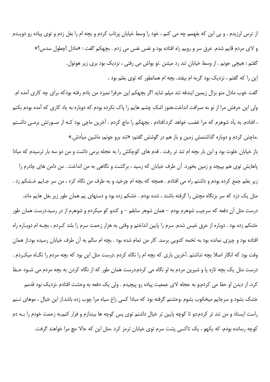از ترس لرزیدم . و بی این که بفهمم چه می کنم ، خود را وسط خیابان پرتاب کردم و بچه ام را بغل زدم و توی پیاده رو دویـدم و لای مردم قایم شدم. عرق سر و رویم راه افتاده بود و نفس نفس می زدم . بچهکم گفت : «مادل !چطول سدس؟» گفتم : هیچی جونم . از وسط خیابان تند رد میشن .تو یواش می رفتی ، نزدیک بود بری زیر هوتول. این را که گفتم ، نزدیک بود گریه ام بیفتد. بچه ام همانطور که توی بغلم بود ،

گفت خوب مادل منو بزال زیمین ایندفه تند میلم شاید اگر بچهکم این حرفرا نمیزد من یادم رفته بودکه برای چه کاری آمده ام. ولی این حرفش مرا از نو به صرافت انداخت.هنوز اشک چشم هایم را پاک نکرده بودم که دوباره به یاد کاری که آمده بودم بکنم ، افتادم. به يآد شوهرم كه مرا غضب خواهد كرد.افتادم . بچهكم را ماچ كردم . آخرين ماچي بود كـه از صـورتش برمـي داشـتم .ماچش کردم و دوباره گذاشتمش زمین و باز هم در گوشش گفتم: «تند برو جونم، ماشین میآدش.»

باز خیابان خلوت بود و این بار بچه ام تند تر رفت . قدم های کوچکش را به عجله برمی داشت و من دو سه بار ترسیدم که مبادا پاهایش توی هم بپیچد و زمین بخورد. آن طرف خیابان که رسید ، برگشت و نگاهی به من انداخت . من دامن های چادرم را زير بغلم جمع كرده بودم و داشتم راه مي افتادم . همچه كه بچه ام چرخيد و به طرف من نگاه كرد ، من سر جـايم خـشكم زد . مثل یک دزد که سر بزنگاه مچش را گرفته باشند ، شده بودم . خشکم زده بود و دستهای یم همان طور زیر بغل هایم ماند. درست مثل آن دفعه که سرجیب شوهرم بودم – همان شوهر سابقم – و کندو کو میکردم و شوهرم از در رسید.درست همان طور خشکم زده بود . دوباره از عرق خیس شدم. سرم را پایین انداختم و وقتی به هزار زحمت سرم را بلند کـردم ، بچـه ام دوبـاره راه افتاده بود و چیزی نمانده بود به تخمه کدویی برسد. کار من تمام شده بود . بچه ام سالم به آن طرف خیابان رسیده بود.از همان وقت بود که انگار اصلا بچه نداشتم .آخرین باری که بچه ام را نگاه کردم .درست مثل این بود که بچه مردم را نگـاه میکـردم . درست مثل یک بچه تازه یا و شیرین مردم به او نگاه می کردم.درست همان طور که از نگاه کردن به بچه مردم می شـود حـظ کرد، از دیدن او حظ می کردم.و به عجله لای جمعیت پیاده رو پیچیدم . ولی یک دفعه به وحشت افتادم .نزدیک بود قدمم خشک بشود و سرجایم میخکوب بشوم .وحشتم گرفته بود که مبادا کسی زاغ سیاه مرا چوب زده باشد.از این خیال ، موهای تـنم راست ایستاد و من تند تر کردم.دو تا کوچه پایین تر خیال داشتم توی پس کوچه ها بیندازم و فرار کنم.به زحمت خودم را بـه دم کوچه رسانده بودم، که یکهو ، یک تاکسی پشت سرم توی خیابان ترمز کرد .مثل این که حالا مچ مرا خواهند گرفت.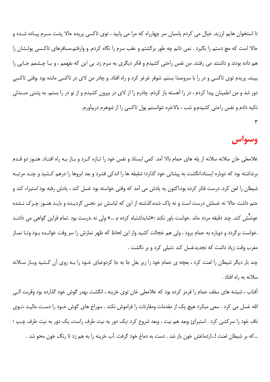تا استخوان هایم لرزید. خیال می کردم پاسبان سر چهارراه که مرا می پایید ، توی تاکسی پریده حالا پشت سـرم پیـاده شـده و حالا است که مچ دستم را بگیرد . نمی دانم چه طور برگشتم و عقب سرم را نگاه کردم. و وارفتم.مسافرهای تاکـسی پولـشان را هم داده بودند و داشتند می رفتند. من نفس راحتی کشیدم و فکر دیگری به سرم زد. بی این که بفهمم ، و یـا چـشمم جـایی را ببیند، پریدم توی تاکسی و در را با سروصدا بستم. شوفر غرغر کرد و راه افتاد. و چادر من لای در تاکسی مانده بود .وقتی تاکسی دور شد و من اطمینان پیدا کردم ، در را آهسته باز کردم. چادرم را از لای در بیرون کشیدم و از نو در را بستم. به پشتی صـندلی تکیه دادم و نفس راحتی کشیدم.و شب ، بالاخره نتوانستم یول تاکسی را از شوهرم دربیآورم.

## وسواس

غلامعلی خان سلانه سلانه از یله های حمام بالا آمد. کمی ایستاد و نفس خود را تـازه کـرد و بـاز بـه راه افتـاد. هنـوز دو قـدم برنداشته بود که دوباره ایستاد.انگشت به پیشانی خود گذارد؛ شقیقه ها را اندکی فشرد و بعد ابروها را درهم کـشید و چنـد مرتبـه شیطان را لعن کرد. درست فکر کرده بود.اکنون به یادش می آمد که وقتی خواسته بود غسل کند ، یادش رفته بود استبراء کند و حتم داشت حالا نه غسلش درست است و نه پاک شده.گذشته از این که لباسش نیز نجس گردیـده و بایـد هنـوز چـرک نـشده عوضش کند. چند دقیقه مردد ماند .خواست باور نکند :«شایداشتباه کرده م …» ولی نه ،درست بود .تمام قراین گواهی می دادنـد .خواست برگردد و دوباره به حمام برود ، ولی هم خجالت کشید واز این لحاظ که ظهر نمازش را سر وقت خوانـده بــود وتــا نمــاز مغرب وقت زياد داشت كه تجديدغسل كند ،تنبلي كرد و بر نگشت .

چند بار دیگر شیطان را لعنت کرد ، بغچه ی حمام خود را زیر بغل جا به جا کردوعبای خـود را بـه روی آن کـشید وبـاز سـلانه سلانه به راه افتاد .

آفتاب ، شیشه های سقف حمام را قرمز کرده بود که غلامعلی خان توی خزینه ، انگشت بهدر گوش خود گذارده بود وقربت الـی الله غسل می کرد . سعی میکرد هیچ یک از مقدمات ومقارنات را فراموش نکند . سوراخ های گوش خـود را دسـت مالیـد ،تـوی ناف خود را سرکشی کرد . استبرائ وبعد هم نیت ، وبعد شروع کرد :یک دور به نیت طرف راست، یک دور به نیت طرف چـپ ؛ …که بر شیطان لعنت !…ازدماغش خون باز شد . دست به دماغ خود گرفت .آب خزینه را به هم زد تا رنگ خون محو شد .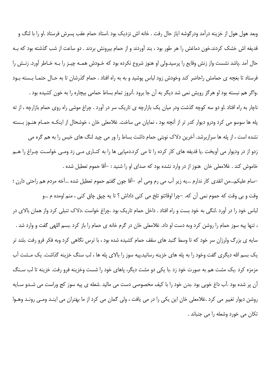وبعد هول هول از خزينه درآمد ودرگوشه اياز حال رفت . خانه اش نزديک بود .استاد حمام عقب پسرش فرستاد .او را با لنگ و قدیفه اش خشک کردند.خون دماغش را هر طور بود ، بند آوردند و از حمام بیرونش بردند . دو ساعت از شب گذشته بود که بـه حال آمد .پاشد نشست واز زنش وقایع را پرسید.ولی او هنوز شروع نکرده بود که خـودش همـه چیـز را بـه خـاطر آورد. زنـش را فرستاد تا بغچه ی حمامش راحاضر کند وخودش زود لباس پوشید و به به راه افتاد . حمام گذرشان تا به حـال حتمـا بـسته بـود

.واگر هم نبسته بود او هرگز رویش نمی شد دیگر به آن جا برود .آنروز تمام بساط حمامی بیچاره را به خون کشیده بود . ناچار به راه افتاد .او دو سه کوچه گذشت ودر میان یک بازارچه ی تاریک سر در آورد . چراغ موشی راه روی حمام بازارچه ، از ته پله ها سوسو می کرد ودرو دیوار کدر تر از آنچه بود ، نمایان می ساخت. غلامعلی خان ، خوشحال از اینکـه حمـام هنـوز بـسته نشده است ، از پله ها سرازپرشد. آخرین دلاک نوبتی حمام داشت بساط را ور می چید لنگ های خیس را به هم گره می زدو از در ودیوار می آویخت .یا قدیفه های کار کرده را تا می کرد.دمپایی ها را به کنـاری مـی زد ومـی خواسـت چـراغ را هـم خاموش كند . غلامعلى خان هنوز از در وارد نشده بود كه صداى او را شنيد : –آقا حموم تعطيل شده .

–سام عليكم…من انقدى كار ندارم …يه زير آب مي رم ومي آم. –آقا جون گفتم حموم تعطيل شده …آخه مردم هم راحتى دارن ؛ وقت و بي وقت كه حموم نمي آن كه. –چرا اوقاتتو تلخ مي كني داداش ؟ تا يه چپق چاق كني ، منم اومده م …و

لباس خود را در آورد .لنگی به خود بست و راه افتاد . داخل حمام تاریک بود .چراغ خواست .دلاک تنبلی کرد واز همان بالای در ، تنها پيه سوز حمام را روشن كرد وبه دست او داد. غلامعلى خان در گرم خانه ي حمام را باز كرد .بسم اللهي گفت و وارد شد . سایه ی بزرگ ولرزان سر خود که تا وسط گنبد های سقف حمام کشیده شده بود ، با ترس نگاهی کرد وبه فکر فرو رفت .بلند تر یک بسم الله دیگری گفت وخود را به یله های خزینه رسانید.پیه سوز را بالای یله ها ، لب سنگ خزینه گذاشت. یک مــشت آب مزمزه کرد .یک مشت هم به صورت خود زد .با یکی دو مشت دیگر، پاهای خود را شست وخزینه فرو رفت. خزینه تا لب سـنگ آن پر شده بود .آب داغ خوبی بود .بدن خود را با کیف مخصوصی دست می مالید .شعله ی پیه سوز کج وراست می شـدو سـایه روشن دیوار تغییر می کرد .غلامعلی خان این یکی را در می یافت ، ولی گمان می کرد از ما بهتران می اینـد ومـی رونـد وهـوا تکان می خورد وشعله را می جنباند .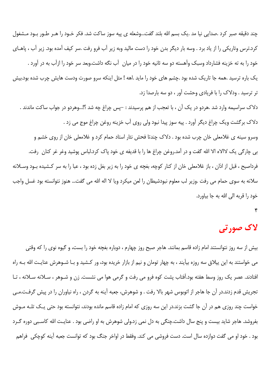چند دقیقه صبر کرد .صدایی نیا مد .یک بسم الله بلند گفت...وشعله ی پیه سوز ساکت شد. فکر خـود را هـر طـور بـود مـشغول کرد.ترس وتاریکی را از یاد برد . وسه بار دیگر بدن خود را دست مالید وبه زیر آب فرو رفت .سر کیف آمده بود. زیر آب ، پاهـای خود را به ته خزینه فشارداد وسبک وآهسته دو سه ثانیه خود را در میان ِ آب نگه داشت.وبعد سر خود را ازآب به در آورد یک باره ترسید .همه جا تاریک شده بود .چشم های خود را ماید .اهه ! مثل اینکه سرو صورت ودست هایش چرب شده بود.بیش تر ترسید . ودلاک را با فریادی وحشت آور ، دو سه بارصدا زد. دلاک سراسیمه وارد شد .هردو در یک آن ، با تعجب از هم پرسیدند : –پس چراغ چه شد ؟!…وهردو در جواب ساکت ماندند . دلاک برگشت ویک چراغ دیگر آورد . پیه سوز پیدا نبود ولی روی آب خزینه روغن چراغ موج می زد . وسرو سينه ي غلامعلي خان چرب شده بود . دلاک چندتا فحش نثار استاد حمام کرد و غلامعلي خان از روي خشم و بی چارگی یک لاالاه الا الله گفت و در آمد.روغن چراغ ها را با قدیفه ی خود پاک کرد.لباس پوشید وغر غر کنان رفت. فرداصبح ، قبل از اذان ، باز غلامعلی خان از کنار کوچه، بغچه ی خود را به زیر بغل زده بود ، عبا را به سر کـشیده بـود وسـلانه سلانه به سوی حمام می رفت .وزیر لب معلوم نبودشیطان را لعن میکرد ویا لا اله الله می گفت... هنوز نتوانسته بود غسل واجب خود را قربه الى الله به جا بياورد.

۴

# لاک صورتی

بیش از سه روز نتوانستند امام زاده قاسم بمانند. هاجر صبح روز چهارم ، دوباره بغچه خود را بست، و گیوه نوی را که وقتی می خواستند به این ییلاق سه روزه بیآیند ، به چهار تومان و نیم از بازار خریده بود، ور کـشید و بـا شـوهرش عنایـت الله بـه راه افتادند. عصر یک روز وسط هفته بود.آفتاب پشت کوه فرو می رفت و گرمی هوا می نشست. زن و شـوهر ، سـلانه سـلانه ، تـا تجریش قدم زدند.در آن جا هاجر از اتوبوس شهر بالا رفت . و شوهرش، جعبه آینه به گردن ، راه نیاوران را در پیش گرفت.مـی خواست چند روزی هم در آن جا گشت بزند.در این سه روزی که امام زاده قاسم مانده بودند، نتوانسته بود حتی یک تلـه مـوش بفروشد. هاجر شاید بیست و پنج سال داشت.چنگی به دل نمی زد.ولی شوهرش به او راضی بود . عنایـت الله کاسـبی دوره گـرد بود . خود او می گفت دوازده سال است. دست فروشی می کند. وفقط در اواخر جنگ بود که توانست جعبه آینه کوچکی ٍ فراهم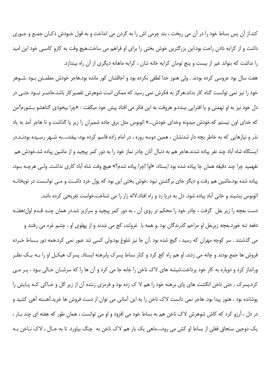كند.از آن پس بساط خود را در آن مي ريخت ، بند چرمي اش را به گردن مي انداخت و به قول خـودش دكـان جمـع و جـوري داشت و از کرایه دادن راحت بود.این بزرگترین خوش بختی را برای او فراهم می ساخت.هیچ وقت به کارو کاسبی خود این امید را نداشت که بتواند غیر از بیست و پنج تومان کرایه خانه شان ، کرایه ماهانه دیگری از آن راه بیندازد.

هفت سال بود عروسی کرده بودند . ولی هنوز خدا لطفی نکرده بود و اجاقشان کور مانده بود.هاجر خودش مطمـئن بـود .شــوهر خود را نیز نمی توانست گناه کار بداند.هرگز به فکرش نمی رسید که ممکن است شوهرش تقصیرکار باشد.حاضـر نبـود حتـی در دل خود نیز به او تهمتی و یا افترایی ببندد.و هروقت به این فکر می افتاد پیش خود میگفت : «چرا بیخودی گناهشو بـشورم؟من که خدای اون نیستم که.خودش میدونه وخدای خودش…» اتوبوس مثل برق جاده شمیران را زیر یا گذاشت و تا هاجر آمد به یاد نذر و نیازهایی که به خاطر بچه دار شدنشان ، همین دوسه روزه ، در امام زاده قاسم کرده بود، بیفتد،…به شـهر رسـیده بودنــد.در ایستگاه شاه آباد چند نفر پیاده شدند.هاجر هم به دنبال آنان چادر نماز خود را به دور کمر پیچید و از ماشین پیاده شد.خودش هم نفهميد چرا چند دقيقه همان جا پياده شده بود ايستاد: «اوا !چرا پياده شدم؟» هيچ وقت شاه آباد كاري نداشت. ولـي هرچـه بـود، پیاده شده بود.ماشین هم رفت و دیگر جای برگشتن نبود .خوش بختی این بود که پول خرد داشت و مـی توانـست در توپخانـه اتوبوس بنشیند و خانی آباد پیاده شود. دل به دریا زد و راه افتاد.لاله زار را می شناخت.خواست تفریحی کرده باشد.

دست بغچه را زیر بغل گرفت ، چادر خود را محکم تر روی آن ، به دور کمر پیچید و سرازیر شد.در همان چنـد قـدم اول:هفتـه دفعه تنه خورد.بغچه زیربغل او مزاحم گذرندگان بود .و همه با غرولند، کج می شدند و از پهلوی او ، چشم غره می رفتند و می گذشتند . سر کوچه مهران که رسید ، گیج شده بود .آن جا نیز شلوغ بود.ولی کسی تند عبور نمی کرد.همه دور بـساط خـرده فروش ها جمع بودند و چانه می زدند. او هم راه کج کرد و کنار بساط پسرک پابرهنه ایستاد. پسرک هیکـل او را بـه یـک نظـر

ورانداز کرد و دوباره به کار خود پرداخت.شیشه های لاک ناخن را جابه جا می کرد و آن ها را که سرشـان خـالی بـود ، پـر مـی کرد.پسرک ، حتی ناخن انگشت های پای برهنه خود را هم لا ک زده بود و قرمزی زننده آن از زیر گل و خـاکی کـه پـایش را پوشانده بود ، هنوز پیدا بود. هاجر نمی دانست لاک ناخن را به این آسانی می توان از دست فروش ها خرید.آهسته آهی کشید و در دل ، آرزو کرد که کاش شوهرش لاک ناخن هم به بساط خود می افزود و او می توانست ، همان طور که هفته ای چند بـار ، یک دوجین سنجاق قفلی از بساط او کش می رود،…ماهی یک بار هم لاک ناخن به چنگ بیاورد. تا به حـال ، لاک نــاخن بــه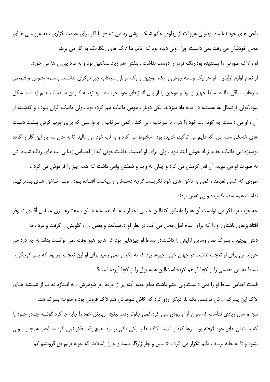ناخن های خود نمالیده بود.ولی هروقت از پهلوی خانم شیک پوشی رد می شد–و یا اگر برای خدمت گزاری ، به عروسی هـای محل خودشان می رفت.نمی دانست چرا ، ولی دیده بود که خانم ها لاک های رنگارنگ به کار می برند. او ، لاک صورتی را پسندیده بود.رنگ قرمز را دوست نداشت . بنفش هم زیاد سنگنین بود و به درد پیرزن ها می خورد. از تمام لوازم آرایش ، او جز یک وسمه جوش و یک موچین و یک قوطی سرخاب چیز دیگری نداشت.وسـمه جـوش و قـوطی سرخاب ، باقی مانده بساط جهیز او بود و موچین را از پس اندازهای خود خریـده بـود.تهیـه کـردن سـفیداب هـم زیـاد مـشكل نبود.کولی قرشمال ها همیشه در خانه داد میزدند. یکی دوبار ، هوس ماتیک هم کرده بود ، ولی ماتیک گران بـود ، و گذشـته از آن ، او می داسنت چه گونه لب خود را هم ، با سرخاب ، لی کند . کمی سرخاب را با وازلینی که برای چرب کردن پـشت دسـت های خشکی شده اش، که دایم می ترکید، خریده بود ، مخلوط می کرد و به لب خود می مالید. تا به حال سه بار این کار را کرده بود.مزه این ماتیک جدید زیاد خوش آیند نبود . ولی برای او اهمیت نداشت.خونی که از احساس زیبایی لب های رنگ شـده اش به صورت او می دوید، اَن قدر گرمش می کرد و چنان به وجد و شعفش وامی داشت که همه چیز را فراموش می کرد… طوری که کسی نفهمد ، کمی به ناخن های خود نگریست.گرچه دسـتش از ریخـت افتـاده بــود ، ولــی نــاخن هــای بــدترکیبی نداشت.همه سفید،کشیده و بی نقص بودند.

چه خوب بود اگر می توانست آن ها را مانیکور کند!این جا، بی اختیار ، به یاد همسایه شـان ، محتـرم ، زن عبـاس آقـای شـوفر افتاد.پزهای ناشتای او را که برای تمام اهل محل می آمد، در نظر آورد.حسادت و بغض ، راه گلویش را گرفت و درد ، ته دلش پیچید... پسرک تمام وسایل آرایش را داشت.در بساط او چیزهایی بود که هاجر هیچ وقت نمی توانست بداند به چه درد می خورند.این برای او تعجب نداشت.در جهان خیلی چیزها بود که به فکر او نمی رسید.برای او این تعجب آور بود که پسر کوچکی، بساط به این مفصلی را از کجا فراهم کرده است!این همه پول را از کجا آورده است؟

قیمت اجناس بساط او را نمی دانست.ولی حتم داشت تمام جعبه آینه پر از خرده ریز شوهرش ، به انـدازه ده تـا از شیـشه هـای لاک این پسرک ارزش نداشت. یک بار دیگر آرزو کرد که کاش شوهرش هم لاک فروش بود و متوجه پسرک شد.

سن و سال زیادی نداشت که بتوان از او رودرواسی کرد.کمی جلوتر رفت .بغچه زیربغل خود را جابه جا کرد.گوشـه چـادر خـود را که با دندان های خود گرفته بود ، رها کرد و قیمت لاک ها را یکی یکی پرسید. هیچ وقت فکر نمی کرد صـاحب همچــو پــولی بشود و تا به خانه برسد ، دایم تکرار می کرد : « بیس و چار زار؟!…بیسد و چارزار!…لابد اگه چونه بزنم یق قرونشم کم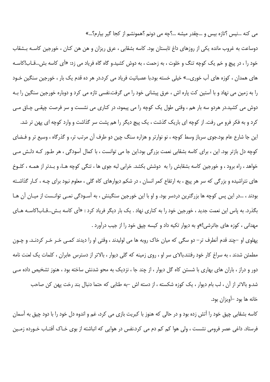می کنه …نیس ؟تازه بیس و …چقدر میشه …؟چه می دونم ؟همونشم از کجا گیر بیارم؟…»

دوساعت به غروب مانده یکی از روزهای داغ تابستان بود. کاسه بشقابی ، عرق ریزان و هن هن کنان ، خورجین کاسـه بـشقاب خود را ، در پیچ و خم یک کوچه تنگ و خلوت ، به زحمت ، به دوش کشید.و گاه گاه فریاد می زد: «آی کاسه بش...قـاب!کاسـه های همدان ، کوزه های آب خوری…» خیلی خسته بود.با عصبانیت فریاد می کرد.در هر ده قدم یک بار ، خورجین سنگین خـود را به زمین می نهاد و با آستین کت پاره اش ، عرق پیشانی خود را می گرفت.نفسی تازه می کرد و دوباره خورجین سنگین را بـه دوش می کشید.در هردو سه بار هم ، وقتی طول یک کوچه را می پیمود، در کناری می نشست و سر فرصت چپقـی چـاق مـی کرد و به فکر فرو می رفت. از کوچه ای باریک گذشت ، یک پیچ دیگر را هم پشت سر گذاشت و وارد کوچه ای پهن تر شد. این جا شارع عام بود.جوی سرباز وسط کوچه ، نو نوارتر و هزاره سنگ چین دو طرف آن مرتب تر، و گذرگاه ، وسیع تر و فـضای کوچه دل بازتر بود. این ، برای کاسه بشقابی نعمت بزرگی بود.این جا می توانست ، با کمال آسودگی ، هر طـور کـه دلـش مـی خواهد ، راه برود ، و خورجین کاسه بشقابش را به دوشش بکشد. خرابی لبه جوی ها ، تنگی کوچه هـا، و بـدتر از همـه ، کلـوخ های نتراشیده و بزرگی که سر هر پیچ ، به ارتفاع کمر انسان ، در شکم دیوارهای کاه گلی ، معلوم نبود برای چـه ، کـار گذاشـته بودند ، ...در این پس کوچه ها بزرگترین دردسر بود. و او با این خورجین سنگینش ، به آسـودگی نمـی توانـست از میـان آن هـا بگذرد. به پاس این نعمت جدید ، خورجین خود را به کناری نهاد . یک بار دیگر فریاد کرد : «آی کاسه بـش...قـاب!کاسـه هـای مهدانی ، کوزه های جاترشی!»و به دیوار تکیه داد و کیسه چپق خود را از جیب درآورد .

پهلوی او –چند قدم آنطرف تر– دو سگی که میان خاک روبه ها می لولیدند ، وقتی او را دیدند کمـی خـر خـر کردنـد. و چـون مطمئن شدند ، به سراغ کار خود رفتند.بالای سر او ، روی زمینه که گلی دیوار ، بالاتر از دسترس عابران ، کلمات یک لعنت نامه دور و دراز ، باران های بهاری با شستن کاه گل دیوار ، از چند جا ، نزدیک به محو شدنش ساخته بود ، هنوز تشخیص داده مے شد.و بالاتر از آن ، لب بام دیوار ، یک کوزه شکسته ، از دسته اش –به طنابی که حتما دنبال بند رخت یهن کن صاحب خانه ها بود –آویزان بود.

کاسه بشقابی چپق خود را آتش زده بود و در حالی که هنوز با کبریت بازی می کرد، غم و اندوه دل خود را با دود چپق به آسمان فرستاد. داغی عصر فرومی نشست ، ولی هوا کم کم دم می کرد.نفس در هوایی که انباشته از بوی خـاک آفتـاب خـورده زمـین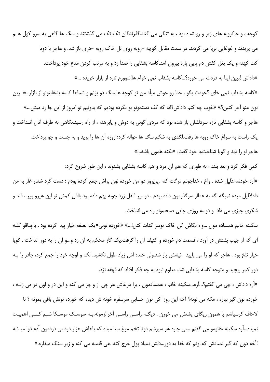کوچه ، و خاکروبه های زیر و رو شده بود ، به تنگی می افتاد.گذرندگان تک تک می گذشتند و سگ ها گاهی به سرو کول هــم می پریدند و غوغایی برپا می کردند. در سمت مقابل کوچه –روبه روی تل خاک روبه –دری باز شد. و هاجر با دوتا کت کهنه و یک بغل کفش دم پایی پاره بیرون آمد.کاسه بشقابی را صدا زد و به مرتب کردن متاع خود پرداخت. «داداش !ببین اینا به دردت می خوره؟...کاسه بشقاب نمی خوام ها!شوورم تازه از بازار خریده ...» «کاسه بشقاب نمی خای ؟خودت بگو ، خدا رو خوش میآد من تو کوچه ها سگ دو بزنم و شماها کاسه بشقابتونو از بازار بخـرین نون منو آجر کنین؟» «خوب چه کنم داداش؟!ما که کف دستمونو بو نکرده بودیم که بدونیم تو امروز از این جا رد میش…» هاجر و کاسه بشقابی تازه سردلشان باز شده بود که مردی گونی به دوش و پابرهنه ، از راه رسید.نگاهی به طرف آنان انـداخت و یک راست به سراغ خاک روبه ها رفت.لگدی به شکم سگ ها حواله کرد؛ زوزه آن ها را برید و به جست و جو پرداخت. هاجر او را دید و گویا شناخت.با خود گفت: «نکنه همون باشه…»

کمی فکر کرد و بعد بلند ، به طوری که هم آن مرد و هم کاسه بشقابی بشنوند ، این طور شروع کرد: «آره خودشه.ذلیل شده . واخ ، خداجونم مرگت کنه .پریروز دو من خورده نون براش جمع کرده بودم ؛ دست کرد شندر غاز به من داد!ذلیل مرده نمیگه اگه به عطار سرگذرمون داده بودم ، دوسیر فلفل زرد چوبه بهم داده بود.یااقل کمش تو این هیرو ویر ، قند و شکري چيزي مي داد و دوسه روزي چايي صبحمونو راه مي انداخت.

سكينه خانم همساده مون …واه نگاش كن خاك توسر گدات كنن!…» «خورده نوني»يك نصفه خيار پيدا كرده بود . باچـاقو كلـه ای که از جیب پشتش در آورد ، قسمت دم خورده و کثیف آن را گرفت.یک گاز محکم به آن زد و…و آن را به دور انداخت . گویا خیار تلخ بود . هاجر که او را می پایید ،نیشش باز شد.ولی خنده اش زیاد طول نکشید. لک و لوچه خود را جمع کرد، چادر را بـه دور کمر پیچید و متوجه کاسه بشقابی شد. معلوم نبود به چه فکر افتاد که قهقه نزد.

«آره داداش ، چې مې گفتم؟…آره…سکينه خانم ، همسادمون ، برا مرغاش هر چې از و چز مې کنه و اين در و اون در مې زنــه ، خورده نون گیر بیاره ، مگه می تونه؟ آخه این روزا کی نون حسابی سرسفره خونه ش دیده که خورده نونش باقی بمونه ؟ تا لاحاف کرسیاشم با همون ریگای پشتش می خورن . دیگـه راسـی راسـی آخرالزمونه،بـه سوسـک موسـکا شـم کـسی اهمیـت نمیده…آره سکینه خانومو می گفتم …بی چاره هر سپرشم دوتا تخم مرغ سیا میده که باهاش هزار درد بی دردمون آدم دوا میـشه !آخه دون که گیر نمیادش که.اونم که خدا به دور…دلش نمیاد پول خرج کنه .هی قلمبه می کنه و زیر سنگ میذاره.»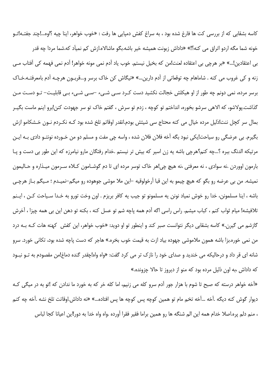کاسه بشقابی که از بررسی کت ها فارغ شده بود ، به سراغ کفش دمپایی ها رفت : «خوب خواهر، اینا چیه ؟اوه...!چند جفتـه!تـو خونه شما مگه اردو اتراق می کنه؟!» «داداش زبونت همیشه خیر باشه.بگو ماشالاه.ازش کم نمیآد که.شما مردا چه قدر بي اعتقادين!...» «بر هرچي بي اعتقاده لعنت!من كه بخيل نيستم. خوب ياد آدم نمي مونه خواهر! آدم نمي فهمه كي آفتاب مـي زنه و کی غروب می کنه . شاماهام چه توقعاتی از آدم دارین…» «نیگاش کن خاک برسر و…قربـون هرچـه آدم بامعرفتـه.خـاک برسر مردہ، نمی دونم چه طور از او هیکلش خجالت نکشید دست کـرد سـی شـیء –سـی شـیء بـی قابلیـت– تـو دسـت مـن گذاشت.يولاشو، كه الاهي سرشو بخوره، انداختم تو كوچه ، زدم تو سرش ، گفتم خاک تو سر جهودت كنن!برو اينم ماست بگيـر بمال سر کچل ننت!ذلیل مرده خیال می کنه محتاج سی شیئش بودم.انقدر اوقاتم تلخ شده بود کـه نکـردم نـون خـشکامو ازش بگيرم. بي عرضگي رو سياحت!يکي نبود بگه آخه فلان فلان شده ، واسه چي مفت و مسلم دو من خـورده نونتـو دادي بـه ايـن مرتیکه الدنگ ببره ؟…چه کنم؟هرچی باشه یه زن اسیر که بیش تر نیستم .خدام رفتگان مارو نیامرزه که این طور بی دست و پـا بارمون اووردن .نه سوادي ، نه معرفتي ،نه هيچ چي!هر خاک توسر مرده اي تا دم گوشـامون کـلاه سـرمون ميـذاره و حـاليمون نمیشه. من بی عرضه رو بگو که هیچ چیمو به این قبا آرخولوقیه –این ملا موشی جوهوده رو میگم–نمیـدم ؛ مـیگم بـاز هرچـی باشه ، اينا مسلمونن، خدا رو خوش نمياد نونن يه مسلمونو تو جيب يه كافر بريزم . اون وخت تورو به خـدا سـياحت كـن ، ايـنم تلافيشه! ميام ثواب كنم ، كباب ميشم. راس راسي اگه آدم همه پاچه شم تو عسل كنه ، بكنه تو دهن اين بي همه چيزا ، آخرش گازشم می گیرن.» کاسه بشقابی دیگر نتوانست صبر کند و اینطور تو او دوید: «خوب خواهر، این کفش کهنه هات کـه بـه درد من نمي خوره.بزا باشه همون ملاموشي جهوده بياد ازت به قيمت خوب بخره.» هاجر كه دست پاچه شده بود، تكاني خورد. سرو شانه ای قر داد و درحالیکه می خندید و صدای خود را نازک تر می کرد گفت: «واه واه!چقدر گنده دماغ!من مقصودم به تــو نبــود که داداش ،به اون ذلیل مرده بود که منو از دیروز تا حالا چزونده.»

«آخه خواهر درسته که صبح تا شوم با هزار جور آدم سرو کله می زنیم، اما کله خر که به خورد ما ندادن که !تو به در میگی ک ديوار گوش كنه ديگه .آخه …آخه تخم مام تو همين كوچه پس كوچه ها پس افتاده…» «نه داداش.اوقاتت تلخ نشه .آخه چه كنم ، منم دلم پره.اصلا خدام همه این الم شنگه ها رو همین براما فقیر فقرا آورده .واه واه خدا به دور!این اعیانا کجا لباس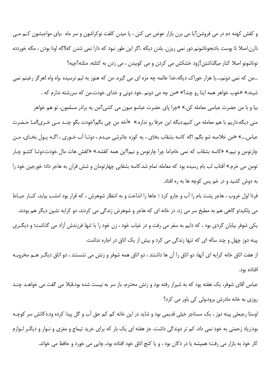و کفش کهنه دم در می فروشن؟یا می برن بازار عوض می کنن ، یا میدن کلفت نوکراشون و سر ماه ،پای مواجبشون کـم مـی ذارن.اصلا تا پوست بادنجوناشونم دور نمی ریزن. بلدن دیگه .اگر این طور نبود که دارا نمی شدن که!اگه اونا بودن ، مگه خوردده نوناشونو اصلا كنار ميگذاشتن؟زود خشكش مى كردن و مى كوبيدن ، مى زدن به كتلته، متلته؟چيه؟

...من که نمی دونم،...یا هزار خوراک دیگه.خدا عالمه چه مزه ای می گیره. من که هنوز به لبم نرسیده .واه واه !هرگز رغبتم نمی شینه.» «خوب خواهر همه اینا رو چند؟» «من چه می دونم .خود دونی و خدای خودت.من که سررشته ندارم که .

بيا و با من حضرت عباسي معامله كن.» «چرا پاي حضرت عباسو ميون مي كشي؟من يه برادر مسلمون، تو هم خواهر منی دیگه.داریم با هم معامله می کنیم.دیگه این حرفا رو نداره.» «آخه من چی بگم؟خودت بگو چنـد مـی خـری!امـا حـضرت عباس….» «من خلاصه شو بگم، اگه کاسه بشقاب بخای ، یه کوزه جاترشی میـدم ، دوتـا آب خـوری ، اگـه پـول بخـای، مـن چارتومن و نیم.» «کاسه بشقاب که نمی خام.اما چرا چارتومن و نیم؟این همه کفشه.» «کفش هات مال خودت.دوتـا کتتـو چـار تومن مي خرم.» آفتاب لب بام رسيده بود كه معامله تمام شد.كاسه بشقابي چهارتومان و شش قران به هاجر داد؛ خورجين خود را به دوش کشید و در خم پس کوچه ها به ره افتاد.

فردا اول غروب ، هاجر پشت بام را آب و جارو کرد ؛ جاها را انداخت و به انتظار شوهرش ، که قرار بود امشب بیاید، کنـار حیـاط می پلکید؛و گاهی هم به مطبخ سر می زد. در خانه ای که هاجر و شوهرش زندگی می کردند، دو کرایه نشین دیگر هم بودند. یکی شوفر بیابان گردی بود ، که دایم به سفر می رفت و در غیاب خود ، زن خود را با تنها فرزندش آزاد می گذاشت؛ و دیگ ری پینه دوز چهل و چند ساله ای که تنها زندگی می کرد و بیش از یک اتاق در اجاره نداشت. از هفت اتاق خانه کرایه ای آنها، دو اتاق را آن ها داشتند ، دو اتاق همه شوفر و زنش می نشستند ، دو اتاق دیگ رهــم مخروبـه

افتاده ىود.

عباس آقای شوفر، یک هفته بود که به شیراز رفته بود و زنش محترم، باز سر به نیست شده بود.قبلا می گفت می خواهــد چنــد روزی به خانه مادرش برود.ولی کی باور می کرد؟

اوستا رجبعلی پینه دوز ، یک مستاجر خیلی قدیمی بود و شاید در این خانه کم کم حق آب و گل پیدا کرده ود.دکانش سر کوچـه بود.زیاد زحمتی به خود نمی داد، کم تر دوندگی داشت، جز هفته ای یک بار که برای خرید تیماج و مغزی و نـوار و دیگـر لـوازم کار خود به بازار می رفت؛ همیشه یا در دکان بود ، و یا کنج اتاق خود افتاده بود، چاپی می خورد و حافظ می خواند.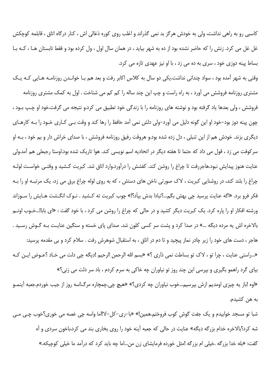کاسبی رو به راهی نداشت، ولی به خودش هرگز بد نمی گذراند و اغلب روی کوره ذغالی اش ، کنار درگاه اتاق ، قابلمه کوچکش غل غل می کرد. زنش را که حاضر نشده بود از ده به شهر بیاید ، در همان سال اول ، ول کرده بود و فقط تابستان هـا ، کـه بـا بساط پینه دوزی خود ، سری به ده می زد ، با او نیز عهدی تازه می کرد.

وقتی به شهر آمده بود ، سواد چندانی نداشت.یکی دو سال به کلاس اکابر رفت و بعد هم بـا خوانـدن روزنامـه هـایی کـه یـک مشتری روزنامه فروشش می آورد ، به راه راست و چپ این چند ساله را کم کم می شناخت . اول به کمک مشتری روزنامه فروشش ، ولي بعدها ياد گرفته بود و نوشته هاي روزنامه را با زندگي خود تطبيق مي كرد.و نتيجه مي گرفت.خود او چپ بـود ، چون پینه دوز بود–خود او این گونه دلیل می آورد–ولی دلش نمی آمد حافظ را رها کند و وقت بـی کـاری خـود را بـه کارهـای دیگری بزند. خودش هم از این تنبلی ، دل زده شده بود.و هروقت رفیق روزنامه فروشش ، با صدای خراش دار و بم خود ، بـه او سرکوفت می زد ، قول می داد که حتما تا هفته دیگر در اتحادیه اسم نویسی کند. هوا تاریک شده بود.اوستا رجبعلی هم آمد.ولی عنایت هنوز پیدایش نبود.هاجررفت تا چراغ را روشن کند. کفشش را درآورد.وارد اتاق شد. کبریت کـشید و وقتـی خواسـت لولـه چراغ را بلند کند، در روشنایی کبریت ، لاک صورتی ناخن های دستش ، که به روی لوله چراغ برق می زد، یک مرتبـه او را بـه فکر فرو برد. «اگه عنایت پرسید چی بهش بگم…؟نبادا بدش بیآد؟!» چوب کبریت ته کـشید . نـوک انگـشت هـایش را سـوزاند ورشته افکار او را پاره کرد. یک کبریت دیگر کشید و در حالی که چراغ را روشن می کرد ، با خود گفت : «ای بابا!...خـوب اونـم بالاخره اش یه مرده دیگه …» در صدا کرد و پشت سر کسی کلون شد. صدای پای خسته و سنگین عنایت بـه گـوش رسـید . هاجر ، دست های خود را زیر چادر نماز پیچید و تا دم در اتاق ، به استقبال شوهرش رفت . سلام کرد و بی مقدمه پرسید: «...راستي عنايت ، چرا تو ، لاک تو بساطت نمي ذاري ؟» «بسم الله الرحمن الرحيم !ديگه چي دلت مي خـاد ؟عـوض ايـن کـه بیای گرد راهمو بگیری و بپرسی این چند روز تو نیاوران چه خاکی به سرم کردم ، باد سر دلت می زنی؟»

«اوه !باز په چیزی اومدیم ازش بیرسیم…خوب نیاوران چه کردی؟» «هیچ چی.چمچاره مرگ!سه روز از جیب خوردم.جعبه آینمـو به هن کشیدم.

شبا تو مسجد خوابیدم و یک جفت گوش کوب فروختم.همین!» «با–ری–کل–لا!اما واسه چی غصه می خوری؟خوب چـی مـی شه کرد؟بالاخره خدام بزرگه دیگه» عنایت در حالی که جعبه آینه خود را روی بخاری بند می کرد،باخون سردی و آه گفت: «بله خدا بزرگه .خیلی ام بزرگه !مثل خورده فرمایشای زن من...اما چه باید کرد که درآمد ما خیلی کوچیکه.»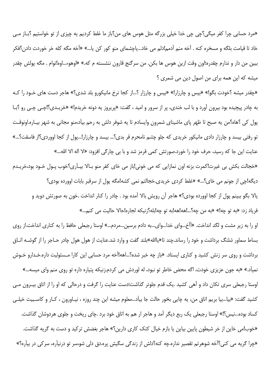«مرد حسابی چرا کفر میگی؟چی چی خدا خیلی بزرگه مثل هوس های من؟باز ما غلط کردیم یه چیزی از تو خواستیم ؟بـاز مـی خاد تا قیامت بلگه و مسخره کنه . آخه منم آدمم!دلم می خاد…یاچشمای منو کور کن پا…» «آخه مگه کله خر خوردت دادن؟فکر ببین من دار و ندارم چقدره؛اون وقت ازین هوس ها بکن. من سرگنج قارون ننشسته م که.» «اوهوء...اوه!توام . مگه پولش چقدر میشه که این همه برای من اصول دین می شمری ؟

«چقدر میشه ؟خودت بگو!» «بیس و چارزار!» «بیس و چارزار ؟…از کجا نرخ مانیکورو بلد شدی؟» هاجر دست های خـود را کـه به چادر پیچیده بود بیرون آورد و با لب خندی، پر از سرور و امید ، گفت: «پریروز یه دونه خریدم!» «خریـدی؟!چـی چـی رو ؟بـا پول کی ؟هاه؟من یه صبح تا ظهر پای ماشینای شمرون واپسادم تا یه شوفر دلش به رحم بیآد،منو مجانی به شهر بیـاره.اونوقـت تو رفتی بیسد و چارزار دادی مانیکور خریدی که جلو چشم نامحرم قر بدی؟... بیسد و چارزار!...پول از کجا اووردی؟از فاسقت؟...» عنايت اين جا كه رسيد، حرف خود را خورد.صورتش كمي قرمز شد و با بي چارگي افزود: «لا اله الا الله…» «خجالت بکش بی غیرت!کمرت بزنه اون نمازایی که می خونی!باز می خای کفر منو بـالا بیـاَری؟خوب پـول خـود بود،خریـدم دیگه!چی از جونم می خای؟…» «غلط کردی خریدی.خجالتم نمی کشه!مگه پول از سرقبر بابات اوورده بودی؟

یالا بگو ببینم پول از کجا اوورده بودی؟» هاجر آن رویش بالا آمده بود . چادر را کنار انداخت .خون به صورتش دوید و فرياد زد: «به تو چه!» «به من چه؟...!هه!هه!به تو چه!بله؟زنيكه لجاره!حالا حاليت مي كنم...»

او را به زیر مشت و لگد انداخت. «آآخ…وای خدا…وای…به دادم برسین…مردم…» اوستا رجبعلی حافظ را به کناری انداخت.از روی بساط سماور شلنگ برداشت و خود را رساند.چند تا«پاﷲ»بلند گفت و وارد شد.عنایت از هول هول چادر حـاجر را از گوشــه اتـاق برداشت و روی سر زنش کشید و کناری ایستاد. «باز چه خبر شده؟...اهه!اّخه مرد حسابی این کارا مـسئولیت داره.خـدارو خـوش نمیآد.» «به جون عزیزی خودت، اگه محض خاطر تو نبود، له لوردش می کردم.زنیکه پتیاره داره تو روی منم وای میسه…» اوستا رجبعلی سری تکان داد و آهی کشید .یک قدم جلوتر گذاشت؛دست عنایت را گرفت و درحالی که او را از اتاق بیـرون مـی كشيد گفت: «بيا…بيا بريم اتاق من، يه چايي بخور حالت جا بيآد…معلوم ميشه اين چند روزه ، نيـاورون ، كـار و كاسـبيت خيلـي کساد بوده…نیس؟!» اوستا رجبعلی یک ربع دیگر آمد و هاجر ار هم به اتاق خود برد .چای ریخت و جلوی هردوشان گذاشت. «خوب!می خاین از خر شیطون پایین بیاین یا بازم خیال کتک کاری دارین؟» هاجر بغضش ترکید و دست به گریه گذاشت. «چرا گریه می کنی؟آخه شوهرتم تقصیر نداره.چه کنه؟دلش از زندگی سگیش پره.دق دلی شو،سر تو درنیآره، سرکی در بیآره؟»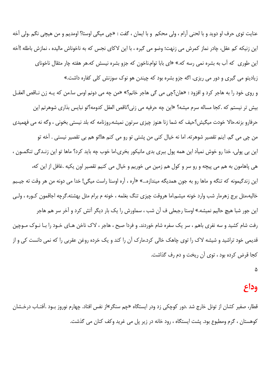عنايت توى حرف او دويد و با لحنى آرام ، ولى محكم و با ايمان ، گفت : «چى ميگى اوستا؟ اومديم و من هيچى نگم .ولى آخه این زنیکه کم عقل، چادر نماز کمرش می زنهت؛ وضو می گیره ، با این لاکای نجس که به ناخوناش مالیده ، نمازش باطله !آخه این طوری که آب به بشره نمی رسه که.» «ای بابا توام.ناخون که جزو بشره نیسش که.هر هفته چار مثقال ناخونای زیادیتو می گیری و دور می ریزی. اگه جزو بشره بود که چیندن هو نوک سوزنش کلی کفاره داشت.» و روى خود را به هاجر كرد و افزود : «هان؟چى مى گى هاجر خانم؟» «من چه مى دونم اوس سا.من كه يـه زن نـاقص العقـل بيش تر نيستم كه .كجا مساله سرم ميشه؟ «اين چه حرفيه مي زني؟ناقص العقل كدومه؟تو نبايس بذاري شوهرتم اين حرفارو بزنه.حالا خودت میگیش؟حیف که شما زنا هنوز چیزی سرتون نمیشه.روزنامه که بلد نیستی بخونی ، وگه نه می فهمیدی من چی می گم. اینم تقصیر شوهرته. اما نه خیال کنی من پشتی تو رو می کنم ها!تو هم بی تقصیر نیستی . آخه تو این بی پولی، خدا رو خوش نمیآد این همه پول ببری بدی مانیکور بخری.اما خوب چه باید کرد؟ ماها تو این زنـدگی تنگمـون ، هي پاهامون به هم مي پيچه و رو سر و كول هم زمين مي خوريم و خيال مي كنيم تقصير اون يكيه .غافل از اين كه، این زندگیمونه که تنگه و ماها رو به جون همدیگه میندازه…» «آره ، آره اوستا راست میگی! خدا می دونه من هر وقت ته جیـبم خاليه،مثل برج زهرمار شب وارد خونه ميشم.اما هروقت چيزي تنگ بغلمه ، خونه م برام مثل بهشته.گرچه اجاقمون كـوره ، ولـي این جور شبا هیچ حالیم نمیشه.» اوستا رجبعلی ف آن شب ، سماورش را یک بار دیگر آتش کرد و آخر سر هم هاجر رفت شام کشید و سه نفری باهم ، سر یک سفره شام خوردند. و فردا صبح ، هاجر ، لاک ناخن هـای خـود را بـا نـوک مـوچین قدیمی خود تراشید و شیشه لاک را توی چاهک خالی کرد.مارک آن را کند و یک خرده روغن عقربی را که نمی دانست کی و از كجا قرض كرده بود ، توى أن ريخت و دم رف گذاشت.

# وداع

قطار، صفير كشان از تونل خارج شد .دور كوچكي زد ودر ايستگاه «چم سنگر»از نفس افتاد. چهارم نوروز بـود .آفتـاب درخـشان کوهستان ، گرم ومطبوع بود. پشت ایستگاه ، رود خانه در زیر پل می غرید وکف کنان می گذشت.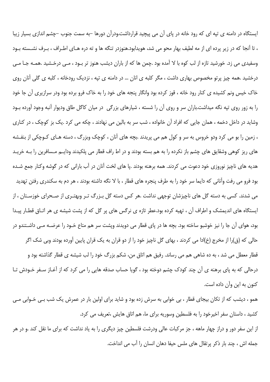ایستگاه در دامنه ی تپه ای که رود خانه در پای آن می پیچید قرارداشت.ودرآن دورها –به سمت جنوب –چشم اندازی بسیار زیبا ، تا آنجا که در زیر پرده ای از مه لطیف بهار محو می شد، هویدابود.هنوزدر تنگه ها و ته دره هـای اطـراف ، بـرف نشـسته بـود وسفیدی می زد. خورشید تازه از لب کوه با لا آمده بود .چمن ها که از باران دیشب هنوز تر بـود ، مـی درخـشید .همـه جـا مـی درخشید .همه چیز پرتو مخصوص بهاری داشت ، مگر کلبه ی انان … در دامنه ی تپه ، نزدیک رودخانه ، کلبه ی گلی آنان روی خاک خیس ونم کشیده ی کنار رود خانه ، قوز کرده بود وانگار پنجه های خود را به خاک فرو برده بود ودر سرازیری آن جا خود را به زور روی تپه نگه میداشت.باران سر و روی آن را شسته ، شیارهای بزرگی در میان کاگل طاق ودیوار آنبه وجود آورده بـود وشاید در داخل دخمه ، همان جایی که افراد آن خانواده ، شب سر به بالین می نهادند ، چکه می کرد .یک بز کوچک ، در کناری ، زمین را بو می کرد ودو خروس به سر و کول هم می پریدند .بچه های آنان ، کوچک وبزرگ ، دسته هـای کـوچکی از بنفـشه های ریز کوهی وشقایق های چشم باز نکرده را به هم بسته بودند و در اط راف قطار می پلکیدند ودایـم مـسافرین را بـه خریـد هدیه های ناچیز نوروزی خود دعوت می کردند. همه برهنه بودند .پا های لخت آنان در آب بارانی که در گوشه وکنار جمع شـده بود فرو می رفت وآنانی که دایما سر خود را به طرف پنجره های قطار ، با لا نگه داشته بودند ، هر دم به سکندری رفتن تهدید می شدند. کسی به دسته گل های ناچیزشان توجهی نداشت .هر کس دسته گل بـزرگ تـر وبهتـری از صـحرای خوزسـتان ، از ایستگاه های اندیمشک و اطراف آن ، تهیه کرده بود.عطر تازه ی نرگس های پر گل که از پشت شیشه ی هر اتـاق قطـار پیـدا بود، هوای آن جا را نیز خوشبو ساخته بود. بچه ها در پای قطار می دویدند وپشت سر هم متاع خـود را عرضــه مــی داشـتندو در حالي كه (ق)را از مخرج (خ)ادا مي كردند ، بهاي گل ناچيز خود را از دو قران به يک قران پايين آورده بودند وبي شک اگر قطار معطل می شد ، به ده شاهی هم می رساند. رفیق هم اتاق من، شکم بزرگ خود را لب شیشه ی قطار گذاشته بود و درحالی که به پای برهنه ی آن چند کودک چشم دوخته بود ، گویا حساب صدقه هایی را می کرد که از آغـاز سـفر خـودش تـا كنون به اين وآن داده است.

همو ، دیشب که از تکان بیجای قطار ، بی خوابی به سرش زده بود و شاید برای اولین بار در عمرش یک شب بـی خـوابی مـی كشيد ، داستان سفر اخيرخود را به فلسطين وسوريه براي ما، هم اتاق هايش ،تعريف مي كرد.

از این سفر دور و دراز چهار ماهه ، جز مرکبات عالی ودرشت فلسطین چیز دیگری را به یاد نداشت که برای ما نقل کند .و در هر جمله اش ، چند بار ذکر پرتقال های ملس حیفا دهان انسان را آب می انداخت.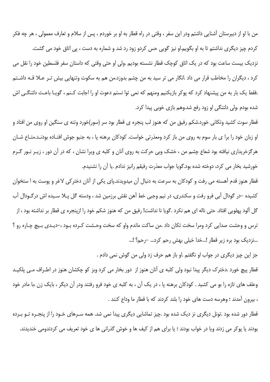من با او از دبیرستان آشنایی داشتم ودر این سفر ، وقتی در راه قطار به او بر خوردم ، پس از سلام و تعارف معمولی ، هر چه فكر کردم چیز دیگری نداشتم تا به او بگویم.او نیز گویی حس کردو زود رد شد و شماره به دست ، پی اتاق خود می گشت. نزدیک بیست ساعت بود که در یک اتاق کوچک قطار نشسته بودیم .ولی او حتی وقتی که داستان سفر فلسطین خود را نقل می کرد ، دیگران را مخاطب قرار می داد .انگار می تر سید به من چشم بدوزد.من هم به سکوت وتنهایی بیش تـر عــلا قــه داشـتم .فقط یک بار به من پیشنهاد کرد که پوکر بازیکنیم ومنهم که نمی توا نستم دعوت او را اجابت کـنم ، گویـا باعـث دلتنگـی اش شده بودم .ولي دلتنگي او زود رفع شد.وهم بازي خوبي پيدا كرد.

قطار سوت کشید وتکانی خورد.شکم رفیق من که هنوز لب پنجره ی قطار بود سر (سور)خورد وتنه ی سنگین او روی من افتاد و او زبان خود را برا ی بار سوم به روی من باز کرد ومعذرتی خواست. کودکان برهنه پا ، به جنبو جوش افتـاده بودنـد.متـاع شـان هرگزخریداری نیافته بود شعاع چشم من ، خشک وبی حرکت به روی آنان و کلبه ی ویرا نشان ، که در آن دور ، زیـر نـور گـرم خورشید بخار می کرد، دوخته شده بود.گویا جواب معذرت رفیقم رانیز ندادم .یا آن را نشنیدم.

قطار هنوز قدم آهسته می رفت و کودکان به سرعت به دنبال آن میدویدند.پای یکی از آنان دخترکی لاغر و پوست به ا ستخوان کشیده –در گودال آبی فرو رفت و سکندری، در نیم وجبی خط آهن نقش برزمین شد ، ودسته گل پـلا سـیده اش درگـودال آب گل آلود پهلويي افتاد. حتی ناله ای هم نکرد .گويا نا نداشت! رفيق من که هنوز شکم خود را ازينجره ی قطار بر نداشته بود ، از ترس و وحشت صدایی کرد ومرا سخت تکان داد .من ساکت ماندم واو که سخت وحـشت کـرده بـود ،–دیـدی بـیچ چـاره رو ؟ ...نزدیک بود بره زیر قطار !...خدا خیلی بهش رحم کرد... –رحم؟ !...

جز اين چيز ديگري در جواب او نگفتم .او باز هم حرف زد ولي من گوش نمي دادم .

قطار پیچ خورد .دخترک دیگر پیدا نبود ولی کلبه ی آنان هنوز از دور بخار می کرد وبز کو چکشان هنوز در اطـراف مـی پلکیـد وعلف های تازه را بو می کشید . کودکان برهنه یا ، در یک آن ، به کلبه ی خود فرو رفتند ودر آن دیگر ، بایک زن ،با مادر خود ، بیرون آمدند ؛ وهرسه دست های خود را بلند کردند که با قطار ما وداع کنند .

قطار دور شده بود .تونل دیگری نز دیک شده بود .چیز تماشایی دیگری پیدا نمی شد. همه سـرهای خـود را از پنجـره تـو بـرده بودند یا یوکر می زدند ویا در خواب بودند ؛ یا برای هم از کیف ها و خوش گذرانی ها ی خود تعریف می کردندومی خندیدند.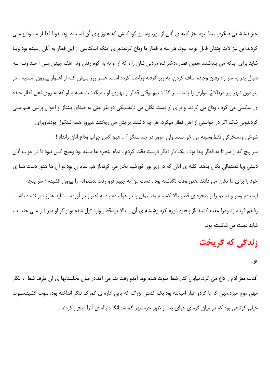چیز تما شایی دیگری پیدا نبود .جز کلبه ی آنان از دور، ومادرو کودکانش که هنوز پای آن ایستاده بودنـدوبا قطـار مـا وداع مـی كردند.اين نيز لابد چندان قابل توجه نبود. هر سه با قطار ما وداع كردند.براي اينكه اسكناسي از اين قطار به آنان رسيده بود ويـا شاید برای اینکه می پنداشتند همین قطار ،دخترک، مردنی شان را ، که از او نه به کوه رفتن ونه علف چیدن مـی آ مـد ونـه بـه دنبال پدر به سر راه رفتن وجاده صاف کردن، به زیر گرفته وراحت کرده است. عصر روز پـیش کـه از اهـواز بیـرون آمـدیم ، در پیرامون شهر پیر مردالاغ سواری را پشت سر گذا شتیم .وقتی قطار از پهلوی او ، میگذشت همه با او که به روی اهل قطار خنده ی نمکینی می کرد ، وداع می کردند و برای او دست تکان می دادند.یکی دو نفر حتی به صدای بلنداز او احوال پرسی هــم مــی کردندوبی شک اگر در خواستی از اهل قطار میکرد، هر چه داشتند برایش می ریختند .دیروز همه شنگول بودندوبرای شوخی ومسخرگی فقط وسیله می خوا ستند.ولی امروز در چم سنگر ؟... هیچ کس جواب وداع آنان رانداد ! سر پیچ که از سر تا ته قطار پیدا بود ، یک بار دیگر درست دقت کردم . تمام پنجره ها بسته بود وهیچ کس نبود تا در جواب آنان

دستی ویا دستمالی تکان بدهد. کلبه ی آنان که در زیر نور خورشید بخار می کرد،باز هم نمایا ن بود .و آن ها هنوز دست هـا ی خود را برای ما تکان می دادند .هنوز وقت نگذشته بود . دست من به جیبم فرو رفت .دستمالم را بیرون کشیدم ؛ سر پنجه ایستادم وسر و دستم را از پنجره ی قطار بالا کشیدم ودستمال را در هوا ، دم باد به اهتزاز در آوردم …شاید هنوز دیر نشده باشد. رفيقم فرياد زد ومرا عقب كشيد .از پنجره دورم كرد وشيشه ي آن را بالا برد.قطار وارد تول شده بودواگر او دير تـر مـي جنبيـد ، شايد دست من شكسته بود.

## زندگی که گریخت

۶

آفتاب مغز آدم را داغ می کرد.خیابان کنار شط خلوت شده بود. آمدو رفت بند می آمد.در میان نخلستانها ی آن طرف شط ، انگار مهی موج میزد.مهی که با گردو غبار آمیخته بود.یک کشتی بزرگ که پایی اداره ی گمرک لنگر انداخته بود، سوت کشید.سـوت خیلی کوتاهی بود که در میان گرمای هوای بعد از ظهر خرمشهر گم شد.انگا دنباله ی آنرا قیچی کردند .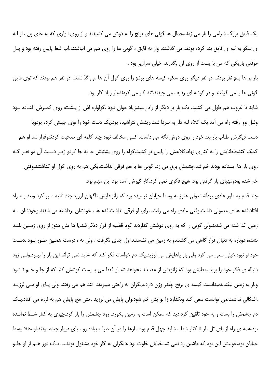یک قایق بزرگ شراعی را بار می زدند.حمال ها گونی های برنج را به دوش می کشیدند و از روی الواری که به جای پل ، از لبه ی سکو به لبه ی قایق بند کرده بودند می گذشتند واز ته قایق ، گونی ها را روی هم می انباشتند.آب شط پایین رفته بود و پـل موقتی باریکی که می با یست از روی آن بگذرند، خیلی سرازیر بود .

بار بر ها پنج نفر بودند .دو نفر دیگر روی سکو، کیسه های برنج را روی کول آن ها می گذاشتند .دو نفر هم بودند که توی قایق گونی ها را می گرفتند و در گوشه ای ردیف می چیدند.تند کار می کردند.بار زیاد کار بود.

شاید تا غروب هم طول می کشید. یک بار بر دیگر از راه رسید.زیاد جوان نبود .کولواره اش از پـشت، روی کمـرش افتـاده بـود وشل ووا رفته راه می آمد.یک کلاه لبه دار به سردا شت.ریشش نتراشیده بود.یک دست خود را توی جیبش کرده بودوبا دست دیگرش طناب بار بند خود را روی دوش نگه می داشت. کسی مخالف نبود چند کلمه ای صحبت کردندوقرار شد او هم کمک کند.ططنابش را به کناری نهاد.کلاهش را پایین تر کشید.کوله را روی پشتیش جا به جا کردو زیـر دسـت آن دو نفـر کـه روی بار ها ایستاده بودند خم شد.چشمش برق می زد. گونی ها با هم فرقی نداشت.یکی هم به روی کول او گذاشتند.وقتی خم شده بودومهیای بار گرفتن بود، هیچ فکری نمی کرد.کار گیرش آمده بود این مهم بود.

چند قدم به طور عادی برداشت.ولی هنوز به وسط خیابان نرسیده بود که زانوهایش ناگهان لرزید.چند ثانیه صبر کرد وبعد بـه راه افتاد.قدم ها ی معمولی داشت.وقتی عادی راه می رفت، برای او فرقی نداشت.قدم ها ، خودشان برداشته می شدند وخودشان بـه زمین گذا شته می شدند.ولی گونی را که به روی دوشش گذاردند گویا قضیه از قرار دیگر شد.پا ها پش هنوز از روی زمـین بلنـد نشده، دوباره به دنبال قرار گاهی می گشتندو به زمین می نشستند.اول جدی نگرفت ، ولی نه ، درست همـین طـور بـود .دسـت خود او نبود.خیلی سعی می کرد ولی باز یاهایش می لرزید.یک دم خواست فکر کند که شاید نمی تواند این بار را بب د.ولـی زود دنباله ی فکر خود را برید .مطمئن بود که زانویش از عقب تا نخواهد شد.او فقط می با پست کوشش کند که از جلـو خـم نـشود وبار به زمین نیفتد.نمیدانست کیسه ی برنج چقدر وزن دارد.دیگران به راحتی میبردند تند هم می رفتند ولی پـای او مـی لرزیـد .اشکالی نداشت.می توانست سعی کند ونگذارد زا نو پش خم شود.ولی پایش می لرزید .حتی مچ پایش هم به لرزه می افتاد.یـک دم چشمش را بست و به خود تلقین کرد.دید که ممکن است به زمین بخورد. زود چشمش را باز کرد.چیزی به کنار شـط نمانـده بود.همه ی راه از پای تل بار تا کنار شط ، شاید چهل قدم بود .بارها را در آن طرف پیاده رو ، پای دیوار چیده بودند.او حالا وسط خیابان بود.خوبیش این بود که ماشین رد نمی شد.خیابان خلوت بود .دیگران به کار خود مشغول بودنـد .یـک دور هــم از او جلــو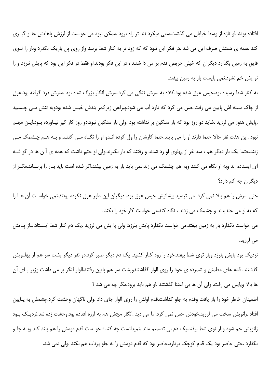افتاده بودند.او تازه از وسط خیابان می گذشت.سعی میکرد تند تر راه برود .ممکن نبود می خواست از لرزش پاهایش جلـو گیـری کند .همه ی همتش صرف این می شد .در فکر این نبود که که زود تر به کنار شط برسد واز روی پل باریک بگذرد وبار را تـوی قایق به زمین بگذارد دیگران که خیلی حریص قدم بر می دا شتند ، در این فکر بودند.او فقط در فکر این بود که پایش نلرزد و زا نو پش خم نشود.نمی بایست بار به زمین بیفتد.

به کنار شط رسیده بود.خیس عرق شده بود.کلاه به سرش تنگی می کرد.سرش انگار بزرگ شده بود .مغزش درد گرفته بود.عرق از چاک سینه اش پایین می رفت.حس می کرد که دارد آب می شود.پیراهن زیر کمر بندش خیس شده بودوبه تنش مـی چـسبید .پایش هنوز می لرزید .شاید دو روز بود که بار سنگین بر نداشته بود .ولی بار سنگین نبود.دو روز کار گیر نیـاورده بـود.ایـن مهـم نبود .این هفت نفر حالا حتما دارند او را می پایند.حتما کارشان را ول کرده انـدو او را نگــاه مــی کننـد و بـه هــم چـشمک مــی زنند.حتما یک بار دیگر هم ، سه نفر از پهلوی او رد شدند و رفتند که بار بگیرند.ولی او حتم داشت که همه ی آ ن ها در گو شـه ای ایستاده اند وبه او نگاه می کنند وبه هم چشمک می زند.نمی باید بار به زمین بیفتد.اگر شده است باید بـار را برسـاند.مگـر از دیگران چه کم دارد؟

حتی سرش را هم بالا نمی کرد. می ترسید.پیشانیش خیس عرق بود. دیگران این طور عرق نکرده بودند.نمی خواست آن هـا را که به او می خندیدند و چشمک می زدند ، نگاه کند.می خواست کار خود را بکند .

می خواست نگذارد بار به زمین بیفتد.می خواست نگذارد پایش بلرزد؛ ولی یا پش می لرزید .یک دم کنار شط ایـستاد.بـاز پـایش مے ،لرزید.

نزدیک بود پایش بلرزد وبار توی شط بیفتد.خود را زود کنار کشید. یک دم دیگر صبر کرد.دو نفر دیگر پشت سر هم از پهلـویش گذشتند. قدم های مطمئن و شمرده ی خود را روی الوار گذاشتندوپشت سر هم پایین رفتند.الوار لنگر بر می داشت وزیر پـای آن ها بالا وپایین می رفت. ولی آن ها بی اعتنا گذشتند .او هم باید برود.مگر چه می شد ؟

اطمینان خاطر خود را باز یافت وقدم به جلو گذاشت.قدم اولش را روی الوار جای داد .ولی ناگهان وحشت کرد.چشمش به پـایین افتاد .زانویش سخت می لرزید.خودش حس نمی کرد.اما می دید .انگار مچش هم به لرزه افتاده بود.وحشت زده شد.نزدیـک بـود زانویش خم شود وبار توی شط بیفتد.یک دم بی تصمیم ماند .نمیدانست چه کند ؛ خوا ست قدم دومش را هم بلند کند وبـه جلـو بگذارد .حتی حاضر بود یک قدم کوچک بردارد.حاضر بود که قدم دومش را به جلو پرتاب هم بکند .ولی نمی شد.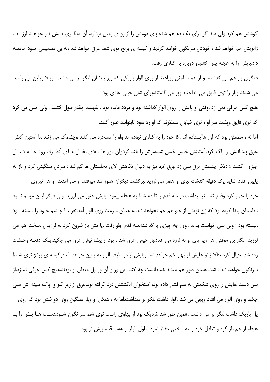کوشش هم کرد ولی دید اگر برای یک دم هم شده پای دومش را از رو ی زمین بردارد، آن دیگـری بـیش تـر خواهـد لرزیـد ، زانویش خم خواهد شد ، خودش سرنگون خواهد گردید و کیسه ی برنج توی شط غرق خواهد شد ،به بی تصمیمی خـود خاتمـه داد.پایش را به عجله پس کشیدو دوباره به کناری رفت.

دیگران باز هم می گذشتند وباز هم مطمئن وبیاعتنا از روی الوار باریکی که زیر پایشان لنگر بر می داشت وبالا وپاین می رفت می شدند وبار را توی قایق می انداختند وبر می گشتند.برای شان خیلی عادی بود.

هیچ کس حرفی نمی زد .وقتی او پایش را روی الوار گذاشته بود و مردد مانده بود ، نفهمید چقدر طول کشید ؛ ولی حس می کرد که توی قایق ویشت سر او ، توی خیابان منتظرند که او رد شود تابتوانند عبور کنند.

اما نه ، مطمئن بود که آن هاایستاده اند .کا خود را به کناری نهاده اند واو را مسخره می کنند وچشمک می زنند .با آستین کتش عرق پیشانیش را پاک کرد.آستینش خیس خیس شد.سرش را بلند کردوآن دور ها ، لای نخـل هـای آنطـرف رود خانــه دنبــال چیزی گشت ؛ دیگر چشمش برق نمی زد .برق آنها نیز به دنبال نگاهش لای نخلستان ها گم شد ؛ سرش سنگینی کرد و باز به پایین افتاد .شاید یک دقیقه گذشت .پای او هنوز می لرزید .برگشت.دیگران هنوز تند میرفتند و می آمدند .او هم نیروی

خود را جمع کرد وقدم تند تر برداشت.دو سه قدم را تا دم شط به عجله پیمود. پایش هنوز می لرزید .ولی دیگر ایـن مهـم نبـود .اطمینان پیدا کرده بود که زن نویش از جلو هم خم نخواهد شد.به همان سرعت روی الوار آمد.تقریبـا چـشم خـود را بـسته بـود .نبسته بود ؛ ولي نمي خواست بداند روي چه چيزي پا گذاشته.سه قدم جلو رفت .پا يش باز شروع كرد به لرزيدن .سخت هم مي لرزيد .انگار پل موقتي هم زير پاي او به لرزه مي افتاد.باز خيس عرق شد ه بود از پيشا نيش عرق مي چکيد.پـک دفعـه وحـشت زده شد .خیال کرد حالا زانو هایش از یهلو خم خواهد شد ویایش از دو طرف الوار به پایین خواهد افتادوکیسه ی برنج توی شـط سرنگون خواهد شد.داشت همین طور هم میشد .نمیدانست چه کند .این ور و آن ور پل معطل او بودند.هیچ کس حرفی نمیزد.از بس دست هایش را روی شکمش به هم فشار داده بود، استخوان انگشتش درد گرفته بود.عرق از زیر گلو و چاک سینه اش مـی چکید و روی الوار می افتاد وپهن می شد .الوار داشت لنگر بر میداشت.اما نه ، هیکل او وبار سنگین روی دو شش بود که روی پل باریک داشت لنگر بر می داشت .همین طور شد .نزدیک بود از پهلوی راست توی شط سر نگون شـود.دسـت هـا پـش را بـا عجله از هم باز کرد و تعادل خود را به سختی حفظ نمود. طول الوار از هفت قدم بیش تر بود.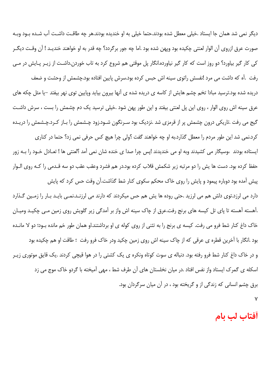دیگر نمی شد همان جا ایستاد .خیلی معطل شده بودند.حتما خیلی به او خندیده بودند.هر چه طاقت داشت آب شـده بـود وبـه صورت عرق ازروی آن الوار لعنتی چکیده بود ویهن شده بود .اما چه جور برگردد؟ چه قدر به او خواهند خندیـد ! آن وقـت دیگـر کی کار گیر بیاورد؟ دو روز است که کار گیر نیاورده.انگار پل موقتی هم شروع کرد به تاب خوردن.داشت از زیـر پـایش در مـی

رفت .آه که داشت می مرد !نفسش راتوی سینه اش حبس کرده بود.سرش پایین افتاده بود.چشمش از وحشت و ضعف دریده شده بود.ترسید مبادا تخم چشم هایش از کاسه ی دریده شده ی آنها بیرون بیاید وپایین توی نهر بیفتد –یا مثل چکه های عرق سینه اش روی الوار ، روی این پل لعنتی بیفتد و این طور پهن شود .خیلی ترسید یک دم چشمش را بست ، سرش داشت گیج می رفت .تاریکی درون چشمش پر از قرمزی شد .نزدیک بود سـرنگون شـود.زود چـشمش را بـاز کـرد.چـشمش را دریـده کرد.نمی شد این طور مردم را معطل گذارد.به او چه خواهند گفت ؟ولی چرا هیچ کس حرفی نمی زد؟ حتما در کناری

ایستاده بودند ،وسیگار می کشیدند وبه او می خندیدند !پس چرا صدا ی خنده شان نمی آمد ؟لعنتی ها ! تعـادل خـود را بــه زور حفظ کرده بود. دست ها پش را دو مرتبه زیر شکمش قلاب کرده بود.در هم فشرد وعقب عقب دو سه قـدمی را کـه روی الـوار پیش آمده بود دوباره پیمود و پایش را روی خاک محکم سکوی کنار شط گذاشت.آن وقت حس کرد که پایش

دارد می لرزد.توی دلش هم می لرزید .حتی روده ها پش هم حس میکردند که دارند می لرزنـد.نمـی بایـد بـار را زمـین گـذارد .آهسته آهسته تا پای تل کیسه های برنج رفت.عرق از چاک سینه اش واز بر آمدگی زیر گلویش روی زمین مـی چکیـد ومیـان خاک داغ کنار شط فرو می رفت. کیسه ی برنج را به تئنی از روی کوله ی او برداشتند.او همان طور خم مانده بـود؛ دو لا مانـده بود .انگار با آخرین قطره ی عرقی که از چاک سینه اش روی زمین چکید ودر خاک فرو رفت ؛ طاقت او هم چکیده بود و در خاک داغ کنار شط فرو رفته بود. دنباله ی سوت کوتاه ونکره ی یک کشتی را در هوا قیچی کردند .یک قایق موتوری زیـر اسکله ی گمرک ایستاد واز نفس افتاد .در میان نخلستان های آن طرف شط ، مهی آمیخته با گردو خاک موج می زد برق چشم انسانی که زندگی از و گریخته بود ، در آن میان سرگردان بود.

٧

## أفتاب لب بام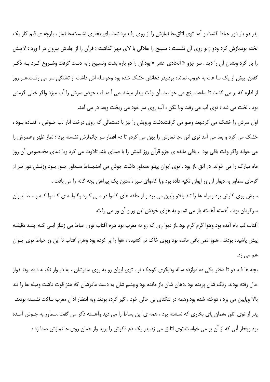پدر دو بار دور حیاط گشت و آمد توی اتاق.جا نمازش را از روی رف برداشت پای بخاری نشست.جا نماز ، پارچه ی قلم کار یک تخته بود.بازش کرد ودو زانو روی آن نشست ؛ تسبیح را هلالی با لای مهر گذاشت ؛ قرآن را از جلدش بیرون در آ ورد ؛ لایـش را باز کرد ونشان آن را دید . سر جزو « الحادی عشر » بود.آن را دو باره بشت وتسبیح رابه دست گرفت وشـروع کـرد بـه ذکـر گفتن. بیش از یک سا عت به غروب نمانده بود.پدر دهانش خشک شده بود وحوصله اش داشت از تشنگی سر می رفت.هـر روز از اداره که بر می گشت تا ساعت پنج می خوا بید .آن وقت بیدار میشد .می آ مد لب حوض.سرش را آب میزد واگر خیلی گرمش بود ، لخت می شد ؛ توی آب می رفت وبا لگن ، آب روی سر خود می ریخت وبعد در می آمد.

اول سرش را خشک می کرد.بعد وضو می گرفت.دشت ورویش را نیز با دستمالی که روی درخت انار لب حـوض ، افتـاده بـود ، خشک می کرد و بعد می آمد توی اتق .جا نمازش را پهن می کردو تا دم افطار سر جانمازش نشسته بود ؛ نماز ظهر وعصرش را می خواند واگر وقت باقی بود ، باقی مانده ی جزو قرآن روز قبلش را با صدای بلند تلاوت می کرد ویا دعای مخـصوص آن روز ماه مبارک را می خواند. در اتق باز بود . توی ایوان پهلو ،سماور داشت جوش می آمد.بساط سـماور جـور بـود وزنـش دور تـر از گرمای سماور به دیوار آن ور ایوان تکیه داده بود وبا کاموای سبز ،آستین یک پیراهن بچه گانه را می بافت .

سرش روی کارش بود ومیله ها را تند بالاو پایین می برد و از حلقه های کاموا در مــی کـرد.وگلولـه ی کـاموا کـه وسـط ایـوان سرگردان بود ، آهسته آهسته باز می شد و به هوای خودش این ور و آن ور می رفت.

آفتاب لب بام آمده بود وهوا گرم گرم بود...از دیوا ری که رو به مغرب بود هرم آفتاب توی حیاط می زد.از آبـی کـه چنـد دقیقـه پیش پاشیده بودند ، هنوز نمی باقی مانده بود وبوی خاک نم کشیده ، هوا را پر کرده بود وهرم آفتاب تا این ور حیاط توی ایـوان هم می زد.

بچه ها ف، دو تا دختر یکی ده دوازده ساله ودیگری کوچک تر ، توی ایوان رو به روی مادرشان ، به دیـوار تکیـه داده بودنـدواز حال رفته بودند. رنگ شان پریده بود .دهان شان باز مانده بود وچشم شان به دست مادرشان که هنز قوت داشت ومیله ها را تند بالا وپایین می برد ، دوخته شده بود.وهمه در تنگنای بی حالی خود ، گیر کرده بودند وبه انتظار اذان مغرب ساکت نشسته بودند. پدر از توی اتاق ،همان پای بخاری که نسشته بود ، همه ی این بساط را می دید وآهسته ذکر می گفت .سماور به جـوش آمـده بود وبخار آبی که از آن بر می خواست،توی اتا ق می زد.پدر یک دم ذکرش را برید واز همان روی جا نمازش صدا زد :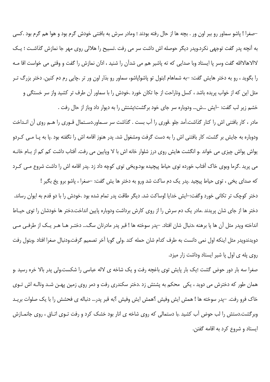–صغرا ! پاشو سماور رو ببر اون ور . بچه ها از حال رفته بودند ؛ ومادر سرش به بافتنی خودش گرم بود و هوا هم گرم بود .كسی به آنچه پدر گفت توجهی نکرد.ویدر دیگر حوصله اش داشت سر می رفت .تسبیح را هلالی روی مهر جا نمازش گذاشت ؛ یـک لاالاهالاالله گفت وسر پا ایستاد وبا صدایی که ته پاشیر هم می شدآن را شنید ، اذان نمازش را گفت و وقتی می خواست اقا مـه را بگوید ، رو به دختر هایش گفت: –به شماهام ابتول تو پاشواپاشو، سماور رو بذار اون ور تر .چایی رم دم کنین. دختر بزرگ تـر مثل این که از خواب پریده باشد ، کسل وناراحت از جا تکان خورد .خودش را با سماور آن طرف تر کشید واز سر خستگی و خشم زير لب گفت: -ايش ...ش... ودوباره سر جاي خود برگشت؛يشتش را به ديوار داد وباز از حال رفت .

مادر ، کار بافتنی اش را کنار گذاشت.آمد جلو .قوری را آب بست . گذاشت سر سـماور.دسـتمال قـوری را هـم روی آن انـداخت ودوباره به جایش بر گشت، کار بافتنی اش را به دست گرفت ومشغول شد. پدر هنوز اقامه اش را نگفته بود .یا به پـا مـی کـردو یواش یواش چیزی می خواند .و انگشت هایش روی درز شلوار خانه اش با لا وپایین می رفت. آفتاب داشت کم کم از بـام خانـه می پرید .گرما وبوی خاک آفتاب خورده توی حیاط پیچیده بود.ویخی توی کوچه داد زد .پدر اقامه اش را داشت شروع مـی کـرد

که صدای یخی ، توی حیاط پیچید .پدر یک دم ساکت شد ورو به دختر ها پش گفت: –صغرا ، پاشو برو یخ بگیر ! دختر کوچک تر تکانی خورد وگفت:–ایش خدایا !وساکت شد. دیگر طاقت پدر تمام شده بود .خودش را با دو قدم به ایوان رساند. دختر ها از جای شان پریدند .مادر یک دم سرش را از روی کارش برداشت ودوباره پایین انداخت.دختر ها خودشان را توی حیـاط انداخته وپدر مثل آن ها پا برهنه ،دنبال شان افتاد. –پدر سوخته ها ! قبر پدر مادرتان سگ… دختـر هـا هـر يـک از طرفـي مـي دويدندويدر مثل اينكه اول نمى دانست به طرف كدام شان حمله كند .ولى گويا آخر تصميم گرفت.ودنبال صغرا افتاد .وبتول رفت روی یله ی اول یا شیر ایستاد وداشت زار میزد.

صغرا سه بار دور حوض گشت ؛یک بار پایش توی باغچه رفت و یک شاخه ی لاله عباسی را شکست.ولی پدر بالا خره رسید .و همان طور که دخترش می دوید ، یکی ِ محکم به پشتش زد .دختر سکندری رفت و دمر روی زمین پهـن شـد ونالـه اش تـوی خاک فرو رفت. –پدر سوخته ها ! همش ایش وفیش ؟همش ایش وفیش ؟به قبر پدر… دنباله ی فحشش را با یک صلوات بریـد وبرگشت.دستش را لب حوض آب کشید .با دستمالی که روی شاخه ی انار بود خشک کرد و رفت تـوی اتـاق ، روی جانمـازش ايستاد و شروع كرد به اقامه گفتن.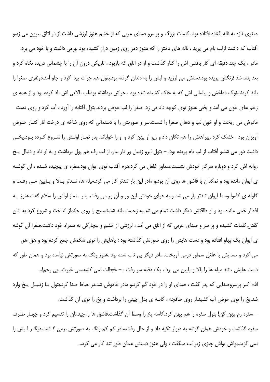صغری تازه به ناله افتاده افتاده بود .کلمات بزرگ و پرسرو صدای عربی که از خشم هنوز لرزشی داشت از در اتاق بیرون می زد.و آفتاب که داشت ازلب بام می پرید ، ناله های دختر را که هنوز دمر روی زمین دراز کشیده بود ،برمی داشت و با خود می برد. مادر ، یک چند دقیقه ای کار بافتنی اش را کنار گذاشت و از در اتاق که بازبود ، تاریکی درون آن را با چشمانی دریده نگاه کرد و بعد بلند شد ؛رنگش پریده بود.دستش می لرزید و لبش را به دندان گرفته بود.بتول هم جرات پیدا کرد و جلو آمد.دونفری صغرا را بلند کردند.نوک دماغش و پیشانی اش که به خاک کشیده شده بود ، خراش برداشته بود.لب بالایی اش باد کرده بود و از همه ی زخم های خون می آمد و یخی هنوز توی کوچه داد می زد. صغرا را لب حوض بردند.بتول آفتابه را آورد ، آب کرد و روی دست مادرش می ریخت و او خون لب و دهان صغرا را شست.سر و صورتش را با دستمالی که روی شاخه ی درخت انار کنـار حـوض آویزان بود ، خشک کرد .پیراهنش را هم تکان داد و زیر او یهن کرد و او را خواباند. پدر نمـاز اولـش را شـروع کـرده بـود.یخـی داشت دور می شد.و آفتاب از لب بام پریده بود. – بتول !برو زنبیل ور دار بیار. از لب رف هم پول برداشت و به او داد و دنبال پخ روانه اش کرد و دوباره سرکار خودش نشست.سماور غلغل می کرد.هرم آفتاب توی ایوان بود.سفره ی پیچیده شـده ، آن گوشـه ی ایوان مانده بود و نمکدان با قاشق ها روی آن بود.و مادر این بار تندتر کار می کرد.میله ها، تنـدتر بـالا و پـایین مـی رفـت و گلوله ی کاموا وسط ایوان تندتر باز می شد و به هوای خودش این ور و آن ور می رفت. پدر ، نماز اولش را سلام گفت.هنوز ب افطار خیلی مانده بود و او طاقتش دیگر داشت تمام می شد.به زحمت بلند شد.تسبیح را روی جانماز انداخت و شروع کرد به اذان گفتن.کلمات کشیده و پر سر و صدای عربی که از اتاق می آمد ، لرزشی از خشم و بیچارگی به همراه خود داشت.صغرا آن گوشه ی ایوان یک پهلو افتاده بود و دست هایش را روی صورتش گذاشته بود ؛ پاهایش را توی شکمش جمع کرده بود و هق هق می کرد و صدایش با غلغل سماور درمی آویخت. مادر دیگر بی تاب شده بود .هنوز رنگ به صورتش نیامده بود و همان طور که دست هایش ، تند میله ها را بالا و پایین می برد ، یک دفعه سر رفت : – خجالت نمی کشه...بی غیرت...بی رحم!... الله اکبر پرسروصدایی که پدر گفت ، صدای او را در خود گم کرد.و مادر خاموش شد.در حیاط صدا کرد.بتول بـا زنبیـل پـخ وارد شد.یخ را توی حوض آب کشید.از روی طاقچه ، کاسه ی بدل چینی را برداشت و یخ را توی آن گذاشت. – سفره رم پهن كن! بتول سفره را هم پهن كرد.كاسه يخ را وسط آن گذاشت.قاشق ها را چيد.نان را تقسيم كرد و چهـار طـرف

سفره گذاشت و خودش همان گوشه به دیوار تکیه داد و از حال رفت.مادر کم کم رنگ به صورتش برمی گشت.دیگـر لـبش را نمی گزید.یواش یواش چیزی زیر لب میگفت ، ولی هنوز دستش همان طور تند کار می کرد...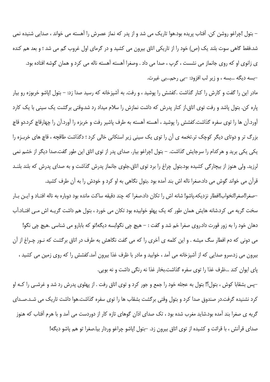– بتول !چراغو روشن کن. آفتاب پریده بود.هوا تاریک می شد و از پدر که نماز عصرش را آهسته می خواند ، صدایی شنیده نمی شد.فقط گاهی سوت بلند یک (ص) خود را از تاریکی اتاق بیرون می کشید و در گرمای اول غروب گم می شد ؛ و بعد هم کنده ی زانوی او که روی جانماز می نشست ، گرپ ، صدا می داد . وصغرا آهسته آهسته ناله می کرد و همان گوشه افتاده بود. -بسه دیگه …بسه ، و زیر لب افزود: -بی رحم…بی غیرت.

مادر این را گفت و کارش را کنار گذاشت .کفشش را پوشید ، و رفت. به آشپزخانه که رسید صدا زد: – بتول !پاشو خربوزه رو بیار یاره کن. بتول یاشد و رفت توی اتاق.از کنار پدرش که داشت نمازش را سلام میداد رد شد.وقتی برگشت یک سینی با یک کارد آورد.آن ها را توی سفره گذاشت.کفشش را پوشید ، آهسته آهسته به طرف پاشیر رفت و خربزه را آورد.آن را چهارقاچ کرد.دو قاچ بزرگ تر و دوتای دیگر کوچک تر.تخمه ی آن را توی یک سینی زیر استکانی خالی کرد ؛ دگذاشت طاقچه ، قاچ های خربـزه را یکی یکی برید و هرکدام را سرجایش گذاشت. – بتول !چراغو بیار. صدای پدر از توی اتاق این طور گفت.صدا دیگر از خشم نمی لرزید. ولی هنوز از بیچارگی کشیده بود.بتول چراغ را برد توی اتاق.جلوی جانماز پدرش گذاشت و به صدای پدرش که بلند بلنـد قرآن می خواند گوش می داد.صغرا ناله اش بند آمده بود .بتول نگاهی به او کرد و خودش را به آن طرف کشید.

–صغرا!صغرا!نخواب!افطار نزديكه.پاشو! شانه اش را تكان داد.صغرا كه چند دقيقه ساكت مانده بود دوباره به ناله افتـاد و ايـن بـار سخت گریه می کرد.شانه هایش همان طور که یک پهلو خوابیده بود تکان می خورد ، بتول هم داشت گریـه اش مـی افتـاد.آب

دهان خود را به زور قورت داد.روی صغرا خم شد و گفت : – هیچ چی نگو!بسه دیگه!تو که بابارو می شناسی .هیچ چی نگو! می دونی که دم افطار سگ میشه . و این کلمه ی آخری را که می گفت نگاهش به طرف در اتاق برگشت که نـور چـراغ از آن بیرون می زد.سرو صدایی که از آشیزخانه می آمد ، خوابید و مادر با ظرف غذا بیرون آمد.کفشش را که روی زمین می کشید ، پای ایوان کند …ظرف غذا را توی سفره گذاشت.بخار غذا نه رنگی داشت و نه بویی.

–پس بشقابا کوش ، بتول؟! بتول به عجله خود را جمع و جور کرد و توی اتاق رفت . از پهلوی پدرش رد شد و غرشـی را کـه او کرد نشنیده گرفت.در صندوق صدا کرد و بتول وقتی برگشت بشقاب ها را توی سفره گذاشت.هوا داشت تاریک می شـد.صـدای گریه ی صغرا بند آمده بود.شاید مغرب شده بود ، تک صدای اذان گوهای تازه کار از دوردست می آمد و با هرم آفتاب که هنوز صدای قرآنش ، با قرائت و کشیده از توی اتاق بیرون زد. –بتول !یاشو چراغو وردار بیا.صغرا تو هم یاشو دیگه!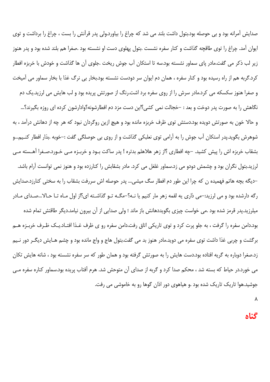صدایش آمرانه بود و بی حوصله بود.بتول داشت بلند می شد که چراغ را بیاورد.ولی پدر قرآنش را بست ، چراغ را برداشت و توی ایوان آمد. چراغ را توی طاقچه گذاشت و کنار سفره نشست .بتول پهلوی دست او نشسته بود .صغرا هم بلند شده بود و پدر هنوز زیر لب ذکر می گفت.مادر پای سماور نشسته بود.سه تا استکان آب جوش ریخت .جلوی آن ها گذاشت و خودش با خربزه افطار کرد.گربه هم از راه رسیده بود و کنار سفره ، همان دم ایوان سر دودست نشسته بود.بخار بی نرگ غذا با بخار سماور می آمیخت و صغرا هنوز سکسکه می کرد.مادر سرش را از روی سفره برد اشت.رنگ از صورتش پریده بود و لب هایش می لرزید.یک دم نگاهش را به صورت پدر دوخت و بعد : –خجالت نمی کشی؟این دست مزد دم افطارشونه؟وادارشون کرده ای روزه بگیرند؟… و حالا خون به صورتش دویده بود.دستش توی ظرف خربزه مانده بود و هیچ ازین روگردان نبود که هر چه از دهانش درآمد ، به شوهرش بگوید.پدر استکان آب جوش را به آرامی توی نعلبکی گذاشت و از روی بی حوصلگی گفت :–خوبه .بذار افطار کنـیم…و بشقاب خربزه اش را پیش کشید. –چه افطاری ؟از زهر هلاهلم بدتره ! پدر ساکت بـود و خربـزه مـی خـورد.صـغرا آهـسته مـی لرزید.بتول نگران بود و چشمش دودو می زد.سماور غلغل می کرد. مادر بشقابش را کنارزده بود و هنوز نمی توانست آرام باشد. –دیگه بچه هاتم فهمیده ن که چرا این طور دم افطار سگ میشی… پدر حوصله اش سررفت بشقاب را به سختی کنارزد.صدایش رگه دارشده بود و می لرزید:–می ذاری یه لقمه زهر مار کنیم یا نـه؟–مگــه تــو گذاشــته ای؟از اول مــاه تـا حـالا…صـدای مــادر میلرزید.پدر قرمز شده بود .می خواست چیزی بگویددهانش باز ماند ؛ ولی صدایی از آن بیرون نیامد.دیگر طاقتش تمام شده بود.دامن سفره را گرفت ، به جلو پرت کرد و توی تاریکی اتاق رفت.دامن سفره رو ی ظرف غـذا افتـاد.یـک ظـرف خربـزه هــم برگشت و چربی غذا داشت توی سفره می دوید.مادر هنوز بد می گفت.بتول هاج و واج مانده بود و چشم هـایش دیگـر دور نـیم زد.صغرا دوباره به گریه افتاده بود.دست هایش را به صورتش گرفته بود و همان طور که سر سفره نشسته بود ، شانه هایش تکان می خورد.در حیاط که بسته شد ، محکم صدا کرد و گربه از صدای آن متوحش شد. هرم آفتاب پریده بود.سماور کناره سفره مـی جوشید.هوا تاریک تاریک شده بود .و هیاهوی دور اذان گوها رو به خاموشی می رفت.

٨

#### **گناه**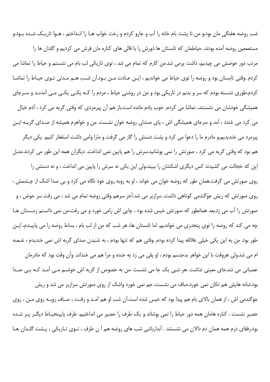شب روضه هفتگی مان بود.و من تا پشت بام خانه را آب و جارو کردم و رخت خواب هـا را انـداختم ، هـوا تاريـک شـده بـود.و مستعمعین روضه آمده بودند. حیاطمان که تابستان ها دورش را با قالی های کناره مان فرش می کردیم و گلدان ها را مرتب دور حوضش می چیدیم، داشت پرمی شد.من کارم که تمام می شد ، توی تاریکی لب بام می نشستم و حیاط را تماشا می كردم .وقتى تابستان بود و روضه را توى حياط مى خوانديم ، ايـن عـادت مـن بـود.اَن شـب هـم مـدتى تـوى حيـاط را تماشـا کردم.طوری نشسته بودم که سر و بدنم در تاریکی بود و من در روشنی حیاط ، مردم را کـه یکـی یکـی مـی آمدنـد و سـرجای همیشگی خودشان می نشستند، تماشا می کردم. خوب یادم مانده است.باز هم آن پیرمردی که وقتی گریه می کرد ، آدم خیال می کرد می خندد ، آمد و سرجای همیشگی اش ، پای صندلی روضه خوان نشست. من و خواهرم همیشه از صـدای گریــه ایــن پیرمرد می خندیدیم.و مادرم ما را دعوا می کرد و پشت دستش را گاز می گرفت و مارا وامی داشت استغفار کنیم. یکی دیگر هم بود که وقتی گریه می کرد ، صورتش را نمی پوشانید.سرش را هم پایین نمی انداخت. دیگران همه این طور می کردند.مثـل این که خجالت می کشیدند کس دیگری اشکشان را ببیند.ولی این یکی نه سرش را پایین می انداخت ، و نه دستش را روی صورتش می گرفت.همان طور که روضه خوان می خواند ، او به روبه روی خود نگاه می کرد و بی صدا اشک از چـشمش ، روی صورتش که ریش جوگندمی کوتاهی داشت، سرازیر می شد.آخر سرهم وقتی روضه تمام می شد ، می رفت سر حوض ، و صورتش را آب می زد.بعد همانطور که صورتش خیس شده بود ، چایی اش رامی خورد و می رفت.من نمی دانستم زمـستان هـا چه می کند که روضه را توی پنجدری می خواندیم. اما تابستان ها، هر شب که من از لب بام ، بساط روضه را می پاییـدم، ایـن طور بود. من به این یکی خیلی علاقه پیدا کرده بودم .وقتی هم که تنها بودم ، به شنیدن صدای گریه اش نمی خندیدم ، غـصه ام می شد.ولی هروقت با این خواهر بدجنسم بودم ، او پقی می زد به خنده و مرا هم می خنداند. وآن وقت بود که مادرمان عصبانی می شد.جای معینی نداشت .هر شبی یک جا می نشست .من به خصوص از گریه اش خوشـم مـی آمـد کـه بـی صـدا بود.شانه هایش هم تکان نمی خورد.صاف می نشست، جم نمی خورد واشک از روی صورتش سرازیر می شد و ریش جوگندمی اش ، از همان بالای بام هم پیدا بود که خیس شده است.آن شب او هم آمـد و رفـت ، صـاف روبـه روی مـن ، روی حصیر نشست . کناره هامان همه دور حیاط را نمی پوشاند و یک طرف را حصیر می انداختیم. طرف پایینحیـاط دیگـر پـر شـده بود.رفقای درم همه همان دم دالان می نشستند . آبدارباشی شب های روضه هم آ ن طرف ، تـوی تـاریکی ، پـشت گلـدان هـا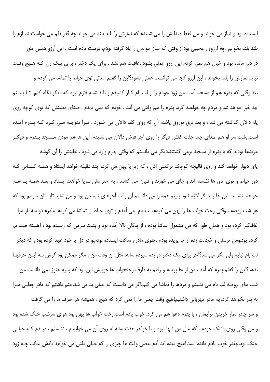ایستاده بود و نماز می خواند و من فقط صدایش را می شنیدم که نمازش را بلند بلند می خواند.چه قدر دلم می خواست نمـازم را بلند بلند بخوانم .چه آرزوی عجیبی بود!از وقتی که نماز خواندن را یاد گرفته بودم، درست یادم است ، این آرزو همین طور در دلم مانده بود و خیال هم نمی کردم این آرزو عملی بشود .عاقبت هم نشد . برای یک دختر ، برای یک زن کـه هـیچ وقـت نبايد نمازش را بلند بخواند ، اين آرزو كجا مي توانست عملي بشود؟اين را گفتم .مدتي توي حياط را تماشا مي كردم و بعد وقتی که پدرم هم از مسجد آمد ، من زود خودم را از لب بام کنار کشیدم و بلند شدم.لازم نبود که دیگر نگاه کنم تـا ببیـنم چه خبر خواهد شد.و مردم چه خواهند کرد. پدرم را هم وقتی می آمد ، خودم که نمی دیدم . صدای نعلینش که توی کوچه روی پله دالان گذاشته می شد ، و بعد ترق توروق پاشنه آن که روی کف دالان می خـورد ، مـرا متوجـه مـی کـرد کـه پـدرم آمـده است.پشت سر او هم صدای چند جفت کفش دیگر را روی آجر فرش دالان می شنیدم. این ها هم موذن مـسجد پـدرم و دیگـر مریدها بودند که با پدرم از مسجد برمی گشتند.دیگر می دانستم که وقتی پدرم وارد می شود ، نعلینش را آن گوشه پای دیوار خواهد کند و روی قالیچه کوچک ترکمنی اش ، که زیر پا پهن می کرد، چند دقیقه خواهد ایستاد و همـه کـسانی کـه دور حیاط و توی اتاق ها نشسته اند و چای می خورند و قلیان می کشند ، به احترامش سرپا خواهند ایستاد و بعـد همـه بـا هـم خواهند نشست.این ها را دیگر لازم نبود ببینم.همه را می دانستم.آن وقت آخرهای تابستان بود و من شاید تابستان سومم بود که هر شب روضه ، وقتى رخت خواب ها را پهن مى كردم، لب بام ٍ مى آمدم و توى حياط را تماشا مى كردم. مادرم دو سه بار مرا غافلگیر کرده بود و همان طور که من مشغول تماشا بودم ، از پلکان بالا آمده بود و پشت سرمن که رسیده بود ، آهسته صـدایم کرده بود.ومن ترسان و خجالت زده از جا پریده بودم .جلوی مادرم ساکت ایستاده بودم.و در دل با خود عهد کرده بودم که دیگر لب بام نیایم.ولی مگر می شد؟آخر برای یک دختر دوازده سیزده ساله، مثل آن وقت من ، مگر ممکن بود گوش بـه ایـن حرفهـا بدهد؟این را گفتم.پدرم که آمد ، من از جا پریدم و رفتم به طرف رختخواب ها.خوبیش این بود که پدرم هنوز نمی دانست من شب های روضه لب بام می نشینم و مردها را تماشا می کنم.اگر می دانست که خیلی بد می شد.حتم داشتم که مادر چغلبی مـرا به پدر نخواهد کرد.چه مادر مهربانی داشتیم!هیچ وقت چغلی ما را نمی کرد که هیچ ، همیشه هم طرف ما را می گرفت

و سر چادر نماز خریدن برایمان ، با پدرم دعوا هم می کرد. خوب یادم است.رخت خواب ها پهن بود.هوای سرشب خنک شده بود و من وقتی روی دشک خودم ، که مال من تنها نبود و با خواهر هفت ساله ام روی آن می خوابیدم ، نشستم ، دیـدم کـه خیلـی خنک بود.چقدر خوب یادم مانده است!هیچ دیده اید آدم بعضی وقت ها چیزی را که خیلی دلش می خواهد یادش بماند، چـه زود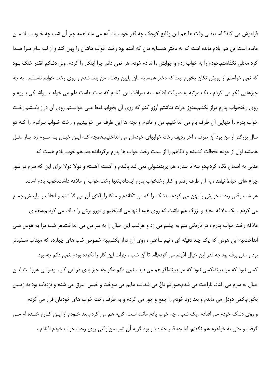فراموش می کند؟ اما بعضی وقت ها هم این وقایع کوچک چه قدر خوب یاد آدم می ماند!همه چیز آن شب چه خـوب یـاد مـن مانده است!این هم یادم مانده است که به دختر همسایه مان که آمده بود رخت خواب هاشان را پهن کند و از لب بـام مـرا صـدا كرد محلي نگذاشتم.خودم را به خواب زدم و جوابش را ندادم.خودم هم نمي دانم چرا اينكار را كردم، ولي دشكم آنقدر خنك بـود که نمی خواستم از رویش تکان بخورم .بعد که دختر همسایه مان پایین رفت ، من بلند شدم و روی رخت خوابم نشستم ، به چه چیزهایی فکر می کردم ، یک مرتبه به صرافت افتادم ، به صرافت این افتادم که مدت هاست دلم می خواهـد یواشـکی بـروم و روی رختخواب پدرم دراز بکشم.هنوز جرات نداشتم آرزو کنم که روی آن بخوابم.فقط مـی خواسـتم روی آن دراز بکـشم.رخـت خواب پدرم را تنهایی آن طرف بام می انداختیم. من و مادرم و بچه ها این طرف می خوابیدیم و رخت خـواب بـرادرم را کـه دو سال بزرگتر از من بود آن طرف ، آخر ردیف رخت خوابهای خودمان می انداختیم.همچه کـه ایـن خیـال بـه سـرم زد، بـاز مثـل همیشه اول از خودم خجالت کشیدم و نگاهم را از سمت رخت خواب ها پدرم برگرداندم.بعد هم خوب یادم هست که مدتی به آسمان نگاه کردم.دو سه تا ستاره هم پریدند.ولی نمی شد.پاشدم و آهسته آهسته و دولا دولا برای این که سرم در نـور چراغ های حیاط نیفتد ، به آن طرف رفتم و کنار رختخواب پدرم ایستادم.تنها رخت خواب او ملافه داشت.خوب یادم است. هر شب وقتی رخت خوابش را پهن می کردم ، دشک را که می تکاندم و متکا را بالای آن می گذاشتم و لحاف را پایینش جمـع می کردم ، یک ملافه سفید و بزرگ هم داشت که روی همه اینها می انداختیم و دورو برش را صاف می کردیم.سفیدی ملافه رخت خواب پدرم ، در تاریکی هم به چشم می زد و هرشب این خیال را به سر من می انداخت.هر شب مرا به هوس مـی انداخت.به این هوس که یک چند دقیقه ای ، نیم ساعتی ، روی آن دراز بکشم.به خصوص شب های چهارده که مهتاب سـفیدتر بود و مثل برف بود.چه قدر این خیال اذیتم می کردم!اما تا آن شب ، جرات این کار را نکرده بودم .نمی دانم چه بود کسی نبود که مرا ببیند.کسی نبود که مرا ببیند.اگر هم می دید ، نمی دانم مگر چه چیز بدی در این کار بـود.ولـی هروقـت ایـن خيال به سرم مي افتاد، ناراحت مي شدم.صورتم داغ مي شد.لب هايم مي سوخت و خيس عرق مي شدم و نزديک بود به زمـين بخورم.کمی دودل می ماندم و بعد زود خودم را جمع و جور می کردم و به طرف رخت خواب های خودمان فرار می کردم و روی دشک خودم می افتادم .یک شب ، چه خوب یادم مانده است، گریه هم می کردم.بعد خـودم از ایـن کـارم خنـده ام مـی گرفت و حتی به خواهرم هم نگفتم. اما چه قدر خنده دار بود گریه آن شب من!وقتی روی رخت خواب خودم افتادم ،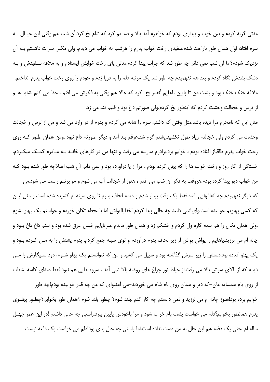مدتی گریه کردم و بین خوب و بیداری بودم که خواهرم آمد بالا و صدایم کرد که شام یخ کرد.آن شب هم وقتی این خیـال بـه سرم افتاد، اول همان طور ناراحت شدم.سفیدی رخت خواب پدرم را هرشب به خواب می دیدم. ولی مگــر جــرات داشــتم بــه آن نزدیک شودم؟اما آن شب نمی دانم چه طور شد که جرات پیدا کردم.مدتی پای رخت خوابش ایستادم و به ملافه سـفیدش و بـه دشک بلندش نگاه کردم و بعد هم نفهمیدم چه طور شد یک مرتبه دلم را به دریا زدم و خودم را روی رخت خواب پدرم انداختم. ملافه خنک خنک بود و پشت من تا پایین پاهایم آنقدر یخ کرد که حالا هم وقتی به فکرش می افتم ، حظ می کنم .شاید هــم از ترس و خجالت وحشت کردم که اینطور یخ کردم.ولی صورتم داغ بود و قلبم تند می زد.

مثل این که نامحرم مرا دیده باشد.مثل وقتی که داشتم سرم را شانه می کردم و پدرم از در وارد می شد و من از ترس و خجالت وحشت می کردم ولی خجالتم زیاد طول نکشید.پشتم گرم شد.عرقم بند آمد و دیگر صورتم داغ نبود .ومن همان طـور کـه روی رخت خواب پدرم طاقباز افتاده بودم ، خوابم برد.برادرم مدرسه می رفت و تنها من در کارهای خانـه بـه مـادرم کمـک میکـردم. خستگی از کار روز و رخت خواب ها را که پهن کرده بودم ، مرا از یا درآورده بود و نمی دانم آن شب اصلاچه طور شده بـود کـه

من خواب ديو پيدا كرده بودم.هروقت به فكر آن شب مي افتم ، هنوز از خجالت آب مي شوم و مو برتنم راست مي شود.من که دیگر نفهمیدم چه اتفاقهایی افتاد.فقط یک وقت بیدار شدم و دیدم لحاف پدرم تا روی سینه ام کشیده شده است و مثل ایـن که کسی پهلویم خوابیده است.وای!نمی دانید چه حالی پیدا کردم !خدایا!یواش اما با عجله تکان خوردم و خواستم یک پهلو بشوم .ولي همان تكان را هم نيمه كاره ول كردم و خشكم زد و همان طور ماندم .سرتاپايم خيس عرق شده بود و تـنم داغ داغ بـود و چانه ام می لرزید.پاهایم را یواش یواش از زیر لحاف پدرم درآوردم و توی سینه جمع کردم. پدرم پشتش را به مـن کـرده بـود و یک پهلو افتاده بود.دستش را زیر سرش گذاشته بود و سبیل می کشید.و من که نتوانستم یک پهلو شــوم، دود سـیگارش را مــی دیدم که از بالای سرش بالا می رفت.از حیاط نور چراغ های روضه بالا نمی آمد . سروصدایی هم نبود.فقط صدای کاسه بشقاب

از روی بام همسایه مان–که دیر و همان روی بام شام می خوردند–می آمد.وای که من چه قدر خوابیده بودم!چه طور خوابم برده بود!هنوز چانه ام می لرزید و نمی دانستم چه کار کنم .بلند شوم؟ چطور بلند شوم ؟همان طور بخوابم؟چطـور پهلـوی پدرم همانطور بخوابم؟دلم می خواست پشت بام خراب شود و مرا باخودش پایین ببرد.راستی چه حالی داشتم !در این عمر چهـل ساله ام ،حتی یک دفعه هم این حال به من دست نداده است.اما راستی چه حال بدی بود!دلم می خواست یک دفعه نیست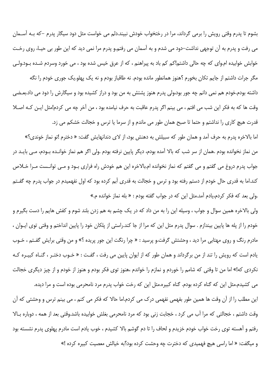بشوم تا پدرم وقتی رویش را برمی گرداند، مرا در رختخواب خودش نبیند.دلم می خواست مثل دود سیگار پدرم –که بـه آســمان می رفت و پدرم به آن توجهی نداشت–دود می شدم و به آسمان می رفتم.و پدرم مرا نمی دید که این طور بی حیـا، روی رخـت خوابش خوابیده ام.وای که چه حالی داشتم!کم کم باد به پیراهنم ، که از عرق خیس شده بود ، می خورد وسردم شـده بـود.ولـی

مگر جرات داشتم از جایم تکان بخورم ؟هنوز همانطور مانده بودم. نه طاقباز بودم و نه یک پهلو.یک جوری خودم را نگه داشته بودم.خودم هم نمی دانم چه جور بود،ولی پدرم هنوز پشتش به من بود و دراز کشیده بود و سیگارش را دود می داد.بعـضی وقت ها كه به فكر اين شب مي افتم ، مي بينم اگر يدرم عاقبت به حرف نيامده بود ، من آخر چه مي كردم!مثل ايـن كـه اصـلا قدرت هیچ کاری را نداشتم و حتما تا صبح همان طور می ماندم و از سرما یا ترس و خجالت خشکم می زد.

اما بالاخره پدرم به حرف آمد و همان طور که سبیلش به دهنش بود، از لای دندانهایش گفت: « دخترم !تو نماز خوندی؟» من نماز نخوانده بودم .همان از سر شب که بالا آمده بودم، دیگر پایین نرفته بودم .ولی اگر هم نماز خوانـده بـودم، مـی بایـد در جواب پدرم دروغ می گفتم و می گفتم که نماز نخوانده ام.بالاخره این هم خودش راه فراری بـود و مـی توانـست مـرا خـلاص کند.اما به قدری حال خودم از دستم رفته بود و ترس و خجالت به قدری آبم کرده بود که اول نفهمیدم در جواب پدرم چه گفـتم .ولي بعد كه فكر كردم،يادم آمد.مثل اين كه در جواب گفته بودم : « بله نماز خوانده م.»

ولی بالاخره همین سوال و جواب ، وسیله این را به من داد که در یک چشم به هم زدن بلند شوم و کفش هایم را دست بگیرم و خودم را از پله ها پایین بیندازم . سوال پدرم مثل این که مرا از جا کند.راستی از پلکان خود را پایین انداختم و وقتی توی ایـوان ، مادرم رنگ و روی مهتابی مرا دید ، وحشتش گرفت.و پرسید : « چرا رنگت این جور پریده ؟» و من وقتی برایش گفـتم ، خـوب یادم است که رویش را تند از من برگرداند و همان طور که از ایوان پایین می رفت ، گفت : « خـوب دختـر ، گنـاه کبیـره کـه نکردی که!» اما من تا وقتی که شامم را خوردم و نمازم را خواندم ،هنوز توی فکر بودم و هنوز از خودم و از چیز دیگری خجالت

می کشیدم.مثل این که گناه کرده بودم. گناه کبیره.مثل این که رخت خواب پدرم مرد نامحرمی بوده است و مرا دیده. این مطلب را از آن وقت ها همین طور بفهمی نفهمی درک می کردم.اما حالا که فکر می کنم ، می بینم ترس و وحشتی که آن وقت داشتم ، خجالتی که مرا آب می کرد ، خجابت زنی بود که مرد نامحرمی بغلش خوابیده باشد.وقتی بعد از همه ، دوباره بالا رفتم و آهسته توی رخت خواب خودم خزیدم و لحاف را تا دم گوشم بالا کشیدم ، خوب یادم است مادرم یهلوی پدرم نشسته بود و میگفت: « اما راسی هیچ فهمیدی که دخترت چه وحشت کرده بود؟به خیالش معصیت کبیره کرده !»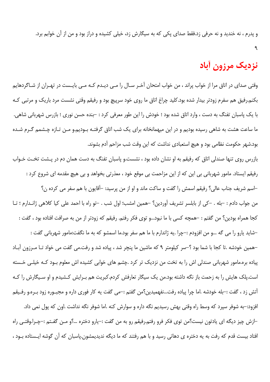و پدرم ، نه خندید و نه حرفی زد.فقط صدای یکی که به سیگارش زد، خیلی کشیده و دراز بود و من از آن خوابم برد.

# نزديک مرزون أباد

وقتی صدای در اتاق مرا از خواب پراند ، من خواب امتحان آخـر سـال را مـی دیـدم کـه مـی بایـست در تهـران از شـاگردهایم بکنم.رفیق هم سفرم زودتر بیدار شده بود.کلید چراغ اتاق ما روی خود سرپیچ بود و رفیقم وقتی نشست مرد باریک و مرتبی ک با یک پاسبان تفنگ به دست ، وارد اتاق شده بود ؛ خودش را این طور معرفی کرد : –بنده حسن نوری ؛ بازرس شهربانی شاهی. ما ساعت هشت به شاهی رسیده بودیم و در این میهمانخانه برای یک شب اتاق گرفتـه بـودیم.و مـن تـازه چـشمم گـرم شـده بود.شهر حکومت نظامی بود و هیچ استعبادی نداشت که این وقت شب مزاحم آدم بشوند.

بازرس روی تنها صندلی اتاق که رفیقم به او نشان داده بود ، نشست.و پاسبان تفنگ به دست همان دم در پـشت تخـت خـواب رفیقم ایستاد. مامور شهربانی بی این که از این مزاحمت بی موقع خود ، معذرتی بخواهد و بی هیچ مقدمه ای شروع کرد : –اسم شريف جناب عالي؟ رفيقم اسمش را گفت و ساكت ماند و او از من پرسيد: –آقايون با هم سفر مي كرده ن؟ من جواب دادم : –بله . –کی از بابلسر تشریف آوردین؟ –همین امشب؛ اول شب . –تو راه با احمد علی کیا کلاهی ژانـدارم ؛ تـا كجا همراه بودين؟ من گفتم : –همچه كسى با ما نبود...و توى فكر رفتم. رفيقم كه زودتر از من به صرافت افتاده بود ، گفت : –شايد يارو را مي گه …و من افزودم :–چرا .يه ژاندارم با ما هم سفر بود.ما اسمشو كه به ما نگفت:مامور شهرباني گفت : –همین خودشه .تا کجا با شما بود ؟–سر کیلومتر ۹ که ماشین ما پنچر شد ، پیاده شد و رفت.می گفت می خواد تـا مـرزون آبـاد پیاده بره.مامور شهربانی صندلی اش را به تخت من نزدیک تر کرد .چشم های خوابی کشیده اش معلوم بـود کـه خیلـی خـسته است.یلک هایش را به زحمت باز نگه داشته بود.من یک سیگار تعارفش کردم.کبریت هم بـرایش کـشیدم و او سـیگارش را کـه آتش زد ، گفت :-بله خودشه .اما چرا پیاده رفت...نفهمیدین؟من گفتم :-می گفت یه کار فوری داره و مجبـوره زود بـره.و رفـیقم افزود:–به شوفر سیرد که وسط راه وقتی بهش رسیدیم نگه داره و سوارش کنه .اما شوفر نگه نداشت .اون که پول نمی داد. –ازش چيز ديگه اي يادتون نيست؟من توي فكر فرو رفتم.رفيقم رو به من گفت :–يارو دختره …؟و مـن گفـتم :–چـرا.وقتـي راه

افتاد بیست قدم که رفت به یه دختره ی دهاتی رسید و با هم رفتند که ما دیگه ندیدیمشون.پاسبان که آن گوشه ایـستاده بـود ،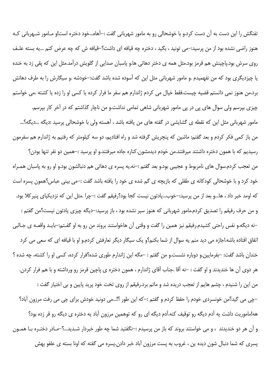تفنگش را این دست به آن دست کرد.و با خوشحالی رو به مامور شهربانی گفت :–آهاه…خود دختره است!و مـامور شـهربانی کـه هنوز راضی نشده بود از من پرسید:–می تونید ، بگید ، دختره چه قیافه ای داشت؟–قیافه ش که چه عرض کنم …یه بسته علـف روی سرش بود.پاچینش هم قرمز بود.مثل همه ی دختر دهاتی ها.و پاسبان صدایی از گلویش درآمد.مثل این که پقی زد به خنده یا چیزدیگری بود که من نفهمیدم .و مامور شهربانی مثل این که آسوده شده باشد گفت:–خودشه .و سیگارش را به طرف دهانش برد.من هنوز نمی دانستم قضیه چیست.فقط خیال می کردم ژاندارم هم سفر ما فرار کرده یا کسی او را زده یا کشته .می خواستم چیزی بپرسم ولی سوال های پی در پی مامور شهربانی شاهی تمامی نداشت.و من ناچار گذاشتم که در آخر کار بپرسم. مامور شهربانی مثل این که نقطه ی گشایشی در گفته های من یافته باشد ، آهسته ولی با خوشحالی پرسید :دیگه …دیگه؟… من باز کمی فکر کردم و بعد گفتم: ماشین که پنچریش گرفته شد و راه افتادیم، دو سه کیلومتر که رفتیم به ژاندارم هم سفرمون رسیدیم که با همون دختره داشتند میرفتند.من خودم دیدمشون.کناره جاده میرفتند.و او پرسید :–همین دو نفر تنها بودن؟ من تعجب کردم.سوال های نامربوط و عجیبی بود.و بعد گفتم :–نه.یه پسره ی دهاتی هم دنبالشون بود.و او رو به پاسبان همـراه خود کرد و با خوشحالی کودکانه ی طفلی که بازیچه ی گم شده ی خود را یافته باشد گفت :–می بینی عباس؟همون پسره است كه اومد خبر داد ، ها…و بعد از من پرسيد:–خوب…يادتون نيست كجا بود؟رفيقم گفت :–چرا .مثل اين كه نزديكياى پنيركلا بود. و من حرف رفيقم را تصديق كردم.مامور شهرباني كه هنوز سير نشده بود ، باز پرسيد:–ديگه چيزي يادتون نيست؟من گفتم : –نه دیگه.و نفس راحتی کشیدم.رفیقم نیز همین را گفت و وقتی آن هاخواستند بروند من رو به او گفـتم:–بایـد واقعــه ی جـالبی اتفاق افتاده باشه.اجازه می دید منم یه سوال از شما بکنم؟و یک سیگار دیگر تعارفش کردم.و او با قیافه ای که سعی می کرد خندان باشد گفت: –بفرمایین.و دوباره نشست.و من گفتم : –مگه این ژاندارم طوری شده؟فرار کرده، کسی او را کشته، چه شده ؟ هر دوی آن ها خندیدند و او گفت : –نه آقا .جناب آقای ژاندارم ، همون دختره ی پاچین قرمز رو ورداشته و با هم فرار کردن. من اين را شنيدم ، چشم هايم از تعجب دريده شد و ماتم برد.رفيقم از روى تخت خود پريد پايين و بي اختيار گفت : –چی می گید؟من خونسردی خودم را حفظ کردم و گفتم :–که این طور ؟!…می دونید خودش برای چی می رفت مرزون آباد؟ هه!ماموریت داشت یه آدم دیگه رو توقیف کنه.آدم دیگه ای رو که توهمین مرزون آباد یه دختره ی دیگه رو قر زده بود؟ و آن هر دو خنديدند ، و مي خواستند بروند كه باز من پرسيدم :–نگفتيد شما چه طور خبردار شـديد...؟–مـادر دختـره بـا همـون پسری که شما دنبال شون دیده ین ، غروب به پست مرزون آباد خبر دادن.پسره می گفته که اونا بسته ی علفو بهش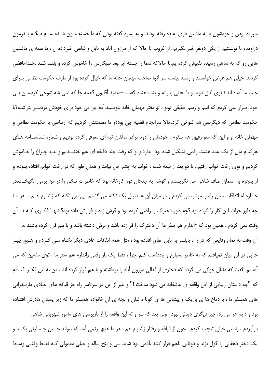سپرده بودن و خودشون با یه ماشین باری به ده رفته بودند. و به پسره گفته بودن که ما خسته مـون شـده .مـام دیگـه پـدرمون دراومده تا تونستیم از یکی دونفر خبر بگیریم. از غروب تا حالا که از مرزون آباد به بابل و شاهی خبرداده ن ، ما همه ی ماشـین هایی رو که به شاهی رسیده تفتیش کرده یم.تا حالاکه شما را جسته ایم.بعد سیگارش را خاموش کرده و بلنـد شـد .خـداحافظی کردند، خیلی هم عرض خواستند و رفتند .پشت سر آنها صاحب مهمان خانه ما که خیال کرده بود از طرف حکومت نظامی بـرای جلب ما آمده اند ؛ توى اتاق دويد و با لحنى پدرانه و پند دهنده گفت :–ديديد آقايون ؟همه جا كه نمى شه شوخى كرد.مـن بـي خود اصرار نمی کردم که اسم و رسم حقیقی تونو ، تو دفتر مهمان خانه بنویسید.آدم چرا بی خود برای خودش دردسـر بتراشــه؟با حکومت نظامی که دیگرنمی شه شوخی کرد.حالا سرانجام قضیه چی بود؟و ما مطمئنش کردیم که ارتباطی با حکومت نظامی و مهمان خانه او و این که منو رفیق هم سفرم ، خودمان را دوتا برادر مزلقان تپه ای معرفی کرده بودیم و شماره شناسـنامه هـای هر کدام مان از یک عدد هشت رقمی تشکیل شده بود ندارد.و او که رفت چند دقیقه ای هم خندیـدیم و بعـد چـراغ را خـاموش کردیم و توی رخت خواب رفتیم. تا دو بعد از نیمه شب ، خواب به چشم من نیامد و همان طور که در رخت خوابم افتاده بـودم و از پنجره به آسمان صاف شاهی می نگریستم و گوشم به جنجال دور کارخانه بود که خاطرات تلخی را در من برمی انگیخـت.در خاطره ام اتفاقات میان راه را مرتب می کردم و در میان آن ها دنبال یک نکته می گشتم .یی این نکته که ژاندارم هــم سـفر مـا چه طور جرات این کار را کرده بود ؟چه طور دخترک را راضی کرده بود و قرش زده و فرارش داده بود؟ تنهـا فکـری کـه تـا آن وقت نمی کردم ، همین بود که ژاندارم هم سفر ما آن دخترک را قر زده باشد و برش داشته باشد و با هم فرار کرده باشند .تا

آن وقت به تمام وقایعی که در را ه بابلسر به بابل اتفاق افتاده بود ، مثل همه اتفاقات عادی دیگر نگـاه مـی کـردم و هـیچ چیـز جالبی در آن میان نمیافتم که به خاطر بسیارم و یادداشت کنم .چرا ، فقط یک بار وقتی ژاندارم هم سفر ما ، توی ماشین که می آمدیم، گفت که دنبال جوانی می گردد که دختری از اهالی مرزون آباد را برداشته و با هم فرار کرده اند ، من به این فک رافتـادم كه "چه داستان زيبايي از اين واقعه ي عاشقانه مي شود ساخت !" و غير از اين در سرتاسر راه جز قيافه هاي عــادي مازنــدراني های همسفر ما ، با دماغ ها ی باریک و پیشانی ها ی کوتا ه شان و بچه ی آن خانواده همسفر ما که زیر پستان مادرش افتـاده

بود و دایم عر می زد، چیز دیگری دیدنی نبود . ولی بعد که سر و ته این واقعه را از بازپرسی های مامور شهربانی شاهی درآوردم ، راستی خیلی تعجب کردم . چون از قیافه و رفتار ژاندرام هم سفر ما هیچ برنمی آمد که بتواند چنـین جـسارتی بکنـد و یک دختر دهقانی را گول بزند و دوتایی باهم فرار کنند .آدمی بود شاید سی و پنچ ساله و خیلی معمولی کـه فقـط وقتـی وسـط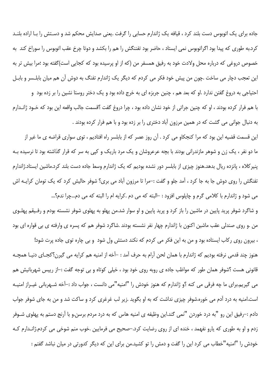جاده برای یک اتوبوس دست بلند کرد ، قیافه یک ژاندارم حسابی را گرفت .یعنی صدایش محکم شد و دسـتش را بـا اراده بلنـد کرد.به طوری که پیدا بود اگراتوبوس نمی ایستاد ، حاضر بود تفننگش را هم را بکشد و دوتا چرخ عقب اتوبوس را سوراخ کند به خصوص دروغی که درباره محل ولادت خود به رفیق همسفر من (که از او پرسیده بود که کجایی است)گفته بود ؛مرا بیش تر به این تعجب دچار می ساخت .چون من پیش خود فکر می کردم که دیگر یک ژاندارم تفنگ به دوش آن هم میان بابلـسر و بابـل

احتیاجی به دروغ گفتن ندارد .او که بعد هم ، چنین جربزه ای به خرج داده بود و یک دختر روستا نشین را بر زده بود و با هم فرار کرده بودند ، او که چنین جراتی از خود نشان داده بود ، چرا دروغ گفت ؟قسمت جالب واقعه این بود که خـود ژانـدارم به دنبال جوانی می گشت که در همین مرزون آباد دختری را بر زده بود و با هم فرار کرده بودند .

این قسمت قضیه این بود که مرا کنجکاو می کرد . آن روز عصر که از بابلسر راه افتادیم ، توی سواری قراضه ی ما غیر از ما دو نفر ، یک زن و شوهر مازندرانی بودند با بچه عرعروشان و یک مرد باریک و کپی به سر که قرار گذاشته بود تا نرسیده بـه پنیر کلاه ، پانزده ریال بدهد.هنوز چیزی از بابلسر دور نشده بودیم که یک ژاندارم وسط جاده دست بلند کرد.ماشین ایستاد.ژاندارم تفنگش را روی دوش جا به جا کرد ، آمد جلو و گفت :–مرا تا مرزون آباد می بری؟ شوفر حالیش کرد که یک تومان کرایـه اش می شود و ژاندارم با کلامی گرم و چاپلوس افزود : –البته که می دم .کرایه ام را البته که می دم…چرا ندم؟…

و شاگرد شوفر پرید پایین در ماشین را باز کرد و پرید پایین و او سوار شد.من پهلو به پهلوی شوفر نشسته بودم و رفـیقم پهلـوی من .و روی صندلی عقب ماشین اکنون با ژاندارم چهار نفر نشسته بودند .شاگرد شوفر هم که پسره ی وارفته ی بی قواره ای بود

، بیرون روی رکاب ایستاده بود و من به این فکر می کردم که نکند دستش ول شود و بی چاره توی جاده پرت شود! هنوز چند قدمی نرفته بودیم که ژاندارم با همان لحن آرام به حرف آمد : –آخه از امنیه هم کرایه می گیرن؟کجـای دنیـا همچـه قانونی هست ؟شوفر همان طور که مواظب جاده ی روبه روی خود بود ، خیلی کوتاه و بی توجه گفت :–از رییس شهربانیش هم می گیریم.برای ما چه فرقی می کنه ؟و ژاندارم که هنوز خودش را "امنیه"می دانست ، جواب داد :–آخه شـهربانی غیـراز امنیـه است.امنیه به درد آدم می خوره.شوفر چیزی نداشت که به او بگوید .زیر لب غرغری کرد و ساکت شد و من به جای شوفر جواب دادم :–رفیق این رو "به درد خوردن "نمی گند.این وظیفه ی امنیه هاس که به درد مردم برسن.و با آرنج دستم به پهلوی شـوفر زدم و او به طوری که یارو نفهمد ، خنده ای از روی رضایت کرد.–صحیح می فرمایین .خوب منم شوخی می کردم.ژانـدارم کـه خودش را "امنیه"خطاب می کرد این را گفت و دمش را تو کشید.من برای این که دیگر کدورتی در میان نباشد گفتم :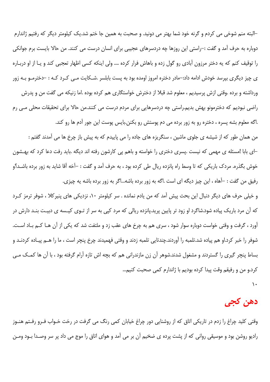–البته منم شوخی می کردم و گرنه خود شما بهتر می دونید. و صحبت به همین جا ختم شد.یک کیلومتر دیگر که رفتیم ژاندارم دوباره به حرف آمد و گفت :–راستی این روزها چه دردسرهای عجیبی برای انسان درست می کنند. من حالا بایست برم جوانکی را توقیف کنم که یه دختر مرزون آبادی رو گول زده و باهاش فرار کرده .... ولی اینکه کسی اظهار تعجبی کند و یـا از او دربـاره ی چیز دیگری بپرسد خودش ادامه داد:–مادر دختره امروز اومده بود به پست بابلسر .شـکایت مـی کـرد کـه : –دخترمـو بـه زور ورداشته و برده .وقتی ازش پرسیدیم ، معلوم شد قبلا از دخترش خواستگاری هم کرده بوده .اما زنیکه می گفت من و پدرش راضی نبودیم که دخترمونو بهش بدیم.راستی چه دردسرهایی برای مردم درست می کنند.من حالا برای تحقیقات محلی مـی رم .اگه معلوم بشه پسره ، دختره رو به زور برده می دم پوستش رو بکنن.بایس پوست این جور آدم ها رو کند.

من همان طور که از شیشه ی جلوی ماشین ، سنگریزه های جاده را می پاییدم که به پیش باز چرخ ها می آمدند گفتم : ⊣ی بابا !مسئله ی مهمی که نیست .پسری دختری را خواسته و باهم پی کارشون رفته اند دیگه .باید رفت دعا کرد که بهـشون خوش بگذره. مردک باریکی که تا وسط راه یانزده ریال طی کرده بود ، به حرف آمد و گفت : –آخه آقا شاید به زور برده باشـد؟و رفيق من گفت : –آهاه ، اين چيز ديگه اي است .اگه به زور برده باشه...اگر به زور برده باشه يه چيزي.

و خیلی حرف های دیگر دنبال این بحث پیش آمد که من یادم نمانده . سر کیلومتر ۱۰، نزدیکی های پنیرکلا ، شوفر ترمز ک رد که آن مرد باریک پیاده شود.شاگرد او زود تر پایین پرید.پانزده ریالی که مرد کپی به سر از تـوی کیـسه ی دبیـت بنـد دارش در آورد ، گرفت و وقتی خواست دوباره سوار شود ، سری هم به چرخ های عقب زد و ملتفت شد که یکی از آن هـا کـم بـاد اسـت. شوفر را خبر کرد.او هم پیاده شد.تلمبه را آوردند.چندتایی تلمبه زدند و وقتی فهمیدند چرخ پنچر است ، ما را هــم پیـاده کردنــد و بساط پنچر گیری را گستردند و مشغول شدند.شوهر آن زن مازندرانی هم که بچه اش تازه آرام گرفته بود ، با آن ها کمک مے كرد.و من و رفيقم وقت پيدا كرده بوديم با ژاندارم كمي صحبت كنيم...

 $\lambda$ 

# دهن کجی

وقتی کلید چراغ را زدم در تاریکی اتاق که از روشنایی دور چراغ خیابان کمی رنگ می گرفت در رخت خـواب فـرو رفـتم هنـوز رادیو روشن بود و موسیقی روانی که از پشت پرده ی ضخیم آن بر می آمد و هوای اتاق را موج می داد پر سر وصـدا بـود ومـن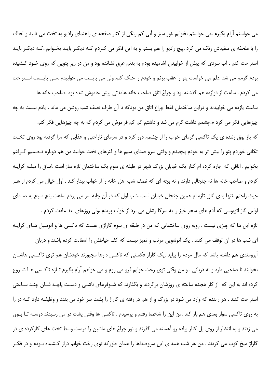می خواستم آرام بگیرم .می خواستم بخوابم .نور سبز و آبی کم رنگی از کنار صفحه ی راهنمای رادیو به تخت می تابید و لحاف را با ملحفه ی سفیدش رنگ می کرد .پیچ رادیو را هم بستم و به این فکر می کـردم کـه دیگـر بایـد بخـوابم .کـه دیگـر بایـد استراحت کنم . آب سردی که پیش از خوابیدن آشامیده بودم به بدنم عرق نشانده بود و من در زیر پتویی که روی خـود کـشیده بودم گرمم می شد .دلم می خواست پتو را عقب بزنم و خودم را خنک کنم ولی می بایست می خوابیدم .مـی بایـست اسـتراحت

می کردم . ساعت از دوازده هم گذشته بود و چراغ اتاق صاحب خانه هامدتی پیش خاموش شده بود .صاحب خانه ها ساعت یازده می خوابیدند و دراین ساختمان فقط چراغ اتاق من بودکه تا آن طرف نصف شب روشن می ماند . یادم نیست به چه چیزهایی فکر می کرد م.چشمم داشت گرم می شد و داشتم کم کم فراموش می کردم که به چه چیزهایی فکر کنم که باز بوق زننده ی یک تاکسی گرمای خواب را از چشمم دور کرد و در سرمای ناراحتی و عذابی که مرا گرفته بود روی تخت تکانی خوردم پتو را بیش تر به خودم پیچیدم و وقتی سرو صدای سیم ها و فنرهای تخت خوابید من هم دوباره تـصمیم گـرفتم بخوابم . اتاقی که اجاره کرده ام کنار یک خیابان بزرگ شهر در طبقه ی سوم یک ساختمان تازه ساز است .اتـاق را مبلــه کرایــه کردم و صاحب خانه ها نه جنجالی دارند و نه بچه ای که نصف شب اهل خانه را از خواب بیدار کند . اول خیال می کردم از هـر حیث راحتم .تنها بدی اتاق تازه ام همین جنجال خیابان است .شب اول که در آن جابه سر می بردم ساعت پنج صبح به صـدای اولین گاز اتوبوسی که آدم های سحر خیز را به سرکا رشان می برد از خواب پریدم .ولی روزهای بعد عادت کردم .

تازه این ها که چیزی نیست . روبه روی ساختمانی که من در طبقه ی سوم گاراژی هست که تاکسی ها و اتومبیل هـای کرایـه ای شب ها در آن توقف می کنند . یک اتوشویی مرتب و تمیز نیست که کف حیاطش را آسفالت کرده باشند و دربان آبرومندی هم داشته باشد که مال مردم را بیاید .یک گاراژ فکسنی که تاکسی دارها مجبورند خودشان هم توی تاکـسی هاشــان بخوابند نا صاحبي دارد و نه درباني . و من وقتي توي رخت خوابم فرو مي روم و مي خواهم آرام بگيرم تـازه تاكـسي هـا شـروع کرده اند به این که از کار هجده ساعته ی روزشان برگردند و بگذارند که شـوفرهای ناشـی و دسـت پاچـه شـان چنـد سـاعتی استراحت کنند . هر راننده که وارد می شود در بزرگ و از هم در رفته ی گاراژ را پشت سر خود می بندد و وظیفـه دارد کـه در را به روی تاکسی سوار بعدی هم باز کند .من این را شخصا رفتم و پرسیدم . تاکسی ها وقتی پشت در می رسیدند دوسـه تـا بـوق می زدند و به انتظار از روی پل کنار پیاده رو آهسته می گذرند و نور چراغ های ماشین را درست وسط تخت های کارکرده ی در گاراژ میخ کوب می کردند . من هر شب همه ی این سروصداها را همان طورکه توی رخت خوابم دراز کـشیده بـودم و در فکـر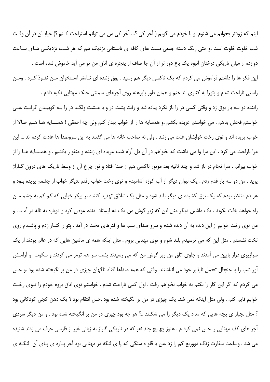اپنم که زودتر بخوابم می شنوم .و با خودم می گویم ( آخر کی ؟... آخر کی من می توانم استراحت کـنم ؟) خیابـان در آن وقـت شب خلوت خلوت است .و حتی رنگ دسته جمعی مست های کافه ی تابستانی نزدیک هم که هر شب نزدیکی های ساعت دوازده از میان تاریکی درختان انبوه یک باغ دور تر از آن جا صاف از پنجره ی اتاق من تو می آید خاموش شده است . این فکر ها را داشتم فراموش می کردم که یک تاکسی دیگر هم رسید . بوق زننده ای تـامغز اسـتخوان مـن نفـوذ کـرد . ومـن راستی ناراحت شدم و پتورا به کناری انداختم و همان طور پابرهنه روی آجرهای سمنتی خنک مهتابی تکیه دادم .

راننده دو سه بار بوق زد و وقتی کسی در را باز نکرد پیاده شد و رفت پشت در و با مـشت ولگـد در را بـه کوبیـدن گرفـت .مـی خواستم فحش بدهم . مي خواستم عربده بكشم .و همسايه ها را از خواب بيدار كنم ولي چه احمقي ! همـسايه هـا هــم حـالا از خواب پريده اند و توي رخت خوابشان غلت مي زنند . ولي نه صاحب خانه ها مي گفتند به اين سروصدا ها عادت كرده اند … اين مرا ناراحت می کرد . این مرا وا می داشت که بخواهم در آن دل آرام شب عربده ای زننده و منفو ر بکشم . و همـسایه هـا را از خواب بپرانم . سرا نجام در باز شد و چند ثانیه بعد موتور تاکسی هم از صدا افتاد و نور چراغ آن از وسط تاریک های درون گــاراژ پرید . من دو سه بار قدم زدم . یک لیوان دیگر از آب کوزه آشامیدم و توی رخت خواب رفتم .دیگر خواب از چشمم پریده بـود و هر دم منتظر بودم که یک بوق کشیده ی دیگر بلند شود و مثل یک شلاق تهدید کننده بر پیکر خوابی که کم کم به چشم مـن راه خواهد یافت بکوبد . یک ماشین دیگر مثل این که زیر گوش من یک دم ایستاد دنده عوض کرد و دوباره به ناله در آمـد . و من توی رخت خوابم از این دنده به آن دنده شدم و سرو صدای سیم ها و فنرهای تخت در آمد . پتو را کنـار زدم و پاشـدم روی تخت نشستم . مثل این که می ترسیدم بلند شوم و توی مهتابی بروم . مثل اینکه همه ی ماشین هایی که در عالم بودند از یک سرازیری دراز پایین می آمدند و جلوی اتاق من زیر گوش من که می رسیدند پشت سر هم ترمز می کردند و سکوت ًو آرامـش آور شب را با جنجال تحمل ناپذیر خود می انباشتند. وقتی که همه صداها افتاد ناگهان چیزی در من برانگیخته شده بود .و حس می کردم که اگر این کار را نکنم به خواب نخواهم رفت . اول کمی ناراحت شدم . خواستم توی اتاق بروم خودم را تـوی رخـت خوابم قایم کنم . ولی مثل اینکه نمی شد. یک چیزی در من بر انگیخته شده بود .حس انتقام بود ؟ یک دهن کجی کودکانی بود ؟ مثل لجباز ی بچه هایی که مداد یک دیگر را می شکنند ..؟ هر چه بود چیزی در من بر انگیخته شده بود . و من دیگر سردی آجر های کف مهتابی را حس نمی کرد م . هنوز یچ یچ چند نفر که در تاریکی گاراژ به زبانی غیر از فارسی حرف می زدند شنیده می شد . وساعت سفارت زنگ دووربع کم را زد .من با قلو ه سنگی که پا ی لنگه در مهتابی بود آجر پـاره ی پـای آن لنگـه ی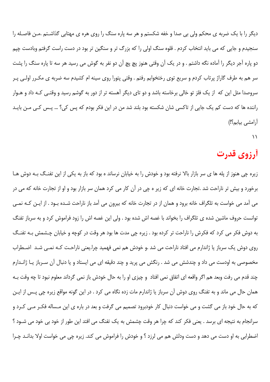دیگر را با یک ضربه ی محکم ولی بی صدا و خفه شکستم و هر سه پاره سنگ را روی هره ی مهتابی گذاشـتم .مـن فاصـله را سنجیدم و جایی که می باید انتخاب کردم . قلوه سنگ اولی را که بزرگ تر و سنگین تر بود در دست راست گرفتم وبادست چیم دو پاره آجر دیگر را آماده نگه داشتم . و در یک آن وقتی هنوز پچ پچ آن دو نفر به گوش می رسید هر سه تا پاره سنگ را پشت سر هم به طرف گاراژ پرتاب کردم و سریع توی رختخوابم رفتم . وقتی پتورا روی سینه ام کشیدم سه ضربه ی مکـرر اولـی پـر سروصدا مثل این که از یک فلز تو خالی برخاسته باشد و دو تای دیگر آهسته تر از دور به گوشم رسید و وقتـی کـه داد و هـوار راننده ها که دست کم یک جایی از تاکسی شان شکسته بود بلند شد من در این فکر بودم که پس کی؟ … پـس کـی مـن بایـد أرامشي بيابم؟!)

۱۱

## أرزوي قدرت

زیره چی هنوز از پله ها ی سر بازار بالا نرفته بود و خودش را به خیابان نرساند ه بود که باز به یکی از این تفنگ بـه دوش هـا برخورد و بیش تر ناراحت شد .تجارت خانه ای که زیر ه چی در آن کار می کرد همان سر بازار بود و او از تجارت خانه که می در می آمد می خواست به تلگراف خانه برود و همان از در تجارت خانه که بیرون می آمد باز ناراحت شـده بـود . از ایـن کـه نمـی توانست حروف ماشین شده ی تلگراف را بخواند با غصه اش شده بود . ولی این غصه اش را زود فراموش کرد و به سرباز تفنگ به دوش فکر می کرد که فکرش را ناراحت تر کرده بود . زیره چی مدت ها بود هر وقت در کوچه و خیابان چشمش بـه تفنـگ روی دوش یک سرباز یا ژاندارم می افتاد ناراحت می شد .و خودش هم نمی فهمید چرا.یعنی ناراحت کـه نمـی شـد اضـطراب مخصوصی به اودست می داد و چندشش می شد . رنگش می پرید و چند دقیقه ای می ایستاد و یا دنبال آن سـرباز یـا ژانـدارم چند قدم می رفت وبعد هم اگر واقعه ای اتفاق نمی افتاد و چیزی او را به حال خودش باز نمی گرداند معلوم نبود تا چه وقت بـه همان حال می ماند و به تفنگ روی دوش آن سرباز یا ژاندارم مات زده نگاه می کرد . در این گونه مواقع زیره چی پـس از ایـن که به حال خود باز می گشت و می خواست دنبال کار خودبرود تصمیم می گرفت و بعد در باره ی این مـساله فکـر مـی کـرد و سرانجام به نتیجه ای برسد . یعنی فکر کند که چرا هر وقت چشمش به یک تفنگ می افتد این طور از خود بی خود می شـود ؟ اضطرابي به او دست مي دهد و دست ودلش هم مي لرزد ؟ و خودش را فراموش مي كند. زيره چي مي خواست اولا بدانـد چـرا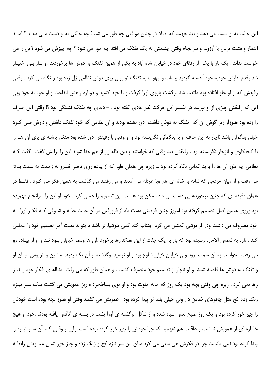این حالت به او دست می دهد و بعد بفهمد که اصلا در چنین مواقعی چه طور می شد ؟ چه حالتی به او دست مـی دهـد ؟ امیـد انتظار وحشت ترس یا آرزو… و سرانجام وقتی چشمش به یک تفنگ می افتد چه جور می شود ؟ چه چیزش می شود ؟این را می خواست بداند . یک بار با یکی از رفقای خود در خیابان شاه آباد به یکی از همین تفنگ به دوش ها برخوردند .او بـاز بـی اختیـار شد وقدم هایش خودبه خود آهسته گردید و مات ومبهوت به تفنگ نو براق روی دوش نظامی زل زده بود و نگاه می کرد . وقتی رفیقش که از او جلو افتاده بود ملتفت شد برگشت بازوی اورا گرفت و با خود کشید و دوباره راهش انداخت و او خود به خود وبی این که رفیقش چیزی از او بپرسد در تفسیر این حرکت غیر عادی گفته بود : – دیدی چه تفنگ قشنگی بود ؟! وقتی این حـرف را زده بود هنوزاز زیر گوش آن که تفنگ به دوش داشت دور نشده بودند و آن نظامی که خود تفنگ داشتن وادارش مـی کـرد خيلي بدگمان باشد ناچار به اين حرف او با بدگماني نگريسته بود و او وقتي با رفيقش دور شده بود مدتي پاشنه ي پاي آن هـا را با کنجکاوی و انزجار نگریسته بود . رفیقش بعد وقتی که خواستند پایین لاله زار از هم جدا شوند این را برایش گفت . گفت ک نظامی چه طور اّن ها را با بد گمانی نگاه کرده بود … زیره چی همان طور که از پیاده روی ناصر خسرو به زحمت به سمت بـالا می رفت و از میان مردمی که شانه به شانه ی هم وبا عجله می آمدند و می رفتند می گذشت به همین فکر می کـرد . فقـط در همان دقیقه ای که چنین برخوردهایی دست می داد ممکن بود عاقبت این تصمیم را عملی کرد . خود او این را سرانجام فهمیده بود وروی همین اصل تصمیم گرفته بود امروز چنین فرصتی دست داد از فرورفتن در آن حالت جذبه و شـوقی کـه فکـر اورا بـه خود مصروف می داشت ودر فراموشی گمشن می کرد اجتناب کند کمی هوشیارتر باشد تا بتواند دست آخر تصمیم خود را عملـی کند . تازه به شمس الاماره رسیده بود که باز به یک جفت از این تفنگدارها برخورد .آن ها وسط خیابان بـود نـد و او از پیـاده رو می رفت . خواست به آن سمت برود ولی خیابان خیلی شلوغ بود و او ترسید .وگذشته از آن یک ردیف ماشین و اتوبوس میـان او و تفنگ به دوش ها فاصله شدند و او ناچار از تصمیم خود منصرف گشت . و همان طور که می رفت دنباله ی افکار خود را نیـز رها نمي کرد . زيره چې وقتي بچه بود يک روز که خانه خلوت بود و او توی بساطخرد ه ريز عمويش مي گشت يـک سـر نيـزه زنگ زده کج مثل چاقوهای ضامن دار ولی خیلی بلند تر پیدا کرده بود . عمویش می گفتند وقتی او هنوز بچه بوده است خودش را چیز خور کرده بود و یک روز صبح نعش سیاه شده و از شکل برگشته ی اورا پشت در بسته ی اتاقش یافته بودند .خود او هیچ خاطره ای از عمویش نداشت و عاقبت هم نفهمید که چرا خودش را چیز خور کرده بوده است .ولی از وقتی کـه آن سـر نیــزه را پیدا کرده بود نمی دانست چرا در فکرش هی سعی می کرد میان این سر نیزه کج و زنگ زده و چیز خور شدن عمـویش رابطـه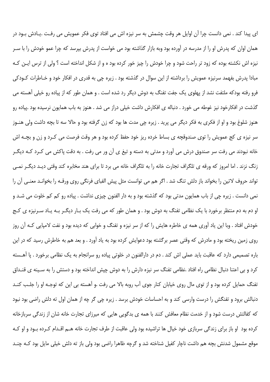ای پیدا کند . نمی دانست چرا آن اوایل هر وقت چشمش به سر نیزه اش می افتاد توی فکر عمویش می رفت .یـادش بـود در همان اوان که پدرش او را از مدرسه در آورده بود وبه بازار گذاشته بود می خواست از پدرش بپرسد که چرا عمو خودش را با سـر نیزه اش نکشته بوده که زود تر راحت شود و چرا خودش را چیز خور کرده بود ه و از شکل انداخته است ؟ ولی از ترس ایـن کـه مبادا پدرش بفهمد سرنیزه عمویش را برداشته از این سوال در گذشته بود . زیره چی به قدری در افکار خود و خـاطرات کـودکی فرو رفته بودکه ملتفت نشد از پهلوی یک جفت تفنگ به دوش دیگر رد شده است . و همان طور که از پیاده رو خیلی آهسته می گذشت در افکارخود نیز غوطه می خورد . دنباله ی افکارش داشت خیلی دراز می شد . هنوز به باب همایون نرسیده بود .پیاده رو هنوز شلوغ بود و او از فکری به فکر دیگر می پرید . زیره چی مدت ها بود که زن گرفته بود و حالا سه تا بچه داشت ولی هنـوز سر نیزه ی کج عمویش را توی صندوقچه ی بساط خرده ریز خود حفظ کرده بود و هر وقت فرصت می کـرد و زن و بچــه اش خانه نبودند می رفت سر صندوق درش می آورد و مدتی به دسته و تیغ ی آن ور می رفت . به دقت پاکش می کـرد کـه دیگـر زنگ نزند . اما امروز که ورقه ی تلگراف تجارت خانه را به تلگراف خانه می برد تا برای هند مخابره کند وقتی دیـد دیگـر نمـی تواند حروف لاتین را بخواند باز دلش تنگ شد . اگر هم می توانست مثل پیش الفبای فرنگی روی ورقـه را بخوانـد معنـی آن را نمي دانست . زيره چي از باب همايون مدتي بود كه گذشته بود و به دار الفنون چيزي نداشت . پياده رو كم كم خلوت مي شـد و او دم به دم منتظر برخورد با یک نظامی تفنگ به دوش بود . و همان طور که می رفت یک بـار دیگـر بـه یـاد سـرنیزه ی کـج خودش افتاد . وبا این یاد آوری همه ی خاطره هایش را که از سر نیزه و تفنگ و خوابی که دیده بود و نفت لامپایی کـه آن روز روی زمین ریخته بود و مادرش که وقتی عصر برگشته بود دعوایش کرده بود به یاد آورد . و بعد هم به خاطرش رسید که در این باره تصمیمی دارد که عاقبت باید عملی اش کند . دم در دارالفنون در خلوتی پیاده رو سرانجام به یک نظامی برخورد . یا آهـسته کرد و بی اعتنا دنبال نظامی راه افتاد .نظامی تفنگ سر نیزه دارش را به دوش چیش انداخته بود و دستش را به سـینه ی قنــداق تفنگ حمایل کرده بود و از توی مال روی خیابان کنار جوی آب روبه بالا می رفت .و آهسته بی این که توجـه او را جلـب کنـد دنبالش برود و تفنگش را درست وارسی کند و به احساسات خودش برسد . زیره چی گر چه از همان اول ته دلش راضی بود نبود که کفالتش درست شود و از خدمت نظام معافش کنند با همه ی بدگویی هایی که میرزای تجارت خانه شان از زندگی سربازخانه کرده بود او باز برای زندگی سربازی خود خیال ها تراشیده بود ولی عاقبت از طرف تجارت خانه هـم اقـدام کـرده بـود و او کـه موقع مشمول شدنش بچه هم داشت ناچار کفیل شناخته شد و گرچه ظاهرا راضی بود ولی باز ته دلش خیلی مایل بود کـه چنـد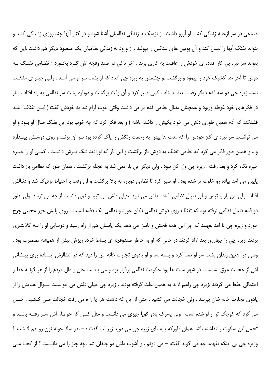صباحی در سربازخانه زندگی کند . او آرزو داشت از نزدیک با زندگی نظامیان آشنا شود و در کنار آنها چند روزی زنـدگی کنـد و بتواند تفنگ آنها را لمس کند و آن پوتین های سنگین را بپوشد . از ورود به زندگی نظامیان یک مقصود دیگر هم داشت .این که بتواند سر نیزه بی کار افتاده ی خودش را عاقبت به کاری بزند . آخر تاکی در صند وقچه اش گـرد بخـورد ؟ نظـامی تفنـگ بـه دوش تا آخر حد کشیک خود را پیمود و برگشت .و چشمش به زیره چی افتاد که از پشت سر او می آمـد . ولـی چیــز ی ملتفـت نشد. زیره چی دو سه قدم دیگر رفت . بعد ایستاد . کمی صبر کرد و آن وقت برگشت و دوباره پشت سر نظامی به راه افتاد . بـاز در فكرهاى خود غوطه وربود و همچنان دنبال نظامى قدم بر مى داشت وقتى خوب آرام شد به خودش گفت ( ايـن تفنگــا انقــد قشنگند که آدم همین طوری دلش می خواد یکیش را داشته باشه ) و بعد فکر کرد که چه خوب بود این تفنگ مـال او بـود و او می توانست سر نیزه ی کج خودش را که مدت ها پیش به زحمت زنگش را پاک کرده بود سر آن بزنـد و روی دوشـش بینـدازد و… و همین طور فکر می کرد که نظامی تفنگ به دوش باز برگشت و این بار که اورادید شک بـرش داشـت . کمـی او را خیـره خیره نگاه کرد و بعد رفت . زیره چی ول کن نبود . ولی دیگر این بار نمی شد به عجله برگشت . همان طور که نظامی باز داشت پایین می آمد پیاده رو خلوت تر شده بود . او صبر کرد تا نظامی دوباره به بالا برگشت و آن وقت با احتیاط نزدیک شد و دنبالش افتاد . ولي اين بار با ترس و لرز دنبال نظامي افتاد . دلش مي تپيد .خيلي دلش مي تپيد و نمي دانست از چه مي ترسد .ولي هنوز دو قدم دنبال نظامی نرفته بود که تفنگ روی دوش نظامی تکان خورد و نظامی یک دفعه ایستاد ! روی پایش جور عجیبی چرخ خورد و زیره چی تا آمد بفهمد که چرا این همه فحش و ناسزا می دهد یک پاسبان هم از راه رسید و دوتـایی او را بـه کلانتـری بردند .زیره چی را چهارروز بعد آزاد کردند در حالی که او به خاطر صندوقچه ی بساط خرده ریزش بیش از همیشه مضطرب بود . وقتی در آهنین زندان پشت سر او صدا کرد و بسته شد و او یادوی تجارت خانه اش را دید که در انتظارش ایستاده روی پیـشانی اش از خجالت عرق نشست . در شهر مدت ها بود حکومت نظامی برقرار بود و می بایست جان و مال مردم را از هر گونـه خطـر احتمالی حفظ می کردند .زیرہ چی راهم لابد به همین علت گرفته بودند . زیرہ چی خیلی دلش می خواست سـوال هـایش را از پادوی تجارت خانه شان بپرسد . ولی خجالت می کشید . حتی از این که داشت هم پا را ه می رفت خجالت مـی کـشید . حـس می کرد که کوچک تر از او شده است . ولی پسرک پادو گویا چیزی می دانست و مثل کسی که حوصله اش سـر رفتـه باشـد و تحمل این سکوت را نداشته باشد همان طورکه پابه پای زیره چی می دوید زیر لب گفت : – پدر سگا خونه تون رو هم گشتند ! وزیره چی بی اینکه بفهمد چه می گوید گفت: – می دونم . و آشوب دلش دو چندان شد .چه چیز را می دانـست ؟ از کجـا مـی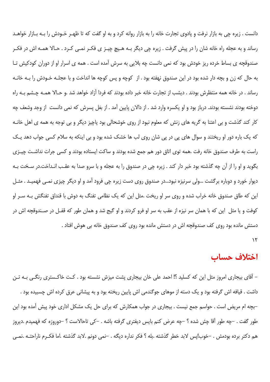دانست . زيره چي به بازار نرفت و پادوي تجارت خانه را به بازار روانه كرد و به او گفت كه تا ظهـر خـودش را بـه بـازار خواهـد رساند و به عجله راه خانه شان را در پیش گرفت . زیره چی دیگر بـه هـیچ چیـز ی فکـر نمـی کـرد . حـالا همـه اش در فکـر صندوقچه ی بساط خرده ریز خودش بود که نمی دانست چه بلایی به سرش آمده است . همه ی اسرار او از دوران کودکیش تـا به حال که زن و بچه دار شده بود در این صندوق نهفته بود . از کوچه و پس کوچه ها انداخت و با عجلـه خـودش را بـه خانـه رساند . در خانه همه منتظرش بودند . ديشب از تجارت خانه خبر داده بودند كه فردا آزاد خواهد شد .و حـالا همـه چـشم بـه راه دوخته بودند نشسته بودند. درباز بود و او یکسره وارد شد . از دالان پایین آمد . از بغل پسرش که نمی دانست از وجد وشعف چه کار کند گذشت و بی اعتنا به گریه های زنش که معلوم نبود از روی خوشحالی بود یاچیز دیگر و بی توجه به همه ی اهل خانـه که یک باره دور او ریختند و سوال های پی در پی شان روی لب ها خشک شده بود و بی اینکه به سلام کسی جواب دهد یک راست به طرف صندوق خانه رفت .همه توى اتاق دور هم جمع شده بودند و ساكت ايستاده بودند و كسى جرات نداشت چيـزى بگوید و او را از آن چه گذشته بود خبر دار کند . زیره چی در صندوق را به عجله و با سرو صدا به عقب انـداخت.در سـخت بـه دیوار خورد و دوباره برگشت …ولی سرنیزه نبود…در صندوق روی دست زیره چی فرود آمد و او دیگر چیزی نمـی فهمیـد . مثـل این که طاق صندوق خانه خراب شده و روی سر او ریخت .مثل این که یک نظامی تفنگ به دوش با قنداق تفنگش بـه سـر او کوفت و یا مثل این که با همان سر نیزه از عقب به سر او فرو کردند و او گیج شد و همان طور که قفـل در صـندوقچه اش در دستش مانده بود روی کف صندوقچه اش در دستش مانده بود روی کف صندوق خانه بی هوش افتاد .  $\mathcal{N}$ 

#### اختلاف حساب

– آقای بیجاری امروز مثل این که کسلید ؟! احمد علی خان بیجاری پشت میزش نشسته بود . کت خاکـستری رنگـی بـه تـن داشت . قیافه اش گرفته بود و یک دسته از موهای جوگندمی اش پایین ریخته بود و به پیشانی عرق کرده اش چسبیده بود . –بچه ام مریض است . حواسم جمع نیست . بیجاری در جواب همکارش که برای حل یک مشکل اداری خود پیش آمده بود این طور گفت . –چه طور آقا چش شده ؟ –چه عرض کنم بایس دیفتری گرفته باشه . –کی تاحالاست ؟ –دوروزه که فهمیدم .دیروز هم دکتر برده بودمش . –خوب!پس لابد خطر گذشته .بله ؟ فکر نداره دیگه . –نمی دونم .لابد گذشته .اما فکـرم ناراحتــه .نمــی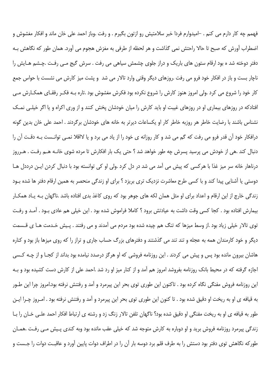فهمم چه کار دارم می کنم . –امیدوارم فردا خبر سلامتیش رو ازتون بگیرم . و رفت .وباز احمد علی خان ماند و افکار مغشوش و اضطراب آورش كه صبح تا حالا راحتش نمي گذاشت و هر لحظه از طرفي به مغزش هجوم مي آورد. همان طور كه نگاهش بـه دفتر دوخته شد ه بود ارقام ستون های باریک و دراز جلوی چشمش سیاهی می رفت . سرش گیج مـی رفـت .چـشم هـایش را ناچار بست و باز در افکار خود فرو می رفت .روزهای دیگر وقتی وارد تالار می شد و پشت میز کارش می نشست با حواس جمع کار خود را شروع می کرد .ولی امروز هنوز کارش را شروع نکرده بود فکرش مغشوش بود .تاره بـه فکـر رفقـای همکـارش مـی افتادکه در روزهای بیماری او در روزهای غیبت او باید کارش را میان خودشان پخش کنند و از وری اکراه و یا اگر خیلـی نمـک نشناس باشند با رضایت خاطر هر روزبه خاطر کار او یکساعات دیرتر به خانه های خودشان برگردند . احمد علی خان بدین گونه درافکار خود آن قدر فرو می رفت که گم می شد و کار روزانه ی خود را از یاد می برد و یا لااقلا نمـی توانـست بـه دقـت آن را دنبال کند .هی از خودش می پرسید پسرش چه طور خواهد شد ؟ حتی یک بار افکارش تا مرده شوی خانـه هـم رفـت . هـرروز درناهار خانه سر میز غذا با هرکسی که پیش می آمد می شد در دل کرد .ولی او کی توانسته بود با دنبال کردن ایـن درددل هـا دوستی یا آشنایی پیدا کند و با کسی طرح معاشرت نزدیک تری بریزد ؟ برای او زندگی منحصر به همین ارقام دفتر ها شده بـود زندگی خارج از این ارقام و اعداد برای او مثل همان لکه های جوهر بود که روی کاغذ بدی افتاده باشد .ناگهان بـه پـاد همکـار بیمارش افتاده بود . کجا کسی وقت داشت به عیادتش برود ؟ کاملا فراموش شده بود . این خیلی هم عادی بـود . آمـد و رفـت توی تالار خیلی زیاد بود .از وسط میزها که تنگ هم چیده شده بود مردم می آمدند و می رفتند . پـیش خـدمت هـا ی قـسمت دیگر و خود کارمندان همه به عجله و تند تند می گذشتند و دفترهای بزرگ حساب جاری و تراز را که روی میزها باز بود و کناره هاشان بیرون مانده بود پس و پیش می کردند . این روزنامه فروشی که او هرگز درصدد نیامده بود بداند از کجـا و از چـه کـسی اجازه گرفته که در محیط بانک روزنامه بفروشد امروز هم آمد و از کنار میز او رد شد .احمد علی از کارش دست کشیده بود و بـه این روزنامه فروش مفنگی نگاه کرده بود . تاکنون این طوری توی بحر این پیرمرد و آمد و رفتنش نرفته بود.امروز چرا این طـور به قیافه ی او به ریخت او دقیق شده بود . تا کنون این طوری توی بحر این پیرمرد و آمد و رفتنش نرفته بود . امـروز چـرا ایـن طور به قیافه ی او به ریخت مفنگی او دقیق شده بود؟ ناگهان تلفن تالار زنگ زد و رشته ی ارتباط افکار احمد علـی خـان را بـا زندگی پیرمرد روزنامه فروش برید و او دوباره به کارش متوجه شد که خیلی عقب مانده بود وبه کندی پـیش مـی رفـت .همـان طورکه نگاهش توی دفتر بود دستش را به طرف قلم برد دوسه بار آن را در اطراف دوات پایین آورد و عاقبت دوات را جـست و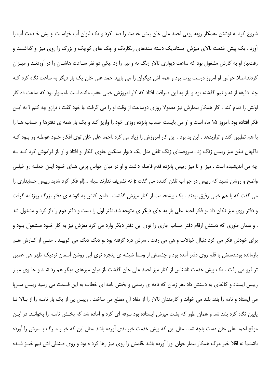شروع کرد به نوشتن .همکار روبه روپی احمد علی خان پیش خدمت را صدا کرد و یک لیوان آب خواسـت .پـیش خـدمت آب را آورد . یک پیش خدمت بالای میزش ایستاد.یک دسته سندهای رنگارنگ و چک های کوچک و بزرگ را روی میز او گذاشت و رفت.باز او به کارش مشغول بود که ساعت دیواری تالار زنگ نه و نیم را زد .یکی دو نفر سـاعت هاشـان را در آوردنـد و میـزان کردند.اصلا حواس او امروز درست پرت بود و همه اش دیگران را می پایید.احمد علی خان یک بار دیگر به ساعت نگاه کرد کـه چند دقیقه از نه و نیم گذشته بود و باز به این صرافت افتاد که کار امروزش خیلی عقب مانده است .امیدوار بود که ساعت ده کار اولش را تمام كند . كار همكار بيمارش نيز معمولا روزي دوساعت از وقت او را مي گرفت .با خود گفت : ترازو چه كنم ؟ به ايـن فکر افتاده بود .امروز ۱۵ ماه است و او می بایست حساب پانزده روزی خود را واریز کند و یک بار همه ی دفترها و حساب هـا را با هم تطبیق کند و ترازبدهد . این بد بود . این کار امروزش را زیاد می کرد .احمد علی خان توی افکار خـود غوطـه ور بـود کـه ناگهان تلفن میز رییس زنگ زد . سروصدای زنگ تلفن مثل یک دیوار سنگین جلوی افکار او افتاد و او باز فراموش کرد کـه بـه چه می اندیشیده است . میز او تا میز رییس پانزده قدم فاصله داشت و او در میان حواس پرتی هـای خـود ایـن جملـه رو خیلـی واضح و روشن شنید که رییس در جو اب تلفن کننده می گفت :( نه تشریف ندارند …بله …)او فکر کرد شاید رییس حسابداری را می گفت که با هم خیلی رفیق بودند . یک پیشخدمت از کنار میزش گذشت . دامن کتش به گوشه ی دفتر بزرگ روزنامه گرفت و دفتر روی میز تکان داد .و فکر احمد علی باز به جای دیگر ی متوجه شد.دفتر اول را بست و دفتر دوم را باز کرد و مشغول شد . و همان طوری که دستش ارقام دفتر حساب جاری را توی این دفتر دیگر وارد می کرد مغزش نیز به کار خـود مـشغول بـود و براي خودش فكر مي كرد دنبال خيالات واهي مي رفت . سرش درد گرفته بود .و دنگ دنگ مي كوبيـد . حتـي از كـارش هــم بازمانده بود.دستش با قلم روی دفتر آمده بود و چشمش از وسط شیشه ی پنجره توی آبی روشن آسمان نزدیک ظهر هی عمیق تر فرو می رفت . یک پیش خدمت ناشناس از کنار میز احمد علی خان گذشت .از میان میزهای دیگر هم رد شـد و جلـوی میـز رییس ایستاد و کاغذی به دستش داد .هر زمان که نامه ی رسمی و بخش نامه ای خطاب به این قسمت می رسید رییس سـرپا می ایستاد و نامه را بلند بلند می خواند و کارمندان تالار را از مفاد آن مطلع می ساخت . رییس پی از یک بار نامـه را از بـالا تـا پایین نگاه کرد بلند شد و همان طور که پشت میزش ایستاده بود سرفه ای کرد و آماده شد که بخـش نامـه را بخوانـد. در ایـن موقع احمد علی خان دست یاچه شد . مثل این که پیش خدمت خبر بدی آورده باشد .مثل این که خبـر مـرگ پـسرش را آورده باشد.یا نه اقلا خبر مرگ همکار بیمار جوان اورا آورده باشد .قلمش را روی میز رها کرد ه بود و روی صندلی اش نیم خیـز شـده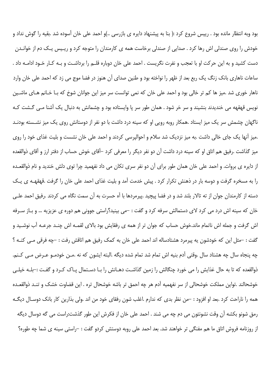بود وبه انتظار مانده بود . رييس شروع كرد :( بنا به پيشنهاد دايره ى بازرسى ..)و احمد على خان آسوده شد .بقيه را گوش نداد و خودش را روی صندلی اش رها کرد . صدایی از صندلی برخاست همه ی کارمندان را متوجه کرد و ریـیس یـک دم از خوانـدن دست کشید و به این حرکت او با تعجب و نفرت نگریست . احمد علی خان دوباره قلـم را برداشـت و بـه کـار خـود ادامـه داد . ساعات ناهاري بانک زنگ يک ربع بعد از ظهر را نواخته بود و طنين صداي آن هنوز در فضا موج مي زد که احمد علي خان وارد ناهار خوری شد .میز ها کم تر خالی بود و احمد علی خان که نمی توانست سر میز این جوانان شوخ که بـا خـانم هـای ماشـین نویس قهقهه می خندیدند بنشیند و سر خر شود . همان طور سر پا وایستاده بود و چشمانش به دنبال یک آشنا مـی گـشت کـه ناگهان چشمش سر یک میز ایستاد .همکار روبه رویی او که سینه درد داشت با دو نفر از دوستانش روی یک میز نشـسته بودنـد .میز آنها یک جای خالی داشت .به میز نزدیک شد سلام و احوالپرسی کردند و احمد علی خان نشست و بلیت غذای خود را روی میز گذاشت .رفیق هم اتاق او که سینه درد داشت آن دو نفر دیگر را معرفی کرد –آقای خوش حساب از دفتر ارز و آقای ذوالقعده از دایره ی بروات. و احمد علی خان همان طور برای آن دو نفر سری تکان می داد نفهمید چرا توی دلش خندید و نام ذوالقعـده را به مسخره گرفت و دوسه بار در ذهنش تکرار کرد . پیش خدمت آمد و بلیت غذای احمد علی خان را گرفت .قهقهـه ی یـک دسته از کارمندان جوان از ته تالار بلند شد و در فضا پیچید .پیرمردها با آه حسرت به آن سمت نگاه می کردند .رفیق احمد علـی خان که سینه اش درد می کرد لای دستمالش سرفه کرد و گفت : –می بینید؟راستی جوونی هم دوره ی عزیزیه … و بـاز سـرفه اش گرفت و جمله اش ناتمام ماند.خوش حساب که جوان تر از همه ی رفقایش بود بالای لقمـه اش چنـد جرعـه آب نوشـید و گفت : –مثل این که خودشون یه پیرمرد هشتادساله اند احمد علی خان به کمک رفیق هم اتاقش رفت : –چه فرقی مـی کنــه ؟ چه پنجاه سال چه هشتاد سال .وقتی آدم بنیه اش تمام شد تمام شده دیگه .البته ایشون که نه .مـن خودمـو عـرض مـی کـنم. ذوالقعده که تا به حال غذایش را می خورد چنگالش را زمین گذاشت دهـانش را بـا دسـتمال پـاک کـرد و گفـت :–بلـه خیلـی خوشحالند .تواین مملکت خوشحالی از سر نفهمیه آدم هر چه احمق تر باشه خوشحال تره . این قضاوت خشک و تنـد ذوالقعـده همه را ناراحت کرد .بعد او افزود : –من نظر بدی که ندارم .اغلب شون رفقای خود من اند .ولی بذارین کار بانک دوسـال دیگـه رمق شونو بكشه آن وقت نشونتون مي دم چه مي شند . احمد علي خان از فكرش اين طور گذشت:راست مي گه دوسال ديگه از روزنامه فروش اتاق ما هم مفنگی تر خواهند شد. بعد احمد علی روبه دوستش کردو گفت : –راستی سینه ی شما چه طوره؟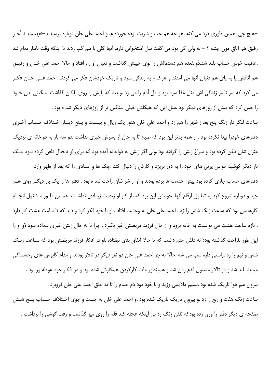–هيچ چي .همين طوري درد مي كنه .هر چه هم حب و شربت بوده خورده م. و احمد علي خان دوباره پرسيد : –نفهميديـد آخـر رفيق هم اتاق مون چشه ؟ – نه ولي كي بود مي گفت سل استخواني داره. آنها كلي با هم گپ زدند تا اينكه وقت ناهار تمام شد .عاقبت خوش حساب بلند شد.ذوالقعده هم دستمالش را توى جيبش گذاشت و دنبال او راه افتاد و حالا احمد على خـان و رفيـق هم اتاقش پا به پای هم دنبال آنها می آمدند و هرکدام به زندگی سرد و تاریک خودشان فکر می کردند .احمد علـی خـان فکـر می کرد که سر تاسر زندگی اش مثل غذا سرد بود و دل آدم را می زد .و بعد که پایش را روی پلکان گذاشت سنگینی بدن خـود را حس کرد که بیش از روزهای دیگر بود .مثل این که هیکلش خیلی سنگین تر از روزهای دیگر شد ه بود .

ساعت لنگر دار زنگ پنج بعداز ظهر را هم زد و احمد علی خان هنوز یک ریال و بیـست و پـنج دینـار اخـتلاف حـساب آخـری دفترهای خودرا پیدا نکرده بود . از همه بدتر این بود که صبح تا به حال از پسرش خبری نداشت .دو سه بار به دواخانه ی نزدیک منزل شان تلفن کرده بود و سراغ زنش را گرفته بود .ولی اگر زنش به دواخانه آمده بود که برای او تابحال تلفن کرده بـود .یـک

بار دیگر کوشید حواس پرتی های خود را به دور بریزد و کارش را دنبال کند .چک ها و اسنادی را که بعد از ظهر وارد دفترهای حساب جاری کرده بود پیش خدمت ها برده بودند و او از شر شان راحت شد ه بود . دفتر ها را یک بار دیگـر روی هــم چید و دوباره شروع کرد به تطبیق ارقام آنها .خوبیش این بود که باز کار او زحمت زیـادی نداشـت. همـین طـور مـشغول انجـام کارهایش بود که ساعت زنگ شش را زد . احمد علی خان به وحشت افتاد . او با خود فکر کرد و دید که تا ساعت هشت کار دارد . تازه ساعت هشت می توانست به خانه برود و از حال فرزند مریضش خبر بگیرد . چرا تا به حال زنش خبری نـداده بـود ؟و او را این طور ناراحت گذاشته بود؟ ته دلش حتم داشت که تا حالا اتفاق بدی نیفتاده .او در افکار فرزند مریضش بود که سـاعت زنـگ شش و نیم را زد .راستی داره شب می شه .حالا به جز احمد علی خان دو نفر دیگر در تالار بودند.او مدام کابوس های وحشتناکی میدید بلند شد و در تالار مشغول قدم زدن شد و همینطور مات کارکردن همکارش شده بود و در افکار خود غوطه ور بود . بیرون هم هوا تاریک شده بود .نسیم ملایمی وزید و با خود دود دم حمام را تا ته حلق احمد علی خان فروبرد .

صفحه ی دیگر دفتر را ورق زده بودکه تلفن زنگ زد بی اینکه عجله کند قلم را روی میز گذاشت و رفت گوشی را برداشت .

ساعت زنگ هفت و ربع را زد .و بیرون تاریک تاریک شده بود .و احمد علی خان به جست و جوی اخـتلاف حـساب پـنج شـش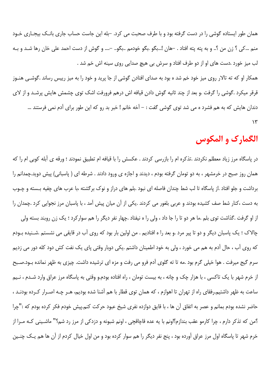همان طور ایستاده گوشی را در دست گرفته بود و با طرف صحبت می کرد. –بله این جاست حساب جاری بانـک بیجـاری خـود منم …کی ؟ زن من ؟.. و به پته پته افتاد . –هان !…بگو .بگو خودمم …بگو.. –…. و گوش از دست احمد علی خان رها شـد و بـه لب ميز خورد .دست هاي او از دو طرف افتاد و سرش بي هيچ صدايي روي سينه اش خم شد .

همکار او که ته تالار روی میز خود خم شد ه بود به صدای افتادن گوشی از جا پرید و خود را به میز رییس رساند .گوشـی هنـوز قرقر میکرد .گوشی را گرفت .و بعد از چند ثانیه گوش دادن قیافه اش درهم فرورفت اشک توی چشمش هایش پرشـد و از لای دندان هایش که به هم فشرد ه می شد توی گوشی گفت : – آخه خانم ! خبر بد رو که این طور برای آدم نمی فرستند …  $\gamma$ 

# الگمارک و المکوس

در پاسگاه مرز زیاد معطلم نکردند .تذکره ام را بازرسی کردند . عکسش را با قیافه ام تطبیق نمودند ؛ ورقه ی آبله کوبی ام را که همان روز صبح در خرمشهر ، به دو تومان گرفته بودم ، دیدند و اجازه ی ورود دادند . شرطه ای ( پاسبانی) پیش دوید.چمدانم را برداشت و جلو افتاد .از پاسگاه تا لب شط چندان فاصله ای نبود .بلم های دراز و نوک برگشته ،با عرب های چفیه بـسته و چـوب به دست ،کنار شط صف کشیده بودند و عربی بلغور می کردند .یکی از آن میان پیش آمد ، با پاسبان مرز نجوایی کرد .چمدان را

از او گرفت .گذاشت توی بلم .ما هر دو تا را جا داد ، ولی را ه نیفتاد .چهار نفر دیگر را هم سوارکرد ؛ یک زن روبند بسته ولی چالاک ؛ یک پاسبان دیگر و دو تا پیر مرد .و بعد را ه افتادیم . من اولین بار بود که روی آب در قایقی می نشستم .شـنیده بـودم که روی آب ، حال آدم به هم می خورد ، ولی به خود اطمینان داشتم .یکی دوبار وقتی پای یک نفت کش دود کله دور می زدیم سرم گیج میرفت . هوا خیلی گرم بود .مه تا ته گلوی آدم فرو می رفت و مزه ای ترشیده داشت. چیزی به ظهر نمانده بـود.صـبح از خرم شهر با یک تاکسی ، با هزار چک و چانه ، به بیست تومان ، راه افتاده بودم.و وقتی به پاسگاه مرز عراق وارد شـدم ، نـیم ساعت به ظهر داشتیم.رفقای راه از تهران تا اهوازم ، که همان توی قطار با هم آشنا شده بودیم، هـر چـه اصـرار کـرده بودنـد ، حاضر نشده بودم بمانم و عصر به اتفاق آن ها ، با قایق دوازده نفری شیخ عبود حرکت کنم.پیش خودم فکر کرده بودم که :"چرا ؟من كه تذكر دارم ، چرا كارمو عقب بندازم؟اونم با يه عده قاچاقچى ، اونم شبونه و دزدكى از مرز رد شم؟" ماشـينى كـه مـرا از خرم شهر تا پاسگاه اول مرز عراق آورده بود ، پنج نفر دیگر را هم سوار کرده بود و من اول خیال کردم از آن ها هم یـک چنـین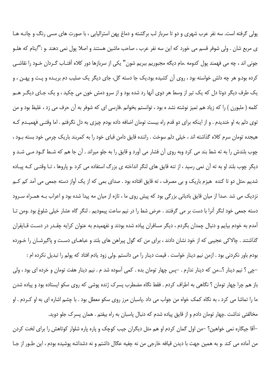پولی گرفته است. سه نفر عرب شهری و دو تا سرباز لب برگشته و دماغ پهن استرالیایی ، با صورت های مسی رنگ و چانـه هـا ی مربع شان . ولی شوفر قسم می خورد که این سه نفر عرب ، صاحب ماشین هستند و اصلا پول نمی دهند .و :"اینام که هلـو جونی اند ، چه می فهمند پول کدومه .مام دیگه مجبوریم ببریم شون" یکی از سربازها دور کلاه آفتـاب گـردان خـود را نقاشـی کرده بود.و هر چه دلش خواسته بود ، روی آن کشیده بود.یک جا دسته گل، جای دیگر یک صلیب دم بریـده و پـت و پهـن ، و یک طرف دیگر دوتا دل که یک تیر از وسط هر دوی آنها رد شده بود و از سرو دمش خون می چکید ، و یک جـای دیگــر هــم کلمه ( ملبورن ) را که زیاد هم تمیز نوشته نشد ه بود ، توانستم بخوانم .فارسی ای که شوفر به آن حرف می زد ، غلیظ بود و من توی دلم به او خندیدم . و از اینکه برای دو قدم راه بیست تومان اضافه داده بودم چیزی به دل نگرفتم . اما وقتبی فهمیـدم کـه هیجده تومان سرم کلاه گذاشته اند ، خیلی دلم سوخت . راننده قایق دامن قبای خود را به کمربند باریک چرمی خود بسته بـود ، چوب بلندش را به ته شط بند می کرد وبه روی آن فشار می آورد و قایق را به جلو میراند . آن جا هم که شـط گـود مـی شـد و دیگر چوب بلند او به ته آن نمی رسید ، از تنه قایق های لنگر انداخته ی بزرگ استفاده می کرد .و پاروها ، تـا وقتـی کـه پیـاده شدیم ،مثل دو تا کنده هیزم باریک و بی مصرف ، ته قایق افتاده بود . صدای بمی که از یک آواز دسته جمعی می آمد کم کـم نزدیک می شد .صدا از میان قایق بادبانی بزرگی بود که پیش روی ما ، تازه از میان مه پیدا شده بود و اعراب بـه همـراه سـرود دسته جمعي خود لنگر أنرا با دست بر مي گرفتند . عرض شط را در نيم ساعت پيموديم . لنگر گاه عشار خيلي شلوغ بود .ومن تـا آمدم به خودم بیایم و دنبال چمدان بگردم ، دیگر مسافران پیاده شده بودند و نفهمیدم به عنوان کرایه چقـدر در دسـت قـایقران گذاشتند . چالاکی عجیبی که از خود نشان دادند ، برای من که گول پیراهن های بلند و عباهـای دسـت و پاگیرشـان را خـورده بودم باور نكردني بود . ازمن نيم دينار خواست . قيمت دينار را مي دانستم .ولي زود يادم افتاد كه پولم را تبديل نكرده ام :

-چی ؟ نیم دینار ؟...من که دینار ندارم . -پس چهار تومان بده . کمی آسوده شد م . نیم دینار هفت تومان و خرده ای بود ، ولی باز هم چرا چهار تومان ؟ نگاهی به اطراف کردم . فقط نگاه مضطرب پسرک ژنده پوشی که روی سکو ایستاده بود و پیاده شدن ما را تماشا می کرد ، به نگاه کمک خواه من جواب می داد .پاسبان مرز روی سکو معطل بود . با چشم اشاره ای به او کـردم . او مخالفتی نداشت .چهار تومان دادم و از قایق پیاده شدم که دنبال پاسبان به راه بیفتم . همان پسرک جلو دوید.

–آقا جیگاره نمی خواهین؟ –من اول گمان کردم او هم مثل دیگران جیب کوچک و پاره پاره شلوار کوتاهش را برای لخت کردن من آماده می کند .و به همین جهت با دیدن قیافه خارجی من نه چفیه عگال داشتم و نه دشداشه پوشیده بودم ، این طـور از جـا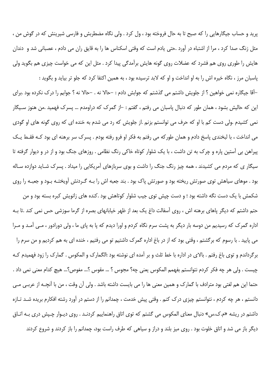پرید و حساب جیگارهایی را که صبح تا به حال فروخته بود ، ول کرد . ولی نگاه مضطربش و فارسی شیرینش که در گوش من ، مثل زنگ صدا کرد ، مرا از اشتباه در آورد .حتی یادم است که وقتی اسکناس ها را به قایق ران می دادم ، عصبانی شد و دندان هایش را طوری روی هم فشرد که عضلات روی گونه هایش برآمدگی پیدا کرد . مثل این که می خواست چیزی هم بگوید ولی

ياسبان مرز ، نگاه خيره اش را به او انداخت و او كه لابد ترسيده بود ، به همين اكتفا كرد كه جلو تر بيايد و بگويد : –آقا جیگاره نمی خواهین ؟ از جلویش داشتم می گذشتم که جوابش دادم : –حالا نه . –حالا نه ؟ جوابم را درک نکرده بود .برای این که حالیش بشود ، همان طور که دنبال پاسبان می رفتم ، گفتم : –از گمرک که دراومدم … پسرک فهمید .من هنوز سـیگار نمی کشیدم .ولی دست کم با او که حرف می توانستم بزنم .از جلویش که رد می شدم به خنده ای که روی گونه های او گودی می انداخت ، با لبخندی پاسخ دادم و همان طورکه می رفتم به فکر او فرو رفته بودم . پسرک سر برهنه ای بود کـه فقـط یـک پیراهن بی آستین پاره و چرک به تن داشت ، با یک شلوار کوتاه خاکی رنگ نظامی . روزهای جنگ بود و از در و دیوار گرفته تا سیگار ی که مردم می کشیدند ، همه چیز رنگ جنگ را داشت و بوی سربازهای آمریکایی را میداد . پسرک شـاید دوازده سـاله بود . موهای سیاهش توی صورتش ریخته بود و صورتش پاک بود . بند جعبه اش را بـه گـردنش آویختـه بـود و جعبـه را روی

شکمش با یک دست نگه داشته بود ؛ و دست چیش توی جیب شلوار کوتاهش بود .کنده های زانویش کبره بسته بود و من حتم داشتم که دیگر پاهای برهنه اش ، روی آسفالت داغ یک بعد از ظهر خیابانهای بصره از گرما سوزشی حس نمی کند .تا بـه اداره گمرک که رسیدیم من دوسه بار دیگر به پشت سرم نگاه کردم و اورا دیدم که پا به پای ما ، ولی دورادور ، مـی آمـد و مـرا می پایید . با رسوم که برگشتم ، وقتی بود که از در باغ اداره گمرک داشتیم تو می رفتیم ، خنده ای به هم کردیم و من سرم را برگرداندم و توی باغ رفتم . بالای در اداره با خط ثلث و بر آمده ای نوشته بود :الگمارک و المکوس . گمارک را زود فهميدم کـه چیست . ولی هر چه فکر کردم نتوانستم بفهمم المکوس یعنی چه؟ مجوس ؟ … مقوس ؟… مغوص؟… هیچ کدام معنی نمی داد . حتما این هم لغتی بود مترادف با گمارک و همین معنی ها را می بایست داشته باشد . ولی آن وقت ، من با آنچـه از عربـی مـی دانستم ، هر چه کردم ، نتوانستم چیزی درک کنم . وقتی پیش خدمت ، چمدانم را از دستم در آورد رشته افکارم بریده شـد تـازه داشتم در ریشه «م.ک.س» دنبال معنای المکوس می گشتم که توی اتاق راهنماییم کردنـد . روی دیـوار چـپش دری بـه اتـاق دیگر باز می شد و اتاق خلوت بود . روی میز بلند و دراز و سیاهی که طرف راست بود، چمدانم را باز کردند و شروع کردند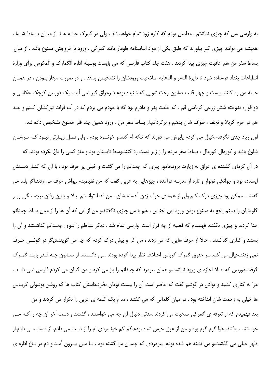به وارسی .من که چیزی نداشتم . مطمئن بودم که کارم زود تمام خواهد شد . ولی در گمرک خانـه هـا از میـان بـساط شـما ، همیشه می توانند چیزی گیر بیاورند که طبق یکی از مواد اساسنامه طومار مانند گمرکی ، ورود یا خروجش ممنوع باشد . از میان بساط سفر من هم عاقبت چیزی پیدا کردند . هفت جلد کتاب فارسی که می بایست بوسیله اداره الگمارک و المکوس برای وزارهٔ انطباعات بغداد فرستاده شود تا دايرة النشر و الدعايه صلاحيت ورودشان را تشخيص بدهد . و در صورت مجاز بـودن ، در همـان جا به من رد کنند .بیست و چهار قالب صابون رخت شویی که شنیده بودم د رعراق گیر نمی آید . یک دوربین کوچک عکاسی و دو قواره ندوخته شش زرعی کرباسی قم ، که خلعت پدر و مادرم بود که با خودم می بردم که در آب فرات تبرکشان کـنم و بعـد هم در حرم كربلا و نجف ، طواف شان بدهم و برگردانم.از بساط سفر من ، ورود همين چند قلم ممنوع تشخيص داده شد. اول زیاد جدی نگرفتم.خیال می کردم پایوش می دوزند که تلکه ام کنند.و خونسرد بودم . ولی فصل زیـارتی نبـود کـه سرشـان شلوغ باشد و کورمال کورمال ، بساط سفر مردم را از زیر دست رد کنند.وسط تابستان بود و مغز کسی را داغ نکرده بودند که در آن گرمای کشنده ی عراق به زیارت برود.مامور پیری که چمدانم را می گشت و خیلی پر حرف بود ، با آن که کنـار دسـتش ایستاده بود و جوانکی نونوار و تازه از مدرسه درآمده ، چیزهایی به عربی گفت که من نفهمیدم .یواش حرف می زدند.اگر بلند می گفتند ، ممکن بود چیزی درک کنم.ولی از همه ی حرف زدن آهسته شان ، من فقط توانستم بالا و پایین رفتن برجستنگی زیـر گلویشان را ببینم.راجع به ممنوع بودن ورود این اجناس ، هم با من چیزی نگفتند.و من از این که آن ها را از میان بساط چمدانم جدا کردند و چیزی نگفتند فهمیدم که قضیه از چه قرار است. وارسی تمام شد ، دیگر بساطم را تـوی چمـدانم گذاشـتند و آن را بستند و کناری گذاشتند . حالا از حرف هایی که می زدند ، من کم و بیش درک کردم که چه می گویند.دیگر در گوشـی حـرف نمی زدند.خیال می کنم سر حقوق گمرک کرباس اختلاف نظر پیدا کرده بودند.مـی دانـستند از صـابون چـه قـدر بایـد گمـرک گرفت.دوربین که اصلا اجازه ی ورود نداشت.و همان پیرمرد که چمدانم را باز می کرد و من گمان می کردم فارسی نمی دانـد ، مرا به کناری کشید و یواش در گوشم گفت که حاضر است آن را بیست تومان بخرد.داستان کتاب ها که روشن بود.ولی کربـاس

ها خیلی به زحمت شان انداخته بود . در میان کلماتی که می گفتند ، مدام یک کلمه ی عربی را تکرار می کردند و من بعد فهمیدم که از تعرفه ی گمرکی صحبت می کردند .مدتی دنبال آن چه می خواستند ، گشتند و دست آخر آن چه را کـه مـی خواستند ، یافتند. هوا گرم گرم بود و من از عرق خیس شده بودم.کم کم خونسردی ام را از دست می دادم. از دست مــی دادم.از ظهر خیلی می گذشت.و من تشنه هم شده بودم. پیرمردی که چمدان مرا گشته بود ، بـا مـن بیـرون آمـد و دم در بـاغ اداره ی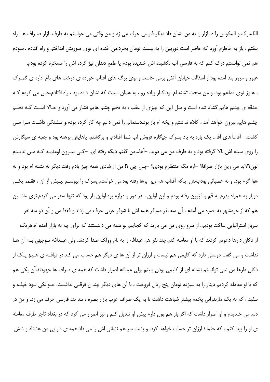الگمارک و المکوس را ه بازار را به من نشان داد.دیگر فارسی حرف می زد و من وقتی می خواستم به طرف بازار صـراف هـا راه بیفتم ، باز به خاطرم آورد که حاضر است دوربین را به بیست تومان بخرد.من خنده ای توی صورتش انداختم و راه افتادم .خـودم

هم نمی توانستم درک کنم که به فارسی آب نکشیده اش خندیده بودم یا طمع دندان تیز کرده اش را مسخره کرده بودم. عبور و مرور بند آمده بود.از اسفالت خیابان آتش برمی خاست.و بوی برگ های آفتاب خورده ی درخت های باغ اداره ی گمـرک ، هنوز توی دماغم بود. و من سخت تشنه ام بود.کنار پیاده رو ، به همان سمت که نشان داده بود ، راه افتادم.حس می کردم ک حدقه ی چشم هایم گشاد شده است و مثل این که چیزی از عقب ، به تخم چشم هایم فشار می آورد و حـالا اسـت کـه تخـم چشم هایم بیرون خواهد آمد ، کلاه نداشتم و یخه ام باز بود.دستمالم را نمی دانم چه کار کرده بودم.و تـشنگی داشـت مـرا مـی كشت. –آقا…آهاي آقا… يک باره به ياد پسرک جيگاره فروش لب شط افتادم. و برگشتم. پاهايش برهنه بود و جعبه ي سيگارش را روی سینه اش بالا گرفته بود و به طرف من می دوید. –آها…من گفتم دیگه رفته ای. –کـی بیـرون اومدیـد کـه مـن ندیـدم تون؟لابد مي رين بازار صرافا؟ –آره مگه منتظرم بودي؟ –پس چي ؟! من از شادي همه چيز يادم رفت.ديگر نه تشنه ام بود و نه هوا گرم بود. و نه عصبانی بودم.مثل اینکه آفتاب هم زیر ابرها رفته بود.می خواستم پسرک را ببوسـم .پـیش از آن ، فقـط یکـی دوبار به همراه پدرم به قم و قزوین رفته بودم و این اولین سفر دور و درازم بود.اولین بار بود که تنها سفر می کردم.توی ماشـین هم كه از خرمشهر به بصره مي آمدم ، آن سه نفر مسافر همه اش با شوفر عربي حرف مي زدند.و فقط من و آن دو سه نفر سرباز استرالیایی ساکت بودیم. از سرو روی من می بارید که کجاییم .و همه می داننستند که برای چه به بازار آمده ام.هریک از دکان دارها دعوتم کردند که با او معامله کنم.چند نفر هم عبدالله را به نام وولک صدا کردند. ولی عبـدالله تـوجهی بـه آن هـا نداشت و می گفت دوستی دارد که کلیمی هم نیست و ارزان تر از آن ها ی دیگر هم حساب می کند.در قیافـه ی هـیچ یـک از دکان دارها من نمی توانستم نشانه ای از کلیمی بودن ببینم .ولی عبدالله اصرار داشت که همه ی صراف ها جهودند.آن یکی هم که با او معامله کردیم دینار را به سیزده تومان پنج ریال فروخت ، با آن های دیگر چندان فرقبی نداشـت. جـوانکی بـود خیلـه و سفید ، که به یک مازندرانی پخمه بیشتر شباهت داشت تا به یک صراف عرب بازار بصره ، تند تند فارسی حرف می زد. و من در دلم می خندیدم و او اصرار داشت که اگر باز هم پول دارم پیش او تبدیل کنم و نیز اصرار می کرد که در بغداد تاجر طرف معامله ی او را پیدا کنم ، که حتما ؛ ارزان تر حساب خواهد کرد. و پشت سر هم نشانی اش را می داد.همه ی دارایی من هشتاد و شش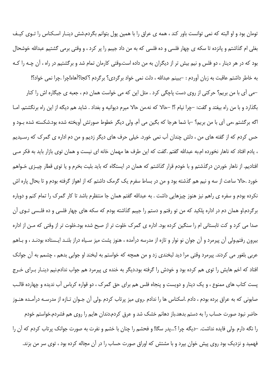تومان بود و او البته که نمی توانست باور کند ، همه ی عراق را با همین پول بتوانم بگردم.شش دینـار اسـکناس را تـوی کیـف بغلي ام گذاشتم و پانزده تا سکه ي چهار فلسي و ده فلسي که به من داد جيبم را پر کرد ، و وقتي برمي گشتيم عبدالله خوشحال بود که در هر دینار ، دو فلس و نیم بیش تر از دیگران به من داده است.وقتی کارمان تمام شد و برگشتیم در راه ، آن چـه را کـه به خاطر داشتم عاقبت به زبان آوردم : –ببينم عبدالله ، دلت نمي خواد برگردي؟ برگردم ؟كجا؟آهاه!چرا .چرا نمي خواد؟! –می آی با من بریم؟ حرکتی از روی دست پاچگی کرد . مثل این که می خواست همان دم ، جعبه ی جیگاره اش را کنار بگذارد و با من راه بیفتد و گفت: –چرا نیام ؟! –حالا که نه.من حالا میرم دیوانیه و بغداد . شاید هم دیگه از این راه برنگشتم. امـا اگه برگشتم ،می آی با من بریم؟ –با شما هرجا که بگین می آم. ولی دیگر خطوط صورتش آویخته شده بود.شکسته شده بـود و حس کردم که از گفته های من ، دلش چندان آب نمی خورد. خیلی حرف های دیگر زدیم و من دم اداره ی گمرک که رسـیدیم ، يادم افتاد كه ناهار نخورده ام.به عبدالله گفتم .گفت كه اين طرف ها مهمان خانه اى نيست و همان توى بازار بايد به فكر مـى افتادیم. از ناهار خوردن درگذشتم و با خودم قرار گذاشتم که همان در ایستگاه که باید بلیت بخرم و یا توی قطار چیـزی خـواهم خورد .حالا ساعت از سه و نیم هم گذشته بود و من در بساط سفرم یک گرمک داشتم که از اهواز گرفته بودم و تا بحال پاره اش نکرده بودم و سفره ی راهم نیز هنوز چیزهایی داشت . به عبدالله گفتم همان جا منتظرم باشد تا کار گمرک را تمام کنم و دوباره برگردم.او همان دم در اداره پلکید که من تو رفتم و دستم را جیبم گذاشته بودم که سکه های چهار فلسی و ده فلـسی تـوی آن صدا می کرد و کت تابستانی ام را سنگین کرده بود. اداره ی گمرک خلوت تر از صبح شده بود.خلوت تر از وقتی که مـن از اداره بیرون رفتم.ولی آن پیرمرد و آن جوان نو نوار و تازه از مدرسه درآمده ، هنوز پشت میز سـیاه دراز بلنـد ایـستاده بودنـد ، و بـاهم عربي بلغور مي كردند. پيرمرد وقتي مرا ديد لبخندي زد و من همچه كه خواستم به لبخند او جوابي بدهم ، چشمم به آن جوانك افتاد که اخم هایش را توی هم کرده بود و خودش را گرفته بود.دیگر به خنده ی پیرمرد هم جواب ندادم.نیم دینـار بـرای خـرج یست کتاب های ممنوع ، و یک دینار و دویست و پنجاه فلس هم برای حق گمرک ، دو قواره کرباس آب ندیده و چهارده قالب صابونی که به عراق برده بودم ، دادم .اسکناس ها را ندادم .روی میز پرتاب کردم .ولی آن جـوان تـازه از مدرسـه درآمـده هنـوز حاضر نبود صورت حساب را به دستم بدهد.باز دهانم خشک شد و عرق کردم.دندان هایم را روی هم فشردم.خواستم خودم را نگه دارم .ولي فايده نداشت. –ديگه چرا ؟…يدر سگا! و فحشم را چنان با خشم و نفرت به صورت جوانک پرتاب کردم که آن را فهمید و نزدیک بود روی پیش خوان بپرد و با مشتش که اوراق صورت حساب را در آن مچاله کرده بود ، توی سر من بزند.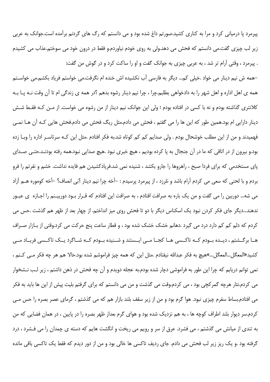پیرمرد پا درمیانی کرد و مرا به کناری کشید.صورتم داغ شده بود و می دانستم که رگ های گردنم برآمده است.جوانک به عربی زیر لب چیزی گفت.می دانستم که فحش می دهد.ولی به روی خودم نیاوردم.و فقط در درون خود می سوختم.عذاب می کشیدم . پیرمرد ، وقتی آرام تر شد ، به عربی چیزی به جوانک گفت و او را ساکت کرد و در گوش من گفت:

–همه ش نیم دینار می خواد .خیلی کم… دیگر به فارسی آب نکشیده اش خنده ام نگرفت.می خواستم فریاد بکشم.می خواسـتم همه ی اهل اداره و اهل شهر را به دادخواهی بطلبم.چرا ، چرا نیم دینار رشوه بدهم ؟در همه ی زندگی ام تا آن وقت نــه پــا بــه كلانتري گذاشته بودم و نه با كسي در افتاده بودم ؛ ولي اين جوانک نيم دينار از من رشوه مي خواست. از مـن كـه فقـط شـش دینار دارایی ام بود.همین طور که این ها را می گفتم ، فحش می دادم.مثل ریگ فحش می دادم.فحش هایی کـه آن هــا نمــی فهمیدند و من از این مطلب خوشحال بودم . ولی صدایم کم کم کوتاه شد.به فکر افتادم .مثل این کـه سرتاسـر اداره را وبـا زده بود.و بیرون از در اتاقی که ما در آن جنجال به پا کرده بودیم ، هیچ خبری نبود .هیچ صدایی نبود.همه رفته بودنـد.حتـی صـدای پای مستخدمی که برای فردا صبح ، راهروها را جارو بکشد ، شنیده نمی شد.فریادکشیدن هم فایده نداشت. خشم و نفرتم را فرو بردم و با لحنی که سعی می کردم آرام باشد و نلرزد ، از پیرمرد پرسیدم : –آخه چرا نیم دینار ؟بی انصاف؟ –آخه کوموره هــم آزاد می شه... دوربین را می گفت و من یک باره به صرافت افتادم ، به صرافت این افتادم که قـرار بـود دوربیـنم را اجـازه ی عبـور ندهند...دیگر جای فکر کردن نبود یک اسکناس دیگر با دو تا فحش روی میز انداختم. از چهار بعد از ظهر هم گذشت .حس می کردم که دلم کم کم دارد درد می گیرد .دهانم خشک خشک شده بود ، و قطار ساعت پنج حرکت می کرد.وقتی از بـازار صـراف هـا برگــشتم ، ديــده بــودم كــه تاكــسى هــا كجــا مــى ايــستند و شــنيده بــودم كــه شــاگرد يــك تاكــسى فريــاد مــى كشيد«المعگل…المعگل…»هيچ به فكر عبدالله نيفتادم .مثل اين كه همه چيز فراموشم شده بود.حالا هم هر چه فكر مـي كـنم ، نمي توانم دريابم كه چرا اين طور به فراموشي دچار شده بودم.به عجله دويدم و آن چه فحش در ذهن داشتم ، زير لـب نـشخوار می کردم.نثار هرچه گمرکچی بود ، می کردم.وقت می گذشت و من می دانستم که برای گرفتم بلیت پیش از این ها باید به فکر می افتادم.بساط سفرم چیزی نبود. هوا گرم بود و من از زیر سقف بلند بازار هم که می گذشتم ، گرمای عصر بصره را حس مـی کردم.سر دیوار بلند اطراف کوچه ها ، به هم نزدیک شده بود و هوای گرم بعداز ظهر بصره را در پایین ، در همان فضایی که من به تندی از میانش می گذشتم ، می فشرد. عرق از سر و رویم می ریخت و انگشت هایم که دسته ی چمدان را می فـشرد ، درد گرفته بود .و یک ریز زیر لب فحش می دادم. جای ردیف تاکسی ها خالی بود و من از دور دیدم که فقط یک تاکسی باقی مانده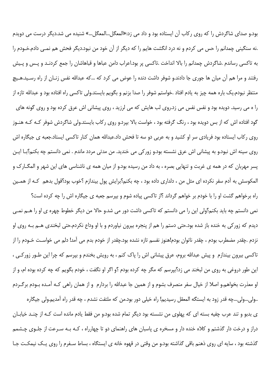بود.و صدای شاگردش را که روی رکاب آن ایستاده بود و داد می زد:«المعگل...المعگل...» شنیده می شد.دیگر درست می دویدم .نه سنگینی چمدانم را حس می کردم و نه درد انگشت هایم را که دیگر از آن خود من نبود.دیگر فحش هم نمـی دادم.خـودم را به تاکسی رساندم .شاگردش چمدانم را بالا انداخت .تاکسی پر بود.اعراب دامن عباها و قباهاشان را جمع کردنـد و پـس و پـیش رفتند و مرا هم آن میان ها جوری جا دادند.و شوفر داشت دنده را عوض می کرد که …که عبدالله نفس زنـان از راه رسـید.هـیچ منتظر نبودم.يک باره همه چيز به يادم افتاد .خواستم شوفر را صدا بزنم و بگويم بايستد.ولي تاکسي راه افتاده بود و عبدالله تازه از را ه می رسید. دویده بود و نفس نفس می زد.روی لب هایش که می لرزید ، روی پیشانی اش عرق کرده بود و روی گونه های گود افتاده اش که از بس دویده بود ، رنگ گرفته بود ، خواست بالا بپرد.و روی رکاب بایستد.ولی شاگردش شوفر کـه کـه هنـوز روی رکاب ایستاده بود فریادی سر او کشید و به عربی دو سه تا فحش داد.عبدالله همان کنار تاکسی ایستاد.جعبه ی جیگاره اش روی سینه اش نبود.و به پیشانی اش عرق نشسته بود.و زورکی می خندید. من مدتی مردد ماندم . نمی دانستم چه بکنم؟بـا ایـن پسر مهربان که در همه ی غربت و تنهایی بصره ، به داد من رسیده بود.و از میان همه ی ناشناسی های این شهر و المگــارک و المکوسش به آدم سفر نکرده ای مثل من ، دلداری داده بود ، چه بکنم؟برایش پول بیندازم ؟خوب بود؟قول بدهم که از همـین

راه برخواهم گشت او را با خودم بر خواهم گرداند ؟از تاكسى پياده شوم و بپرسم جعبه ى جيگاره اش را چه كرده است؟ نمي دانستم چه بايد بکنم؟ولي اين را مي دانستم که تاکسي داشت دور مي شد.و حالا من ديگر خطوط چهره ي او را هــم نمــي دیدم که زورکی به خنده باز شده بود.حتی دستم را هم از پنجره بیرون نیاوردم و با او وداع نکردم.حتی لبخندی هــم بــه روی او نزدم .چقدر مضطرب بودم ، چقدر ناتوان بودم!هنوز نفسم تازه نشده بود.چقدر از خودم بدم می آمد! دلم می خواسـت خــودم را از تاکسی بیرون بیندازم و پیش عبدالله بروم، عرق پیشانی اش را پاک کنم ، به رویش بخندم و بیرسم که چرا این طـور زورکـی ، این طور دروغی به روی من لبخند می زد؟بپرسم که مگر چه کرده بودم ؟و اگر او نگفت ، خودم بگویم که چه کرده بوده ام، و از او معذرت بخواهم.و اصلا از خیال سفر منصرف بشوم و از همین جا عبدالله را بردارم و از همان راهی کـه آمـده بـودم برگـردم

..ولي...ولي...چه قدر زود به ايستگه المعقل رسيديم! راه خيلي دور بود.من كه ملتفت نشدم ، چه قدر راه آمديم.ولي جيگاره ی بدبو و تند عرب چفیه بسته ای که پهلوی من نشسته بود دیگر تمام شده بود.و من فقط یادم مانده است کـه از چنـد خیابـان دراز و درخت دار گذشتم و کلاه خنده دار و مسخره ی پاسبان های راهنمای دو تا چهارراه ، کـه بـه سـرعت از جلـوی چـشمم گذشته بود ، سایه ای روی ذهنم باقی گذاشته بود.و من وقتی در قهوه خانه ی ایستگاه ، بساط سـفرم را روی یـک نیمکـت جـا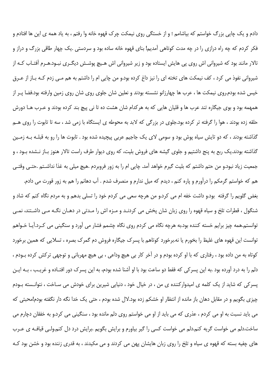دادم و یک چایی بزرگ خواستم که بیاشامم ؛ و از خستگی روی نیمکت چرک قهوه خانه وا رفتم ، به یاد همه ی این ها افتادم و فکر کردم که چه راه درازی را در چه مدت کوتاهی آمدیم! بنای قهوه خانه ساده بود و سردستی .یک چهار طاقی بزرگ و دراز و تالار مانند بود که شیروانی اش روی پی هایش ایستاده بود و زیر شیروانی اش هـیچ پوشـش دیگـری نبـود.هـرم آفتـاب کـه از شیروانی نفوذ می کرد ، کف نیمکت های تخته ای را نیز داغ کرده بود.و من چاپی ام را داشتم به هم مـی زدم کـه بـاز از عـرق خیس شده بودم.روی نیمکت ها ، عرب ها چهارزانو نشسته بودند و نعلین شان جلوی روی شان روی زمین وارفته بود.فضا پـر از همهمه بود و بوی جیگاره تند عرب ها و قلیان هایی که به هرکدام شان هشت ده تا نی پیچ بند کرده بودند و عـرب هـا دورش حلقه زده بودند ، هوا را گرفته تر کرده بود.جلوی در بزرگی که لابد به محوطه ی ایستگاه با زمی شد ، سه تا تابوت را روی هـم گذاشته بودند ، که دو تایش سیاه پوش بود و سومی لای یک جاجیم عربی پیچیده شده بود . تابوت ها را رو به قبلـه بـه زمـین گذاشته بودند.یک ربع به پنج داشتیم و جلوی گیشه های فروش بلیت، که روی دیوار طرف راست تالار هنوز بـاز نـشده بـود ، و جمعیت زیاد نبود.و من حتم داشتم که بلیت گیرم خواهد آمد. چایی ام را به زور فروبردم .هیچ میلی به غذا نداشـتم .حتـی وقتـی هم که خواستم گرمکم را درآورم و پاره کنم ، دیدم که میل ندارم و منصرف شدم . آب دهانم را هم به زور قورت می دادم.

بغض گلويم را گرفته بود.و داشت خفه ام مي كرد.و من هرچه سعي مي كردم خود را تسلي بدهم و به مردم نگاه كنم كه شاد و شنگول ، قطرات تلخ و سیاه قهوه را روی زبان شان پخش می کردنـد و مـزه اش را مـدتی در دهـان نگـه مـی داشـتند، نمـی توانستم.همه چیز برایم خسته کننده بود.به هرچه نگاه می کردم روی نگاه چشمم فشار می آورد و سنگینی می کـرد.آیـا خـواهم توانست این قهوه های غلیظ را بخورم یا نه.برخورد کوتاهم با پسرک جیگاره فروش دم گمرک بصره ، تسلایی که همین برخورد کوتاه به من داده بود ، رفتاری که با او کرده بودم و در آخر کار بی هیچ وداعی ، بی هیچ مهربانی و توجهی ترکش کرده بـودم ، دلم را به درد آورده بود .به این پسرکی که فقط دو ساعت بود با او آشنا شده بودم، به این پسرک دور افتـاده و غریـب ، بـه ایـن یسر کی که شاید از یک کلمه ی امیدوارکننده ی من ، در خیال خود ، دنیایی شیرین برای خودش می سـاخت ، نتوانـسته بـودم چیزی بگویم و در مقابل دهان باز مانده از انتظار او خشکم زده بود.لال شده بودم ، حتی یک خدا نگه دار نگفته بودم!محبتی که می باید نسبت به او می کردم ، عذری که می باید از او می خواستم روی دلم مانده بود ، سنگینی می کرد.و به خفقان دچارم می ساخت.دلم می خواست گریه کنم.دلم می خواست کسی را گیر بیاورم و برایش بگویم .برایش درد دل کنم.ولـی قیافـه ی عـرب های چفیه بسته که قهوه ی سیاه و تلخ را روی زبان هایشان پهن می کردند و می مکیدند ، به قدری زننده بود و خشن بود ک